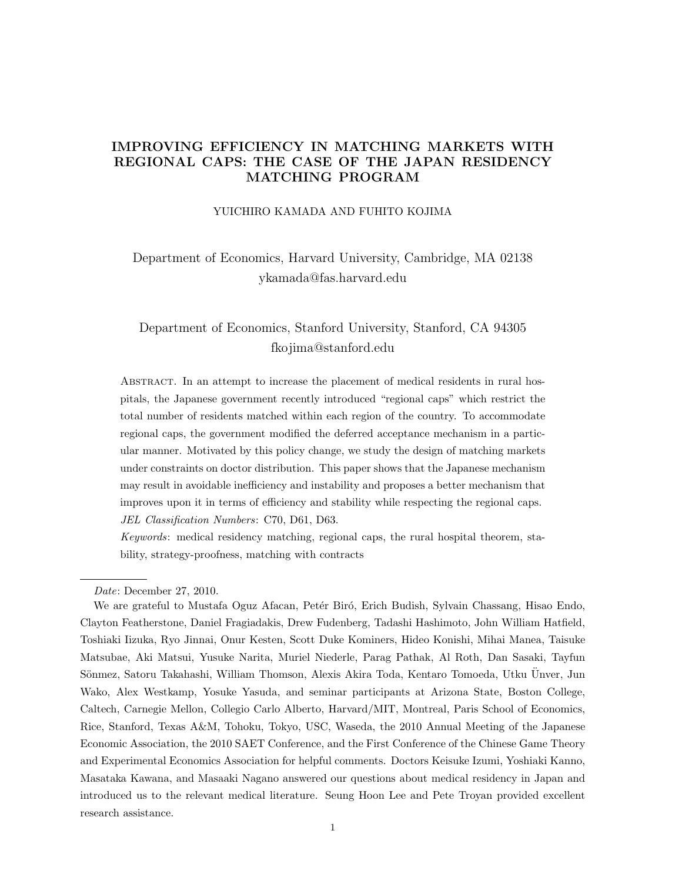# IMPROVING EFFICIENCY IN MATCHING MARKETS WITH REGIONAL CAPS: THE CASE OF THE JAPAN RESIDENCY MATCHING PROGRAM

### YUICHIRO KAMADA AND FUHITO KOJIMA

Department of Economics, Harvard University, Cambridge, MA 02138 ykamada@fas.harvard.edu

# Department of Economics, Stanford University, Stanford, CA 94305 fkojima@stanford.edu

Abstract. In an attempt to increase the placement of medical residents in rural hospitals, the Japanese government recently introduced "regional caps" which restrict the total number of residents matched within each region of the country. To accommodate regional caps, the government modified the deferred acceptance mechanism in a particular manner. Motivated by this policy change, we study the design of matching markets under constraints on doctor distribution. This paper shows that the Japanese mechanism may result in avoidable inefficiency and instability and proposes a better mechanism that improves upon it in terms of efficiency and stability while respecting the regional caps. JEL Classification Numbers: C70, D61, D63.

Keywords: medical residency matching, regional caps, the rural hospital theorem, stability, strategy-proofness, matching with contracts

Date: December 27, 2010.

We are grateful to Mustafa Oguz Afacan, Petér Biró, Erich Budish, Sylvain Chassang, Hisao Endo, Clayton Featherstone, Daniel Fragiadakis, Drew Fudenberg, Tadashi Hashimoto, John William Hatfield, Toshiaki Iizuka, Ryo Jinnai, Onur Kesten, Scott Duke Kominers, Hideo Konishi, Mihai Manea, Taisuke Matsubae, Aki Matsui, Yusuke Narita, Muriel Niederle, Parag Pathak, Al Roth, Dan Sasaki, Tayfun Sönmez, Satoru Takahashi, William Thomson, Alexis Akira Toda, Kentaro Tomoeda, Utku Unver, Jun Wako, Alex Westkamp, Yosuke Yasuda, and seminar participants at Arizona State, Boston College, Caltech, Carnegie Mellon, Collegio Carlo Alberto, Harvard/MIT, Montreal, Paris School of Economics, Rice, Stanford, Texas A&M, Tohoku, Tokyo, USC, Waseda, the 2010 Annual Meeting of the Japanese Economic Association, the 2010 SAET Conference, and the First Conference of the Chinese Game Theory and Experimental Economics Association for helpful comments. Doctors Keisuke Izumi, Yoshiaki Kanno, Masataka Kawana, and Masaaki Nagano answered our questions about medical residency in Japan and introduced us to the relevant medical literature. Seung Hoon Lee and Pete Troyan provided excellent research assistance.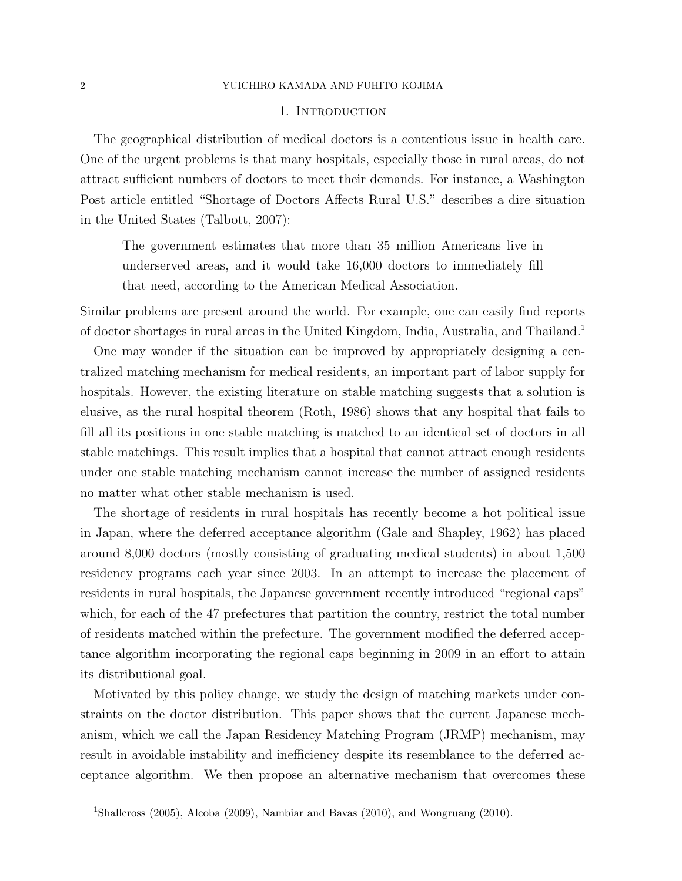### 1. Introduction

The geographical distribution of medical doctors is a contentious issue in health care. One of the urgent problems is that many hospitals, especially those in rural areas, do not attract sufficient numbers of doctors to meet their demands. For instance, a Washington Post article entitled "Shortage of Doctors Affects Rural U.S." describes a dire situation in the United States (Talbott, 2007):

The government estimates that more than 35 million Americans live in underserved areas, and it would take 16,000 doctors to immediately fill that need, according to the American Medical Association.

Similar problems are present around the world. For example, one can easily find reports of doctor shortages in rural areas in the United Kingdom, India, Australia, and Thailand.<sup>1</sup>

One may wonder if the situation can be improved by appropriately designing a centralized matching mechanism for medical residents, an important part of labor supply for hospitals. However, the existing literature on stable matching suggests that a solution is elusive, as the rural hospital theorem (Roth, 1986) shows that any hospital that fails to fill all its positions in one stable matching is matched to an identical set of doctors in all stable matchings. This result implies that a hospital that cannot attract enough residents under one stable matching mechanism cannot increase the number of assigned residents no matter what other stable mechanism is used.

The shortage of residents in rural hospitals has recently become a hot political issue in Japan, where the deferred acceptance algorithm (Gale and Shapley, 1962) has placed around 8,000 doctors (mostly consisting of graduating medical students) in about 1,500 residency programs each year since 2003. In an attempt to increase the placement of residents in rural hospitals, the Japanese government recently introduced "regional caps" which, for each of the 47 prefectures that partition the country, restrict the total number of residents matched within the prefecture. The government modified the deferred acceptance algorithm incorporating the regional caps beginning in 2009 in an effort to attain its distributional goal.

Motivated by this policy change, we study the design of matching markets under constraints on the doctor distribution. This paper shows that the current Japanese mechanism, which we call the Japan Residency Matching Program (JRMP) mechanism, may result in avoidable instability and inefficiency despite its resemblance to the deferred acceptance algorithm. We then propose an alternative mechanism that overcomes these

<sup>1</sup>Shallcross (2005), Alcoba (2009), Nambiar and Bavas (2010), and Wongruang (2010).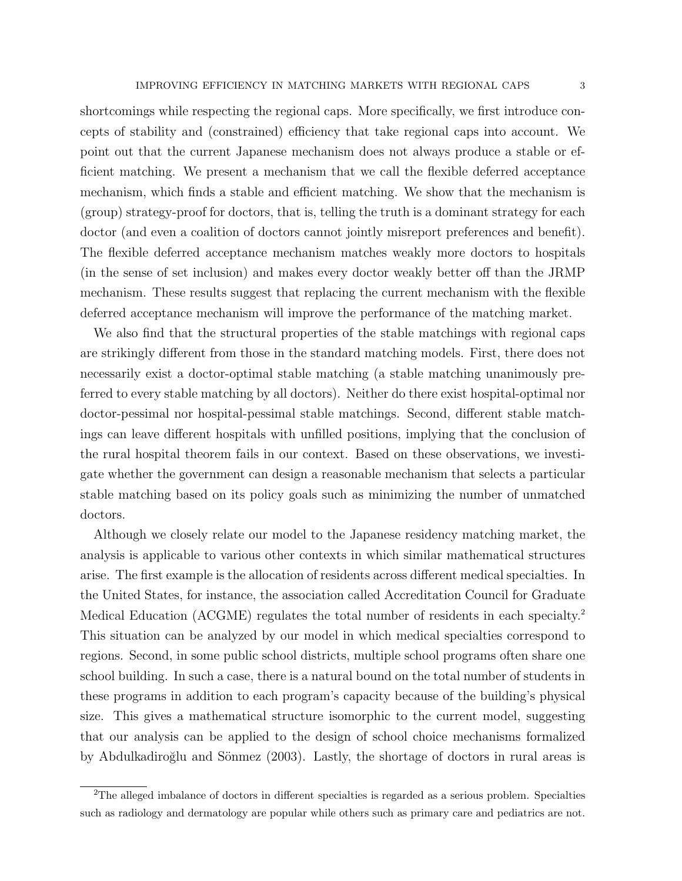shortcomings while respecting the regional caps. More specifically, we first introduce concepts of stability and (constrained) efficiency that take regional caps into account. We point out that the current Japanese mechanism does not always produce a stable or efficient matching. We present a mechanism that we call the flexible deferred acceptance mechanism, which finds a stable and efficient matching. We show that the mechanism is (group) strategy-proof for doctors, that is, telling the truth is a dominant strategy for each doctor (and even a coalition of doctors cannot jointly misreport preferences and benefit). The flexible deferred acceptance mechanism matches weakly more doctors to hospitals (in the sense of set inclusion) and makes every doctor weakly better off than the JRMP mechanism. These results suggest that replacing the current mechanism with the flexible deferred acceptance mechanism will improve the performance of the matching market.

We also find that the structural properties of the stable matchings with regional caps are strikingly different from those in the standard matching models. First, there does not necessarily exist a doctor-optimal stable matching (a stable matching unanimously preferred to every stable matching by all doctors). Neither do there exist hospital-optimal nor doctor-pessimal nor hospital-pessimal stable matchings. Second, different stable matchings can leave different hospitals with unfilled positions, implying that the conclusion of the rural hospital theorem fails in our context. Based on these observations, we investigate whether the government can design a reasonable mechanism that selects a particular stable matching based on its policy goals such as minimizing the number of unmatched doctors.

Although we closely relate our model to the Japanese residency matching market, the analysis is applicable to various other contexts in which similar mathematical structures arise. The first example is the allocation of residents across different medical specialties. In the United States, for instance, the association called Accreditation Council for Graduate Medical Education (ACGME) regulates the total number of residents in each specialty.<sup>2</sup> This situation can be analyzed by our model in which medical specialties correspond to regions. Second, in some public school districts, multiple school programs often share one school building. In such a case, there is a natural bound on the total number of students in these programs in addition to each program's capacity because of the building's physical size. This gives a mathematical structure isomorphic to the current model, suggesting that our analysis can be applied to the design of school choice mechanisms formalized by Abdulkadiroğlu and Sönmez (2003). Lastly, the shortage of doctors in rural areas is

<sup>2</sup>The alleged imbalance of doctors in different specialties is regarded as a serious problem. Specialties such as radiology and dermatology are popular while others such as primary care and pediatrics are not.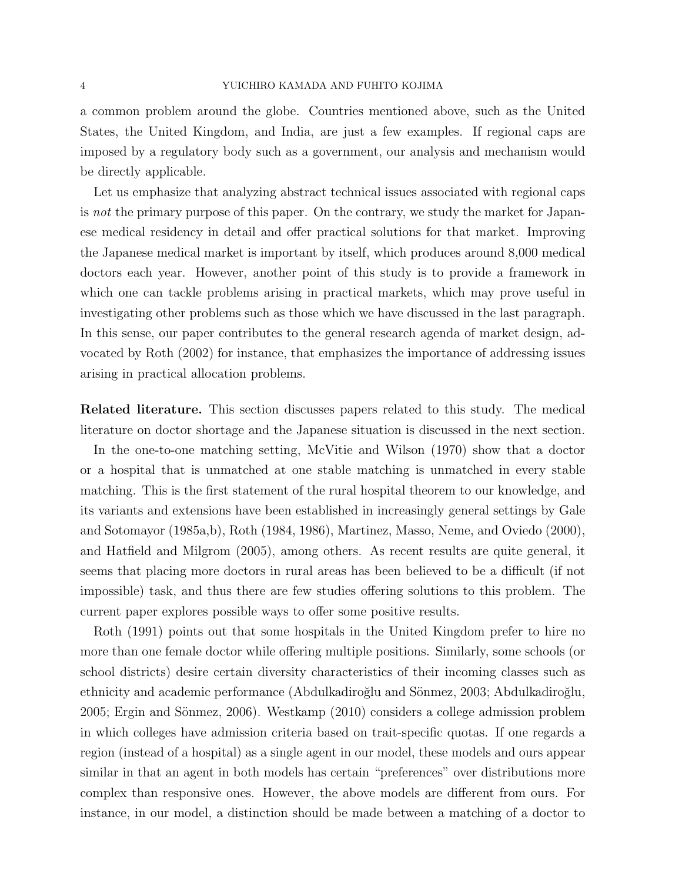### 4 YUICHIRO KAMADA AND FUHITO KOJIMA

a common problem around the globe. Countries mentioned above, such as the United States, the United Kingdom, and India, are just a few examples. If regional caps are imposed by a regulatory body such as a government, our analysis and mechanism would be directly applicable.

Let us emphasize that analyzing abstract technical issues associated with regional caps is not the primary purpose of this paper. On the contrary, we study the market for Japanese medical residency in detail and offer practical solutions for that market. Improving the Japanese medical market is important by itself, which produces around 8,000 medical doctors each year. However, another point of this study is to provide a framework in which one can tackle problems arising in practical markets, which may prove useful in investigating other problems such as those which we have discussed in the last paragraph. In this sense, our paper contributes to the general research agenda of market design, advocated by Roth (2002) for instance, that emphasizes the importance of addressing issues arising in practical allocation problems.

Related literature. This section discusses papers related to this study. The medical literature on doctor shortage and the Japanese situation is discussed in the next section.

In the one-to-one matching setting, McVitie and Wilson (1970) show that a doctor or a hospital that is unmatched at one stable matching is unmatched in every stable matching. This is the first statement of the rural hospital theorem to our knowledge, and its variants and extensions have been established in increasingly general settings by Gale and Sotomayor (1985a,b), Roth (1984, 1986), Martinez, Masso, Neme, and Oviedo (2000), and Hatfield and Milgrom (2005), among others. As recent results are quite general, it seems that placing more doctors in rural areas has been believed to be a difficult (if not impossible) task, and thus there are few studies offering solutions to this problem. The current paper explores possible ways to offer some positive results.

Roth (1991) points out that some hospitals in the United Kingdom prefer to hire no more than one female doctor while offering multiple positions. Similarly, some schools (or school districts) desire certain diversity characteristics of their incoming classes such as ethnicity and academic performance (Abdulkadiroğlu and Sönmez, 2003; Abdulkadiroğlu,  $2005$ ; Ergin and Sönmez,  $2006$ ). Westkamp  $(2010)$  considers a college admission problem in which colleges have admission criteria based on trait-specific quotas. If one regards a region (instead of a hospital) as a single agent in our model, these models and ours appear similar in that an agent in both models has certain "preferences" over distributions more complex than responsive ones. However, the above models are different from ours. For instance, in our model, a distinction should be made between a matching of a doctor to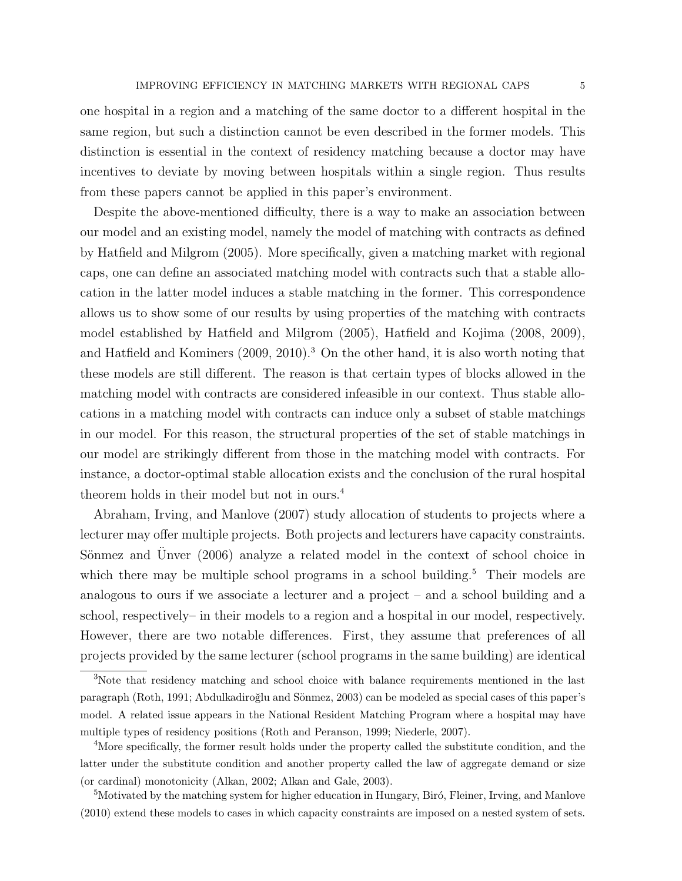one hospital in a region and a matching of the same doctor to a different hospital in the same region, but such a distinction cannot be even described in the former models. This distinction is essential in the context of residency matching because a doctor may have incentives to deviate by moving between hospitals within a single region. Thus results from these papers cannot be applied in this paper's environment.

Despite the above-mentioned difficulty, there is a way to make an association between our model and an existing model, namely the model of matching with contracts as defined by Hatfield and Milgrom (2005). More specifically, given a matching market with regional caps, one can define an associated matching model with contracts such that a stable allocation in the latter model induces a stable matching in the former. This correspondence allows us to show some of our results by using properties of the matching with contracts model established by Hatfield and Milgrom (2005), Hatfield and Kojima (2008, 2009), and Hatfield and Kominers (2009, 2010).<sup>3</sup> On the other hand, it is also worth noting that these models are still different. The reason is that certain types of blocks allowed in the matching model with contracts are considered infeasible in our context. Thus stable allocations in a matching model with contracts can induce only a subset of stable matchings in our model. For this reason, the structural properties of the set of stable matchings in our model are strikingly different from those in the matching model with contracts. For instance, a doctor-optimal stable allocation exists and the conclusion of the rural hospital theorem holds in their model but not in ours.<sup>4</sup>

Abraham, Irving, and Manlove (2007) study allocation of students to projects where a lecturer may offer multiple projects. Both projects and lecturers have capacity constraints. Sönmez and Unver  $(2006)$  analyze a related model in the context of school choice in which there may be multiple school programs in a school building.<sup>5</sup> Their models are analogous to ours if we associate a lecturer and a project – and a school building and a school, respectively– in their models to a region and a hospital in our model, respectively. However, there are two notable differences. First, they assume that preferences of all projects provided by the same lecturer (school programs in the same building) are identical

<sup>&</sup>lt;sup>3</sup>Note that residency matching and school choice with balance requirements mentioned in the last paragraph (Roth, 1991; Abdulkadiroğlu and Sönmez, 2003) can be modeled as special cases of this paper's model. A related issue appears in the National Resident Matching Program where a hospital may have multiple types of residency positions (Roth and Peranson, 1999; Niederle, 2007).

<sup>4</sup>More specifically, the former result holds under the property called the substitute condition, and the latter under the substitute condition and another property called the law of aggregate demand or size (or cardinal) monotonicity (Alkan, 2002; Alkan and Gale, 2003).

<sup>&</sup>lt;sup>5</sup>Motivated by the matching system for higher education in Hungary, Biró, Fleiner, Irving, and Manlove (2010) extend these models to cases in which capacity constraints are imposed on a nested system of sets.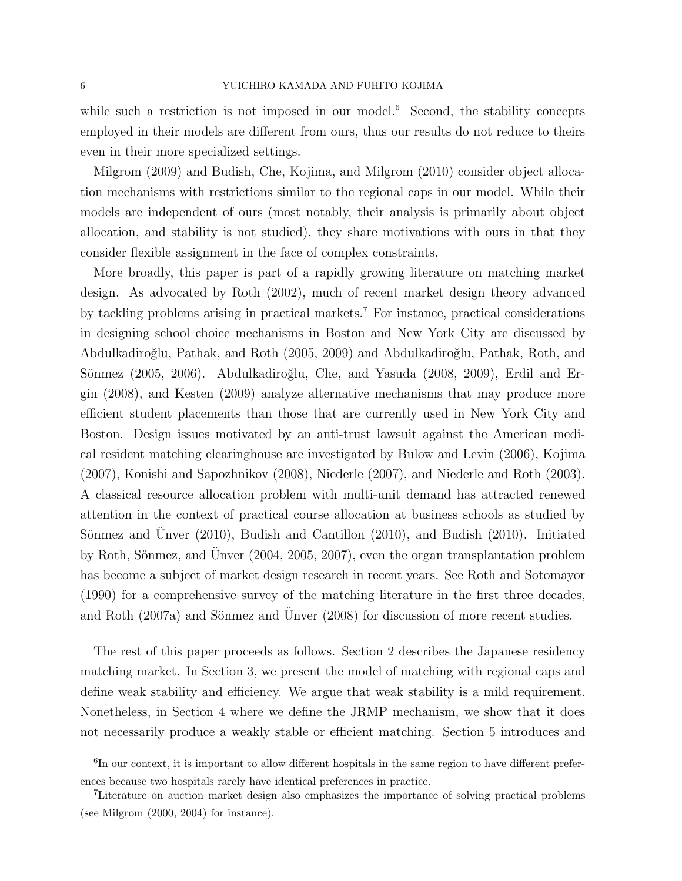while such a restriction is not imposed in our model.<sup>6</sup> Second, the stability concepts employed in their models are different from ours, thus our results do not reduce to theirs even in their more specialized settings.

Milgrom (2009) and Budish, Che, Kojima, and Milgrom (2010) consider object allocation mechanisms with restrictions similar to the regional caps in our model. While their models are independent of ours (most notably, their analysis is primarily about object allocation, and stability is not studied), they share motivations with ours in that they consider flexible assignment in the face of complex constraints.

More broadly, this paper is part of a rapidly growing literature on matching market design. As advocated by Roth (2002), much of recent market design theory advanced by tackling problems arising in practical markets.<sup>7</sup> For instance, practical considerations in designing school choice mechanisms in Boston and New York City are discussed by Abdulkadiro˘glu, Pathak, and Roth (2005, 2009) and Abdulkadiro˘glu, Pathak, Roth, and Sönmez (2005, 2006). Abdulkadiroğlu, Che, and Yasuda (2008, 2009), Erdil and Ergin (2008), and Kesten (2009) analyze alternative mechanisms that may produce more efficient student placements than those that are currently used in New York City and Boston. Design issues motivated by an anti-trust lawsuit against the American medical resident matching clearinghouse are investigated by Bulow and Levin (2006), Kojima (2007), Konishi and Sapozhnikov (2008), Niederle (2007), and Niederle and Roth (2003). A classical resource allocation problem with multi-unit demand has attracted renewed attention in the context of practical course allocation at business schools as studied by Sönmez and Unver  $(2010)$ , Budish and Cantillon  $(2010)$ , and Budish  $(2010)$ . Initiated by Roth, Sönmez, and Unver  $(2004, 2005, 2007)$ , even the organ transplantation problem has become a subject of market design research in recent years. See Roth and Sotomayor (1990) for a comprehensive survey of the matching literature in the first three decades, and Roth  $(2007a)$  and Sönmez and Unver  $(2008)$  for discussion of more recent studies.

The rest of this paper proceeds as follows. Section 2 describes the Japanese residency matching market. In Section 3, we present the model of matching with regional caps and define weak stability and efficiency. We argue that weak stability is a mild requirement. Nonetheless, in Section 4 where we define the JRMP mechanism, we show that it does not necessarily produce a weakly stable or efficient matching. Section 5 introduces and

<sup>&</sup>lt;sup>6</sup>In our context, it is important to allow different hospitals in the same region to have different preferences because two hospitals rarely have identical preferences in practice.

<sup>7</sup>Literature on auction market design also emphasizes the importance of solving practical problems (see Milgrom (2000, 2004) for instance).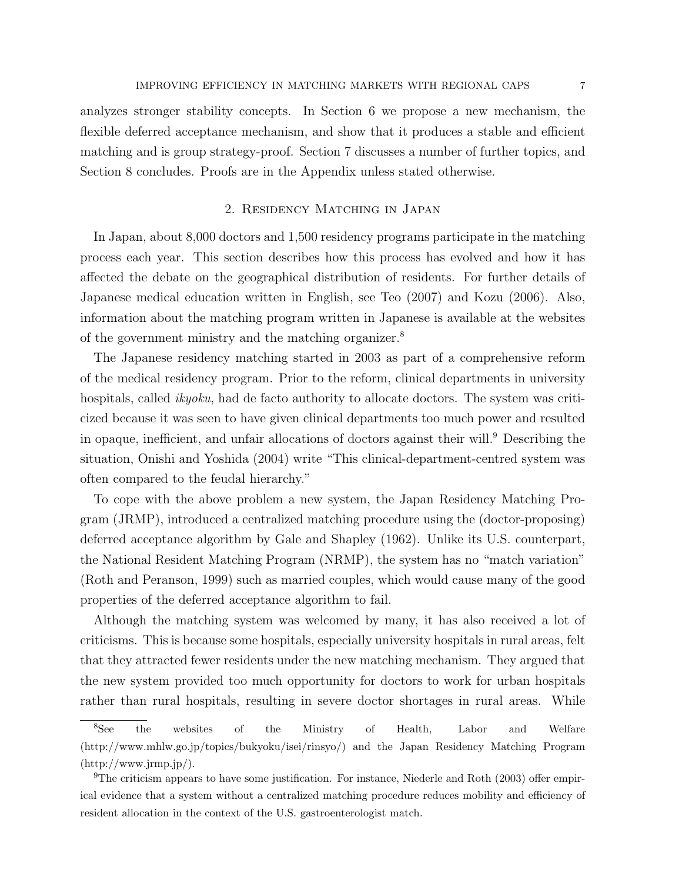analyzes stronger stability concepts. In Section 6 we propose a new mechanism, the flexible deferred acceptance mechanism, and show that it produces a stable and efficient matching and is group strategy-proof. Section 7 discusses a number of further topics, and Section 8 concludes. Proofs are in the Appendix unless stated otherwise.

# 2. Residency Matching in Japan

In Japan, about 8,000 doctors and 1,500 residency programs participate in the matching process each year. This section describes how this process has evolved and how it has affected the debate on the geographical distribution of residents. For further details of Japanese medical education written in English, see Teo (2007) and Kozu (2006). Also, information about the matching program written in Japanese is available at the websites of the government ministry and the matching organizer.<sup>8</sup>

The Japanese residency matching started in 2003 as part of a comprehensive reform of the medical residency program. Prior to the reform, clinical departments in university hospitals, called *ikyoku*, had de facto authority to allocate doctors. The system was criticized because it was seen to have given clinical departments too much power and resulted in opaque, inefficient, and unfair allocations of doctors against their will.<sup>9</sup> Describing the situation, Onishi and Yoshida (2004) write "This clinical-department-centred system was often compared to the feudal hierarchy."

To cope with the above problem a new system, the Japan Residency Matching Program (JRMP), introduced a centralized matching procedure using the (doctor-proposing) deferred acceptance algorithm by Gale and Shapley (1962). Unlike its U.S. counterpart, the National Resident Matching Program (NRMP), the system has no "match variation" (Roth and Peranson, 1999) such as married couples, which would cause many of the good properties of the deferred acceptance algorithm to fail.

Although the matching system was welcomed by many, it has also received a lot of criticisms. This is because some hospitals, especially university hospitals in rural areas, felt that they attracted fewer residents under the new matching mechanism. They argued that the new system provided too much opportunity for doctors to work for urban hospitals rather than rural hospitals, resulting in severe doctor shortages in rural areas. While

<sup>&</sup>lt;sup>8</sup>See the websites of the Ministry of Health, Labor and Welfare (http://www.mhlw.go.jp/topics/bukyoku/isei/rinsyo/) and the Japan Residency Matching Program  $(\text{http://www.jrmp.jp/}).$ 

<sup>&</sup>lt;sup>9</sup>The criticism appears to have some justification. For instance, Niederle and Roth  $(2003)$  offer empirical evidence that a system without a centralized matching procedure reduces mobility and efficiency of resident allocation in the context of the U.S. gastroenterologist match.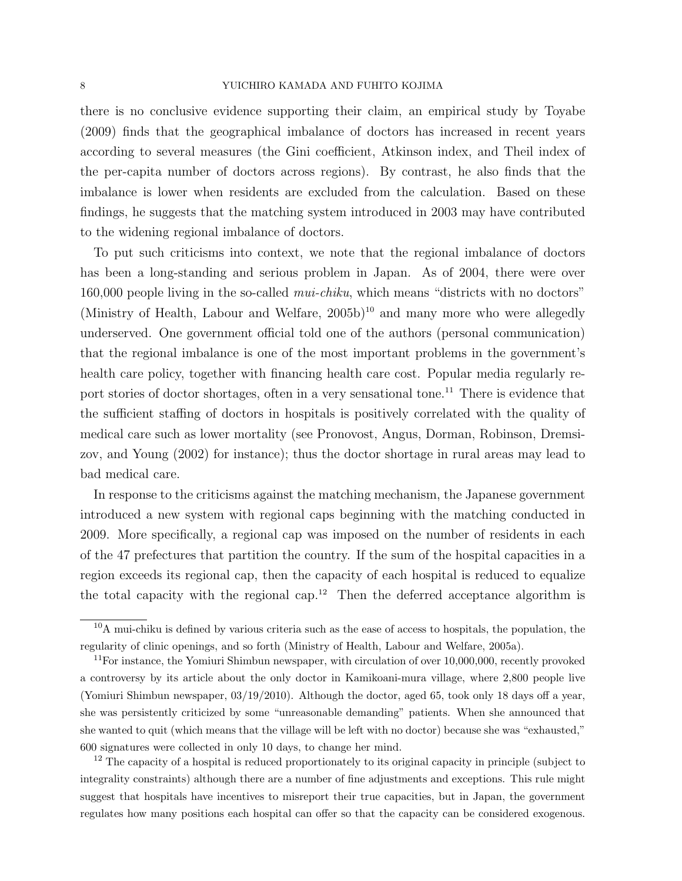### 8 YUICHIRO KAMADA AND FUHITO KOJIMA

there is no conclusive evidence supporting their claim, an empirical study by Toyabe (2009) finds that the geographical imbalance of doctors has increased in recent years according to several measures (the Gini coefficient, Atkinson index, and Theil index of the per-capita number of doctors across regions). By contrast, he also finds that the imbalance is lower when residents are excluded from the calculation. Based on these findings, he suggests that the matching system introduced in 2003 may have contributed to the widening regional imbalance of doctors.

To put such criticisms into context, we note that the regional imbalance of doctors has been a long-standing and serious problem in Japan. As of 2004, there were over 160,000 people living in the so-called mui-chiku, which means "districts with no doctors" (Ministry of Health, Labour and Welfare,  $2005b$ )<sup>10</sup> and many more who were allegedly underserved. One government official told one of the authors (personal communication) that the regional imbalance is one of the most important problems in the government's health care policy, together with financing health care cost. Popular media regularly report stories of doctor shortages, often in a very sensational tone.<sup>11</sup> There is evidence that the sufficient staffing of doctors in hospitals is positively correlated with the quality of medical care such as lower mortality (see Pronovost, Angus, Dorman, Robinson, Dremsizov, and Young (2002) for instance); thus the doctor shortage in rural areas may lead to bad medical care.

In response to the criticisms against the matching mechanism, the Japanese government introduced a new system with regional caps beginning with the matching conducted in 2009. More specifically, a regional cap was imposed on the number of residents in each of the 47 prefectures that partition the country. If the sum of the hospital capacities in a region exceeds its regional cap, then the capacity of each hospital is reduced to equalize the total capacity with the regional cap.<sup>12</sup> Then the deferred acceptance algorithm is

<sup>12</sup> The capacity of a hospital is reduced proportionately to its original capacity in principle (subject to integrality constraints) although there are a number of fine adjustments and exceptions. This rule might suggest that hospitals have incentives to misreport their true capacities, but in Japan, the government regulates how many positions each hospital can offer so that the capacity can be considered exogenous.

 $10$ A mui-chiku is defined by various criteria such as the ease of access to hospitals, the population, the regularity of clinic openings, and so forth (Ministry of Health, Labour and Welfare, 2005a).

 $11$ For instance, the Yomiuri Shimbun newspaper, with circulation of over 10,000,000, recently provoked a controversy by its article about the only doctor in Kamikoani-mura village, where 2,800 people live (Yomiuri Shimbun newspaper, 03/19/2010). Although the doctor, aged 65, took only 18 days off a year, she was persistently criticized by some "unreasonable demanding" patients. When she announced that she wanted to quit (which means that the village will be left with no doctor) because she was "exhausted," 600 signatures were collected in only 10 days, to change her mind.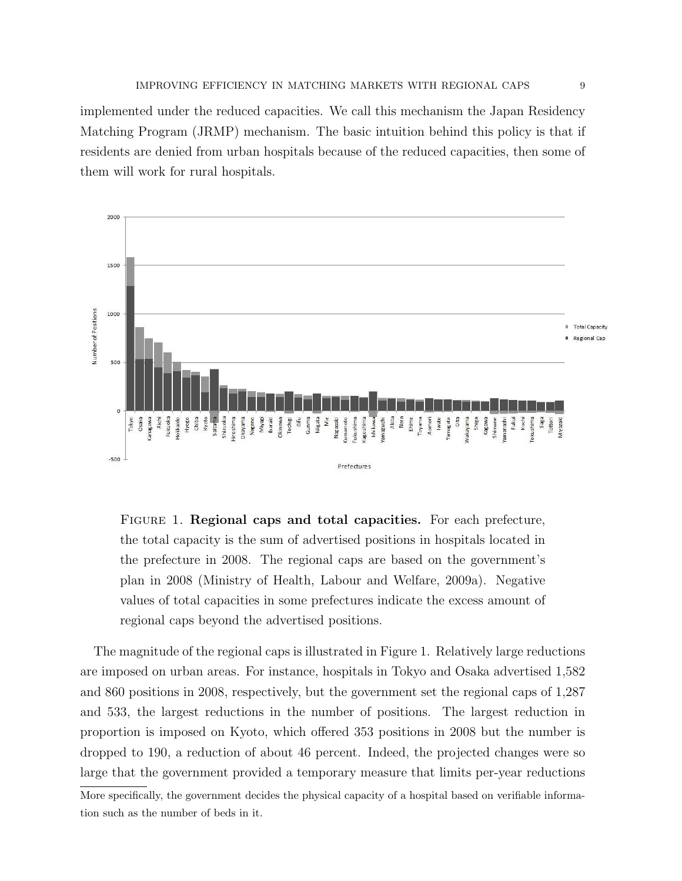implemented under the reduced capacities. We call this mechanism the Japan Residency Matching Program (JRMP) mechanism. The basic intuition behind this policy is that if residents are denied from urban hospitals because of the reduced capacities, then some of them will work for rural hospitals.



Figure 1. Regional caps and total capacities. For each prefecture, the total capacity is the sum of advertised positions in hospitals located in the prefecture in 2008. The regional caps are based on the government's plan in 2008 (Ministry of Health, Labour and Welfare, 2009a). Negative values of total capacities in some prefectures indicate the excess amount of regional caps beyond the advertised positions.

The magnitude of the regional caps is illustrated in Figure 1. Relatively large reductions are imposed on urban areas. For instance, hospitals in Tokyo and Osaka advertised 1,582 and 860 positions in 2008, respectively, but the government set the regional caps of 1,287 and 533, the largest reductions in the number of positions. The largest reduction in proportion is imposed on Kyoto, which offered 353 positions in 2008 but the number is dropped to 190, a reduction of about 46 percent. Indeed, the projected changes were so large that the government provided a temporary measure that limits per-year reductions

More specifically, the government decides the physical capacity of a hospital based on verifiable information such as the number of beds in it.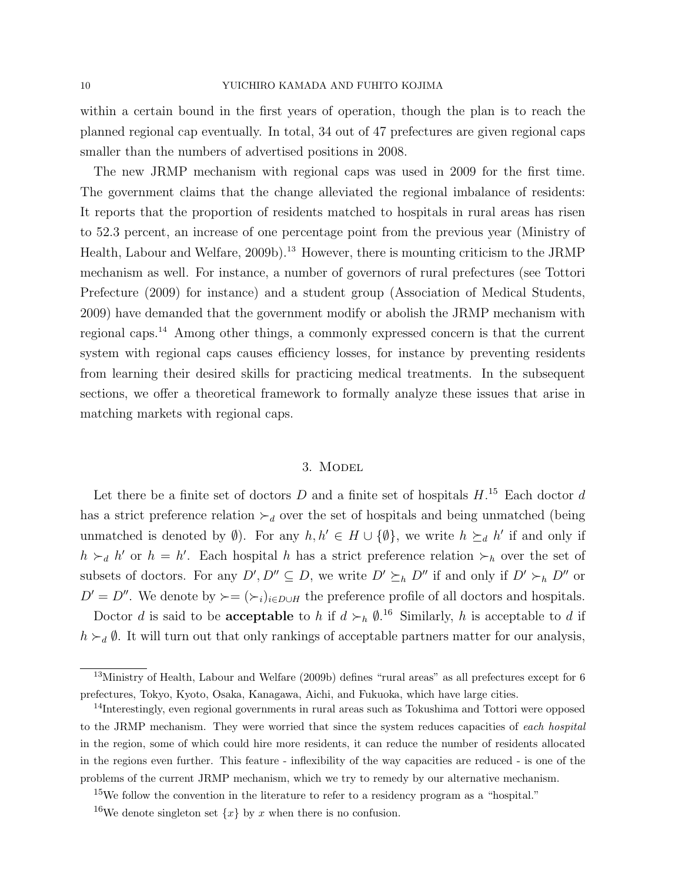within a certain bound in the first years of operation, though the plan is to reach the planned regional cap eventually. In total, 34 out of 47 prefectures are given regional caps smaller than the numbers of advertised positions in 2008.

The new JRMP mechanism with regional caps was used in 2009 for the first time. The government claims that the change alleviated the regional imbalance of residents: It reports that the proportion of residents matched to hospitals in rural areas has risen to 52.3 percent, an increase of one percentage point from the previous year (Ministry of Health, Labour and Welfare, 2009b).<sup>13</sup> However, there is mounting criticism to the JRMP mechanism as well. For instance, a number of governors of rural prefectures (see Tottori Prefecture (2009) for instance) and a student group (Association of Medical Students, 2009) have demanded that the government modify or abolish the JRMP mechanism with regional caps.<sup>14</sup> Among other things, a commonly expressed concern is that the current system with regional caps causes efficiency losses, for instance by preventing residents from learning their desired skills for practicing medical treatments. In the subsequent sections, we offer a theoretical framework to formally analyze these issues that arise in matching markets with regional caps.

### 3. Model

Let there be a finite set of doctors  $D$  and a finite set of hospitals  $H$ <sup>15</sup> Each doctor  $d$ has a strict preference relation  $\succ_d$  over the set of hospitals and being unmatched (being unmatched is denoted by  $\emptyset$ ). For any  $h, h' \in H \cup \{\emptyset\}$ , we write  $h \succeq_d h'$  if and only if  $h \succ_d h'$  or  $h = h'$ . Each hospital h has a strict preference relation  $\succ_h$  over the set of subsets of doctors. For any  $D', D'' \subseteq D$ , we write  $D' \succeq_h D''$  if and only if  $D' \succ_h D''$  or  $D' = D''$ . We denote by  $\succ = (\succ_i)_{i \in D \cup H}$  the preference profile of all doctors and hospitals.

Doctor d is said to be **acceptable** to h if  $d \succ_h \emptyset$ .<sup>16</sup> Similarly, h is acceptable to d if  $h \succ d$ . It will turn out that only rankings of acceptable partners matter for our analysis,

<sup>&</sup>lt;sup>13</sup>Ministry of Health, Labour and Welfare (2009b) defines "rural areas" as all prefectures except for 6 prefectures, Tokyo, Kyoto, Osaka, Kanagawa, Aichi, and Fukuoka, which have large cities.

<sup>&</sup>lt;sup>14</sup>Interestingly, even regional governments in rural areas such as Tokushima and Tottori were opposed to the JRMP mechanism. They were worried that since the system reduces capacities of each hospital in the region, some of which could hire more residents, it can reduce the number of residents allocated in the regions even further. This feature - inflexibility of the way capacities are reduced - is one of the problems of the current JRMP mechanism, which we try to remedy by our alternative mechanism.

<sup>15</sup>We follow the convention in the literature to refer to a residency program as a "hospital."

<sup>&</sup>lt;sup>16</sup>We denote singleton set  $\{x\}$  by x when there is no confusion.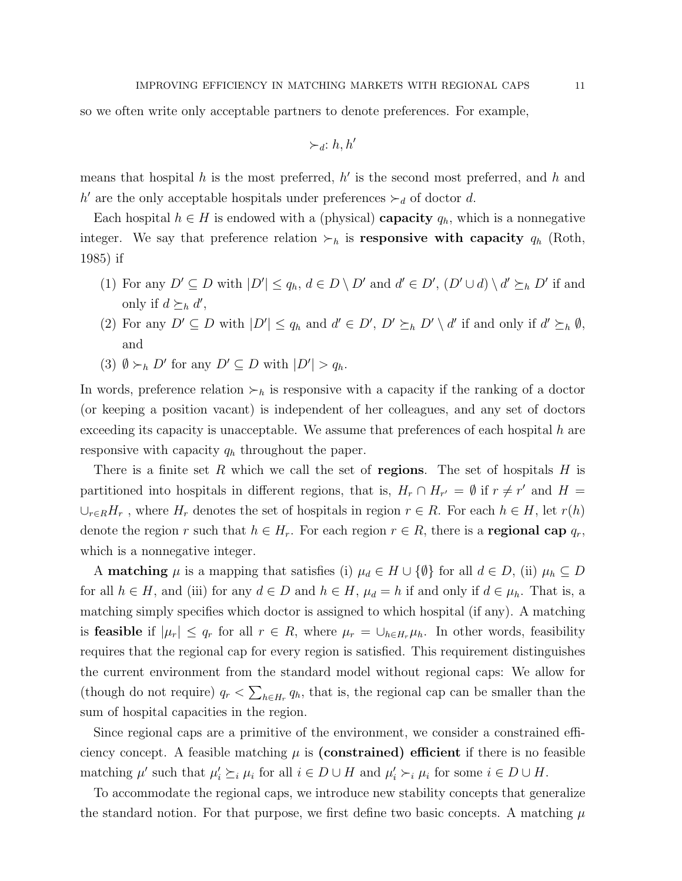so we often write only acceptable partners to denote preferences. For example,

$$
\succ_{d}: h, h'
$$

means that hospital  $h$  is the most preferred,  $h'$  is the second most preferred, and  $h$  and h' are the only acceptable hospitals under preferences  $\succ_d$  of doctor d.

Each hospital  $h \in H$  is endowed with a (physical) **capacity**  $q_h$ , which is a nonnegative integer. We say that preference relation  $\succ_h$  is **responsive with capacity**  $q_h$  (Roth, 1985) if

- (1) For any  $D' \subseteq D$  with  $|D'| \le q_h$ ,  $d \in D \setminus D'$  and  $d' \in D'$ ,  $(D' \cup d) \setminus d' \succeq_h D'$  if and only if  $d \succeq_h d'$ ,
- (2) For any  $D' \subseteq D$  with  $|D'| \le q_h$  and  $d' \in D'$ ,  $D' \succeq_h D' \setminus d'$  if and only if  $d' \succeq_h \emptyset$ , and
- (3)  $\emptyset \succ_h D'$  for any  $D' \subseteq D$  with  $|D'| > q_h$ .

In words, preference relation  $\succ_h$  is responsive with a capacity if the ranking of a doctor (or keeping a position vacant) is independent of her colleagues, and any set of doctors exceeding its capacity is unacceptable. We assume that preferences of each hospital  $h$  are responsive with capacity  $q_h$  throughout the paper.

There is a finite set R which we call the set of regions. The set of hospitals  $H$  is partitioned into hospitals in different regions, that is,  $H_r \cap H_{r'} = \emptyset$  if  $r \neq r'$  and  $H =$  $\cup_{r\in R}H_r$ , where  $H_r$  denotes the set of hospitals in region  $r \in R$ . For each  $h \in H$ , let  $r(h)$ denote the region r such that  $h \in H_r$ . For each region  $r \in R$ , there is a **regional cap**  $q_r$ , which is a nonnegative integer.

A **matching**  $\mu$  is a mapping that satisfies (i)  $\mu_d \in H \cup \{\emptyset\}$  for all  $d \in D$ , (ii)  $\mu_h \subseteq D$ for all  $h \in H$ , and (iii) for any  $d \in D$  and  $h \in H$ ,  $\mu_d = h$  if and only if  $d \in \mu_h$ . That is, a matching simply specifies which doctor is assigned to which hospital (if any). A matching is **feasible** if  $|\mu_r| \leq q_r$  for all  $r \in R$ , where  $\mu_r = \bigcup_{h \in H_r} \mu_h$ . In other words, feasibility requires that the regional cap for every region is satisfied. This requirement distinguishes the current environment from the standard model without regional caps: We allow for (though do not require)  $q_r < \sum_{h \in H_r} q_h$ , that is, the regional cap can be smaller than the sum of hospital capacities in the region.

Since regional caps are a primitive of the environment, we consider a constrained efficiency concept. A feasible matching  $\mu$  is (constrained) efficient if there is no feasible matching  $\mu'$  such that  $\mu'_i \succeq_i \mu_i$  for all  $i \in D \cup H$  and  $\mu'_i \succ_i \mu_i$  for some  $i \in D \cup H$ .

To accommodate the regional caps, we introduce new stability concepts that generalize the standard notion. For that purpose, we first define two basic concepts. A matching  $\mu$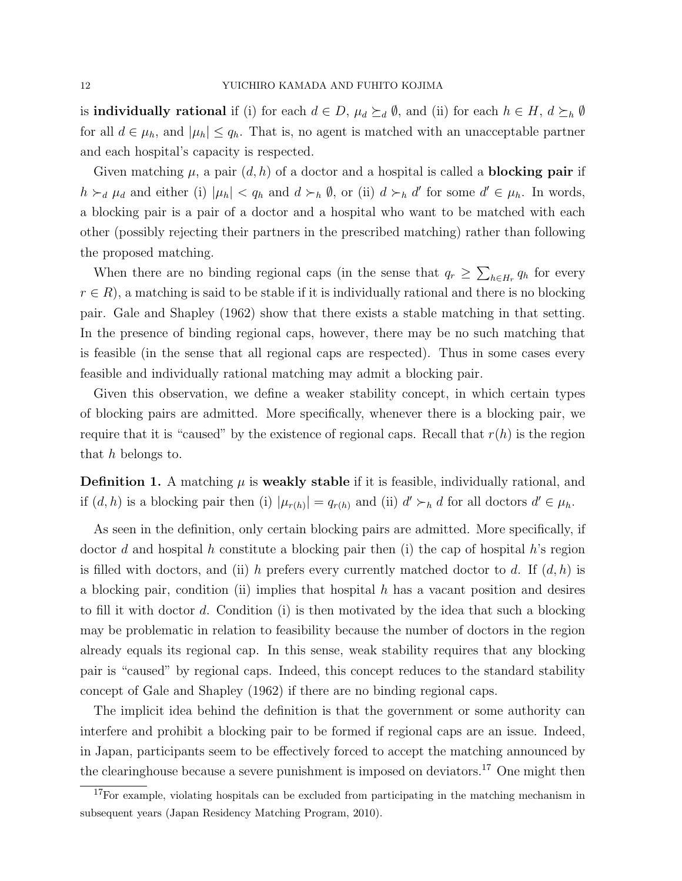is **individually rational** if (i) for each  $d \in D$ ,  $\mu_d \succeq_d \emptyset$ , and (ii) for each  $h \in H$ ,  $d \succeq_h \emptyset$ for all  $d \in \mu_h$ , and  $|\mu_h| \leq q_h$ . That is, no agent is matched with an unacceptable partner and each hospital's capacity is respected.

Given matching  $\mu$ , a pair  $(d, h)$  of a doctor and a hospital is called a **blocking pair** if  $h \succ_d \mu_d$  and either (i)  $|\mu_h| < q_h$  and  $d \succ_h \emptyset$ , or (ii)  $d \succ_h d'$  for some  $d' \in \mu_h$ . In words, a blocking pair is a pair of a doctor and a hospital who want to be matched with each other (possibly rejecting their partners in the prescribed matching) rather than following the proposed matching.

When there are no binding regional caps (in the sense that  $q_r \geq \sum_{h \in H_r} q_h$  for every  $r \in R$ , a matching is said to be stable if it is individually rational and there is no blocking pair. Gale and Shapley (1962) show that there exists a stable matching in that setting. In the presence of binding regional caps, however, there may be no such matching that is feasible (in the sense that all regional caps are respected). Thus in some cases every feasible and individually rational matching may admit a blocking pair.

Given this observation, we define a weaker stability concept, in which certain types of blocking pairs are admitted. More specifically, whenever there is a blocking pair, we require that it is "caused" by the existence of regional caps. Recall that  $r(h)$  is the region that h belongs to.

**Definition 1.** A matching  $\mu$  is weakly stable if it is feasible, individually rational, and if  $(d, h)$  is a blocking pair then (i)  $|\mu_{r(h)}| = q_{r(h)}$  and (ii)  $d' \succ_h d$  for all doctors  $d' \in \mu_h$ .

As seen in the definition, only certain blocking pairs are admitted. More specifically, if doctor d and hospital h constitute a blocking pair then (i) the cap of hospital h's region is filled with doctors, and (ii) h prefers every currently matched doctor to d. If  $(d, h)$  is a blocking pair, condition (ii) implies that hospital h has a vacant position and desires to fill it with doctor d. Condition (i) is then motivated by the idea that such a blocking may be problematic in relation to feasibility because the number of doctors in the region already equals its regional cap. In this sense, weak stability requires that any blocking pair is "caused" by regional caps. Indeed, this concept reduces to the standard stability concept of Gale and Shapley (1962) if there are no binding regional caps.

The implicit idea behind the definition is that the government or some authority can interfere and prohibit a blocking pair to be formed if regional caps are an issue. Indeed, in Japan, participants seem to be effectively forced to accept the matching announced by the clearinghouse because a severe punishment is imposed on deviators.<sup>17</sup> One might then

<sup>&</sup>lt;sup>17</sup>For example, violating hospitals can be excluded from participating in the matching mechanism in subsequent years (Japan Residency Matching Program, 2010).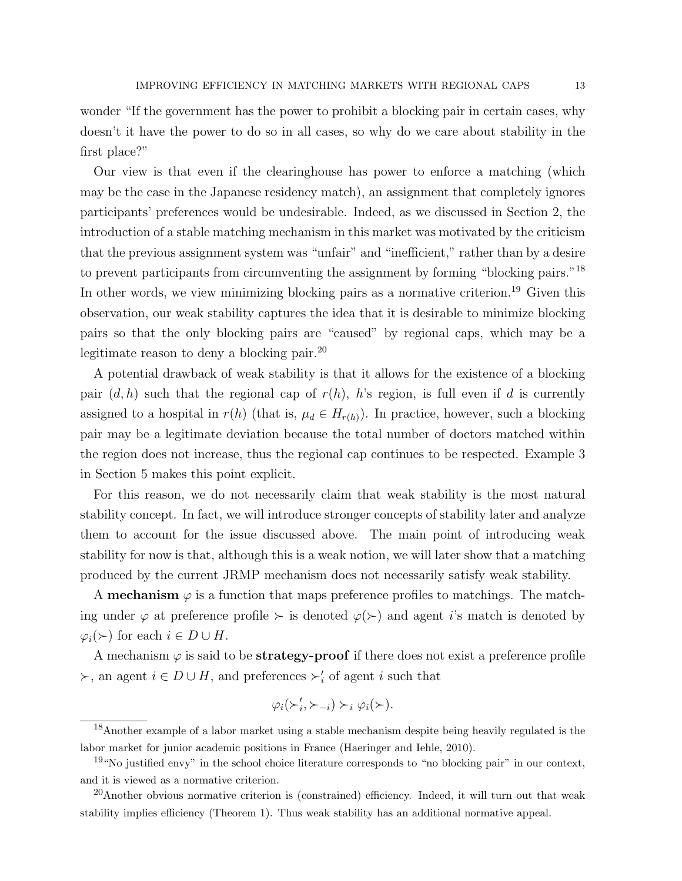wonder "If the government has the power to prohibit a blocking pair in certain cases, why doesn't it have the power to do so in all cases, so why do we care about stability in the first place?"

Our view is that even if the clearinghouse has power to enforce a matching (which may be the case in the Japanese residency match), an assignment that completely ignores participants' preferences would be undesirable. Indeed, as we discussed in Section 2, the introduction of a stable matching mechanism in this market was motivated by the criticism that the previous assignment system was "unfair" and "inefficient," rather than by a desire to prevent participants from circumventing the assignment by forming "blocking pairs."<sup>18</sup> In other words, we view minimizing blocking pairs as a normative criterion.<sup>19</sup> Given this observation, our weak stability captures the idea that it is desirable to minimize blocking pairs so that the only blocking pairs are "caused" by regional caps, which may be a legitimate reason to deny a blocking pair.<sup>20</sup>

A potential drawback of weak stability is that it allows for the existence of a blocking pair  $(d, h)$  such that the regional cap of  $r(h)$ , h's region, is full even if d is currently assigned to a hospital in  $r(h)$  (that is,  $\mu_d \in H_{r(h)}$ ). In practice, however, such a blocking pair may be a legitimate deviation because the total number of doctors matched within the region does not increase, thus the regional cap continues to be respected. Example 3 in Section 5 makes this point explicit.

For this reason, we do not necessarily claim that weak stability is the most natural stability concept. In fact, we will introduce stronger concepts of stability later and analyze them to account for the issue discussed above. The main point of introducing weak stability for now is that, although this is a weak notion, we will later show that a matching produced by the current JRMP mechanism does not necessarily satisfy weak stability.

A **mechanism**  $\varphi$  is a function that maps preference profiles to matchings. The matching under  $\varphi$  at preference profile  $\succ$  is denoted  $\varphi(\succ)$  and agent i's match is denoted by  $\varphi_i(\succ)$  for each  $i \in D \cup H$ .

A mechanism  $\varphi$  is said to be **strategy-proof** if there does not exist a preference profile  $\succ$ , an agent  $i \in D \cup H$ , and preferences  $\succ'_{i}$  of agent i such that

$$
\varphi_i(\succ'_i, \succ_{-i}) \succ_i \varphi_i(\succ).
$$

<sup>18</sup>Another example of a labor market using a stable mechanism despite being heavily regulated is the labor market for junior academic positions in France (Haeringer and Iehle, 2010).

 $19$ "No justified envy" in the school choice literature corresponds to "no blocking pair" in our context, and it is viewed as a normative criterion.

 $^{20}$ Another obvious normative criterion is (constrained) efficiency. Indeed, it will turn out that weak stability implies efficiency (Theorem 1). Thus weak stability has an additional normative appeal.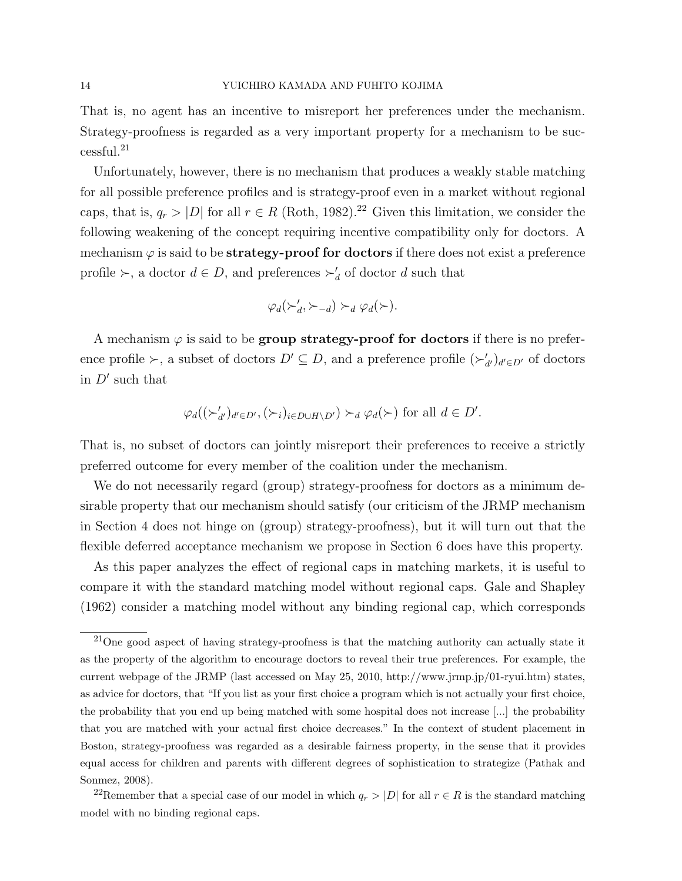That is, no agent has an incentive to misreport her preferences under the mechanism. Strategy-proofness is regarded as a very important property for a mechanism to be successful.<sup>21</sup>

Unfortunately, however, there is no mechanism that produces a weakly stable matching for all possible preference profiles and is strategy-proof even in a market without regional caps, that is,  $q_r > |D|$  for all  $r \in R$  (Roth, 1982).<sup>22</sup> Given this limitation, we consider the following weakening of the concept requiring incentive compatibility only for doctors. A mechanism  $\varphi$  is said to be **strategy-proof for doctors** if there does not exist a preference profile  $\succ$ , a doctor  $d \in D$ , and preferences  $\succ'_{d}$  of doctor d such that

$$
\varphi_d(\succ'_d, \succ_{-d}) \succ_d \varphi_d(\succ).
$$

A mechanism  $\varphi$  is said to be **group strategy-proof for doctors** if there is no preference profile  $\succ$ , a subset of doctors  $D' \subseteq D$ , and a preference profile  $(\succ'_{d'})_{d' \in D'}$  of doctors in  $D'$  such that

$$
\varphi_d((\succ'_{d'})_{d' \in D'}, (\succ_i)_{i \in D \cup H \setminus D'}) \succ_d \varphi_d(\succ) \text{ for all } d \in D'.
$$

That is, no subset of doctors can jointly misreport their preferences to receive a strictly preferred outcome for every member of the coalition under the mechanism.

We do not necessarily regard (group) strategy-proofness for doctors as a minimum desirable property that our mechanism should satisfy (our criticism of the JRMP mechanism in Section 4 does not hinge on (group) strategy-proofness), but it will turn out that the flexible deferred acceptance mechanism we propose in Section 6 does have this property.

As this paper analyzes the effect of regional caps in matching markets, it is useful to compare it with the standard matching model without regional caps. Gale and Shapley (1962) consider a matching model without any binding regional cap, which corresponds

 $^{21}$ One good aspect of having strategy-proofness is that the matching authority can actually state it as the property of the algorithm to encourage doctors to reveal their true preferences. For example, the current webpage of the JRMP (last accessed on May 25, 2010, http://www.jrmp.jp/01-ryui.htm) states, as advice for doctors, that "If you list as your first choice a program which is not actually your first choice, the probability that you end up being matched with some hospital does not increase [...] the probability that you are matched with your actual first choice decreases." In the context of student placement in Boston, strategy-proofness was regarded as a desirable fairness property, in the sense that it provides equal access for children and parents with different degrees of sophistication to strategize (Pathak and Sonmez, 2008).

<sup>&</sup>lt;sup>22</sup>Remember that a special case of our model in which  $q_r > |D|$  for all  $r \in R$  is the standard matching model with no binding regional caps.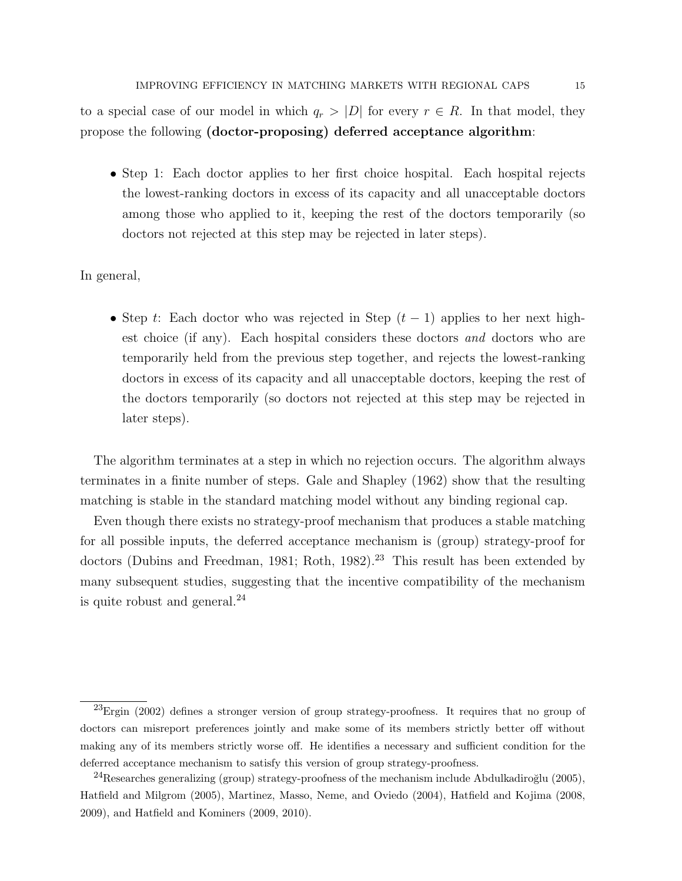to a special case of our model in which  $q_r > |D|$  for every  $r \in R$ . In that model, they propose the following (doctor-proposing) deferred acceptance algorithm:

• Step 1: Each doctor applies to her first choice hospital. Each hospital rejects the lowest-ranking doctors in excess of its capacity and all unacceptable doctors among those who applied to it, keeping the rest of the doctors temporarily (so doctors not rejected at this step may be rejected in later steps).

In general,

• Step t: Each doctor who was rejected in Step  $(t-1)$  applies to her next highest choice (if any). Each hospital considers these doctors and doctors who are temporarily held from the previous step together, and rejects the lowest-ranking doctors in excess of its capacity and all unacceptable doctors, keeping the rest of the doctors temporarily (so doctors not rejected at this step may be rejected in later steps).

The algorithm terminates at a step in which no rejection occurs. The algorithm always terminates in a finite number of steps. Gale and Shapley (1962) show that the resulting matching is stable in the standard matching model without any binding regional cap.

Even though there exists no strategy-proof mechanism that produces a stable matching for all possible inputs, the deferred acceptance mechanism is (group) strategy-proof for doctors (Dubins and Freedman, 1981; Roth, 1982).<sup>23</sup> This result has been extended by many subsequent studies, suggesting that the incentive compatibility of the mechanism is quite robust and general. $^{24}$ 

 $^{23}$ Ergin (2002) defines a stronger version of group strategy-proofness. It requires that no group of doctors can misreport preferences jointly and make some of its members strictly better off without making any of its members strictly worse off. He identifies a necessary and sufficient condition for the deferred acceptance mechanism to satisfy this version of group strategy-proofness.

<sup>&</sup>lt;sup>24</sup>Researches generalizing (group) strategy-proofness of the mechanism include Abdulkadiroğlu (2005), Hatfield and Milgrom (2005), Martinez, Masso, Neme, and Oviedo (2004), Hatfield and Kojima (2008, 2009), and Hatfield and Kominers (2009, 2010).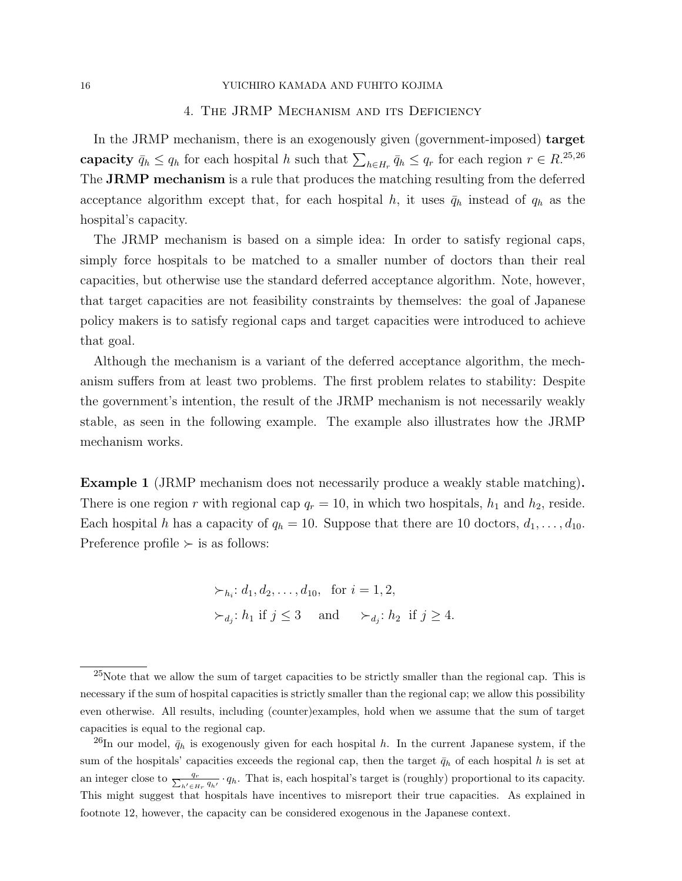## 16 YUICHIRO KAMADA AND FUHITO KOJIMA

### 4. The JRMP Mechanism and its Deficiency

In the JRMP mechanism, there is an exogenously given (government-imposed) target capacity  $\bar{q}_h \leq q_h$  for each hospital h such that  $\sum_{h \in H_r} \bar{q}_h \leq q_r$  for each region  $r \in R^{25,26}$ The **JRMP** mechanism is a rule that produces the matching resulting from the deferred acceptance algorithm except that, for each hospital h, it uses  $\bar{q}_h$  instead of  $q_h$  as the hospital's capacity.

The JRMP mechanism is based on a simple idea: In order to satisfy regional caps, simply force hospitals to be matched to a smaller number of doctors than their real capacities, but otherwise use the standard deferred acceptance algorithm. Note, however, that target capacities are not feasibility constraints by themselves: the goal of Japanese policy makers is to satisfy regional caps and target capacities were introduced to achieve that goal.

Although the mechanism is a variant of the deferred acceptance algorithm, the mechanism suffers from at least two problems. The first problem relates to stability: Despite the government's intention, the result of the JRMP mechanism is not necessarily weakly stable, as seen in the following example. The example also illustrates how the JRMP mechanism works.

Example 1 (JRMP mechanism does not necessarily produce a weakly stable matching). There is one region r with regional cap  $q_r = 10$ , in which two hospitals,  $h_1$  and  $h_2$ , reside. Each hospital h has a capacity of  $q_h = 10$ . Suppose that there are 10 doctors,  $d_1, \ldots, d_{10}$ . Preference profile  $\succ$  is as follows:

$$
\succ_{h_i}: d_1, d_2, \dots, d_{10}, \text{ for } i = 1, 2,
$$
  

$$
\succ_{d_j}: h_1 \text{ if } j \leq 3 \text{ and } \succ_{d_j}: h_2 \text{ if } j \geq 4.
$$

 $25$ Note that we allow the sum of target capacities to be strictly smaller than the regional cap. This is necessary if the sum of hospital capacities is strictly smaller than the regional cap; we allow this possibility even otherwise. All results, including (counter)examples, hold when we assume that the sum of target capacities is equal to the regional cap.

<sup>&</sup>lt;sup>26</sup>In our model,  $\bar{q}_h$  is exogenously given for each hospital h. In the current Japanese system, if the sum of the hospitals' capacities exceeds the regional cap, then the target  $\bar{q}_h$  of each hospital h is set at an integer close to  $\frac{q_r}{\sum_{h' \in H_r} q_{h'}} \cdot q_h$ . That is, each hospital's target is (roughly) proportional to its capacity. This might suggest that hospitals have incentives to misreport their true capacities. As explained in footnote 12, however, the capacity can be considered exogenous in the Japanese context.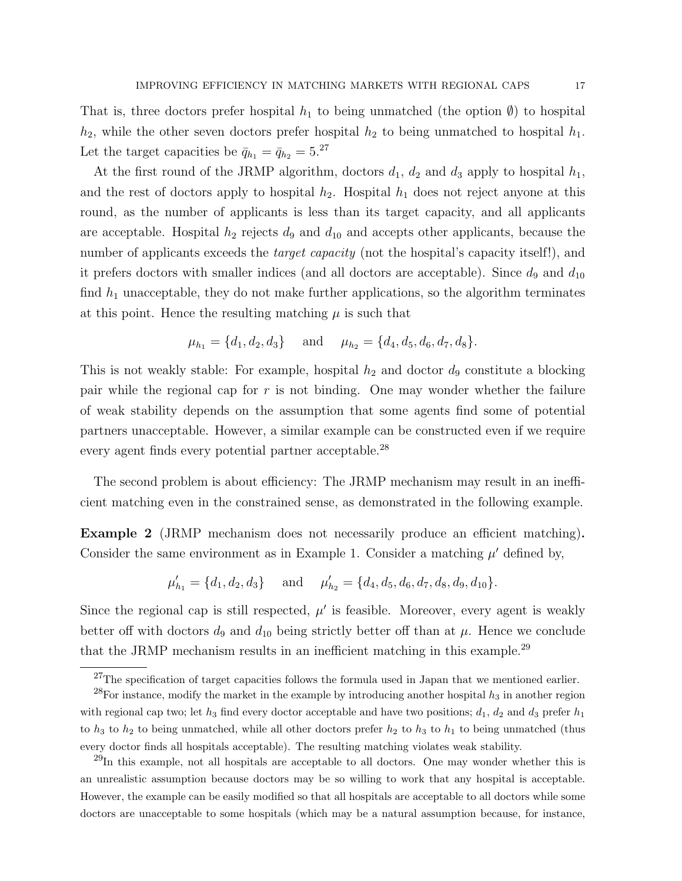That is, three doctors prefer hospital  $h_1$  to being unmatched (the option  $\emptyset$ ) to hospital  $h_2$ , while the other seven doctors prefer hospital  $h_2$  to being unmatched to hospital  $h_1$ . Let the target capacities be  $\bar{q}_{h_1} = \bar{q}_{h_2} = 5.^{27}$ 

At the first round of the JRMP algorithm, doctors  $d_1$ ,  $d_2$  and  $d_3$  apply to hospital  $h_1$ , and the rest of doctors apply to hospital  $h_2$ . Hospital  $h_1$  does not reject anyone at this round, as the number of applicants is less than its target capacity, and all applicants are acceptable. Hospital  $h_2$  rejects  $d_9$  and  $d_{10}$  and accepts other applicants, because the number of applicants exceeds the *target capacity* (not the hospital's capacity itself!), and it prefers doctors with smaller indices (and all doctors are acceptable). Since  $d_9$  and  $d_{10}$ find  $h_1$  unacceptable, they do not make further applications, so the algorithm terminates at this point. Hence the resulting matching  $\mu$  is such that

$$
\mu_{h_1} = \{d_1, d_2, d_3\}
$$
 and  $\mu_{h_2} = \{d_4, d_5, d_6, d_7, d_8\}.$ 

This is not weakly stable: For example, hospital  $h_2$  and doctor  $d_9$  constitute a blocking pair while the regional cap for  $r$  is not binding. One may wonder whether the failure of weak stability depends on the assumption that some agents find some of potential partners unacceptable. However, a similar example can be constructed even if we require every agent finds every potential partner acceptable.<sup>28</sup>

The second problem is about efficiency: The JRMP mechanism may result in an inefficient matching even in the constrained sense, as demonstrated in the following example.

Example 2 (JRMP mechanism does not necessarily produce an efficient matching). Consider the same environment as in Example 1. Consider a matching  $\mu'$  defined by,

$$
\mu'_{h_1} = \{d_1, d_2, d_3\}
$$
 and  $\mu'_{h_2} = \{d_4, d_5, d_6, d_7, d_8, d_9, d_{10}\}.$ 

Since the regional cap is still respected,  $\mu'$  is feasible. Moreover, every agent is weakly better off with doctors  $d_9$  and  $d_{10}$  being strictly better off than at  $\mu$ . Hence we conclude that the JRMP mechanism results in an inefficient matching in this example.<sup>29</sup>

 $^{27}$ The specification of target capacities follows the formula used in Japan that we mentioned earlier.

<sup>&</sup>lt;sup>28</sup>For instance, modify the market in the example by introducing another hospital  $h_3$  in another region with regional cap two; let  $h_3$  find every doctor acceptable and have two positions;  $d_1$ ,  $d_2$  and  $d_3$  prefer  $h_1$ to  $h_3$  to  $h_2$  to being unmatched, while all other doctors prefer  $h_2$  to  $h_3$  to  $h_1$  to being unmatched (thus every doctor finds all hospitals acceptable). The resulting matching violates weak stability.

 $^{29}$ In this example, not all hospitals are acceptable to all doctors. One may wonder whether this is an unrealistic assumption because doctors may be so willing to work that any hospital is acceptable. However, the example can be easily modified so that all hospitals are acceptable to all doctors while some doctors are unacceptable to some hospitals (which may be a natural assumption because, for instance,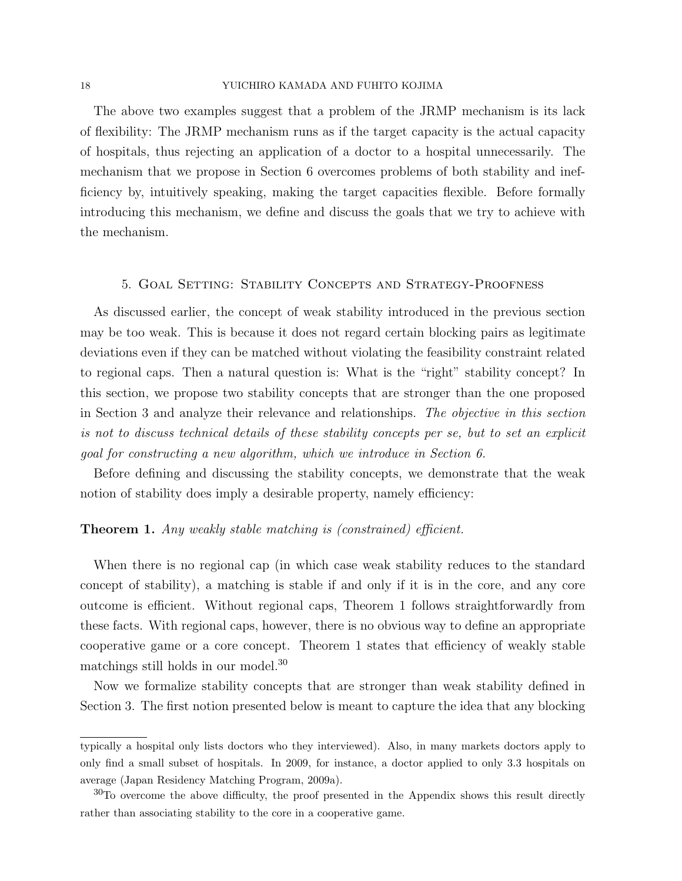### 18 YUICHIRO KAMADA AND FUHITO KOJIMA

The above two examples suggest that a problem of the JRMP mechanism is its lack of flexibility: The JRMP mechanism runs as if the target capacity is the actual capacity of hospitals, thus rejecting an application of a doctor to a hospital unnecessarily. The mechanism that we propose in Section 6 overcomes problems of both stability and inefficiency by, intuitively speaking, making the target capacities flexible. Before formally introducing this mechanism, we define and discuss the goals that we try to achieve with the mechanism.

### 5. Goal Setting: Stability Concepts and Strategy-Proofness

As discussed earlier, the concept of weak stability introduced in the previous section may be too weak. This is because it does not regard certain blocking pairs as legitimate deviations even if they can be matched without violating the feasibility constraint related to regional caps. Then a natural question is: What is the "right" stability concept? In this section, we propose two stability concepts that are stronger than the one proposed in Section 3 and analyze their relevance and relationships. The objective in this section is not to discuss technical details of these stability concepts per se, but to set an explicit goal for constructing a new algorithm, which we introduce in Section 6.

Before defining and discussing the stability concepts, we demonstrate that the weak notion of stability does imply a desirable property, namely efficiency:

### Theorem 1. Any weakly stable matching is (constrained) efficient.

When there is no regional cap (in which case weak stability reduces to the standard concept of stability), a matching is stable if and only if it is in the core, and any core outcome is efficient. Without regional caps, Theorem 1 follows straightforwardly from these facts. With regional caps, however, there is no obvious way to define an appropriate cooperative game or a core concept. Theorem 1 states that efficiency of weakly stable matchings still holds in our model.<sup>30</sup>

Now we formalize stability concepts that are stronger than weak stability defined in Section 3. The first notion presented below is meant to capture the idea that any blocking

typically a hospital only lists doctors who they interviewed). Also, in many markets doctors apply to only find a small subset of hospitals. In 2009, for instance, a doctor applied to only 3.3 hospitals on average (Japan Residency Matching Program, 2009a).

<sup>&</sup>lt;sup>30</sup>To overcome the above difficulty, the proof presented in the Appendix shows this result directly rather than associating stability to the core in a cooperative game.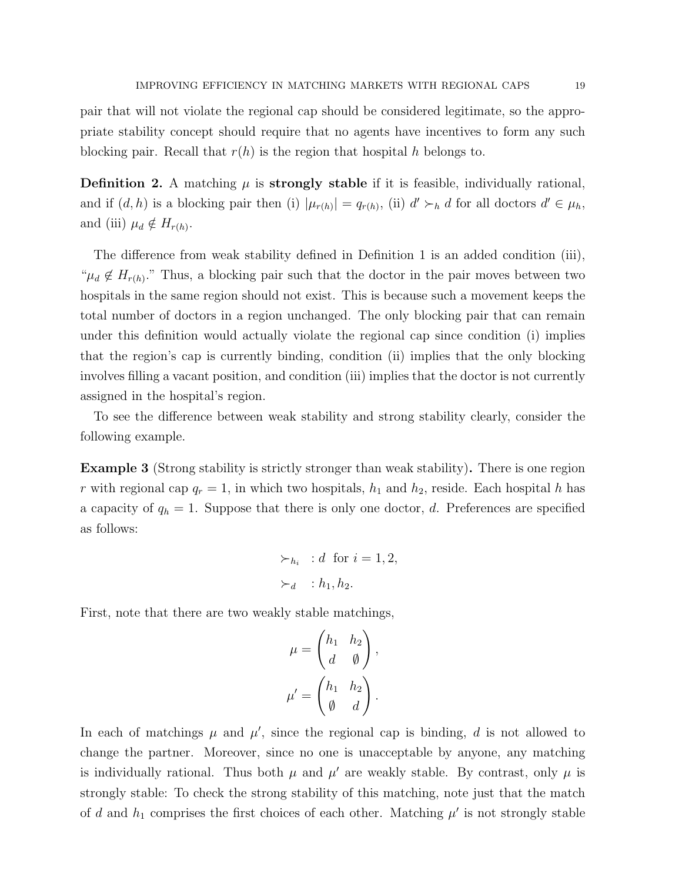pair that will not violate the regional cap should be considered legitimate, so the appropriate stability concept should require that no agents have incentives to form any such blocking pair. Recall that  $r(h)$  is the region that hospital h belongs to.

**Definition 2.** A matching  $\mu$  is **strongly stable** if it is feasible, individually rational, and if  $(d, h)$  is a blocking pair then (i)  $|\mu_{r(h)}| = q_{r(h)}$ , (ii)  $d' \succ_h d$  for all doctors  $d' \in \mu_h$ , and (iii)  $\mu_d \notin H_{r(h)}$ .

The difference from weak stability defined in Definition 1 is an added condition (iii), " $\mu_d \notin H_{r(h)}$ ." Thus, a blocking pair such that the doctor in the pair moves between two hospitals in the same region should not exist. This is because such a movement keeps the total number of doctors in a region unchanged. The only blocking pair that can remain under this definition would actually violate the regional cap since condition (i) implies that the region's cap is currently binding, condition (ii) implies that the only blocking involves filling a vacant position, and condition (iii) implies that the doctor is not currently assigned in the hospital's region.

To see the difference between weak stability and strong stability clearly, consider the following example.

Example 3 (Strong stability is strictly stronger than weak stability). There is one region r with regional cap  $q_r = 1$ , in which two hospitals,  $h_1$  and  $h_2$ , reside. Each hospital h has a capacity of  $q_h = 1$ . Suppose that there is only one doctor, d. Preferences are specified as follows:

$$
\succ_{h_i} : d \text{ for } i = 1, 2,
$$
  

$$
\succ_d : h_1, h_2.
$$

First, note that there are two weakly stable matchings,

$$
\mu = \begin{pmatrix} h_1 & h_2 \\ d & \emptyset \end{pmatrix},
$$

$$
\mu' = \begin{pmatrix} h_1 & h_2 \\ \emptyset & d \end{pmatrix}.
$$

In each of matchings  $\mu$  and  $\mu'$ , since the regional cap is binding, d is not allowed to change the partner. Moreover, since no one is unacceptable by anyone, any matching is individually rational. Thus both  $\mu$  and  $\mu'$  are weakly stable. By contrast, only  $\mu$  is strongly stable: To check the strong stability of this matching, note just that the match of d and  $h_1$  comprises the first choices of each other. Matching  $\mu'$  is not strongly stable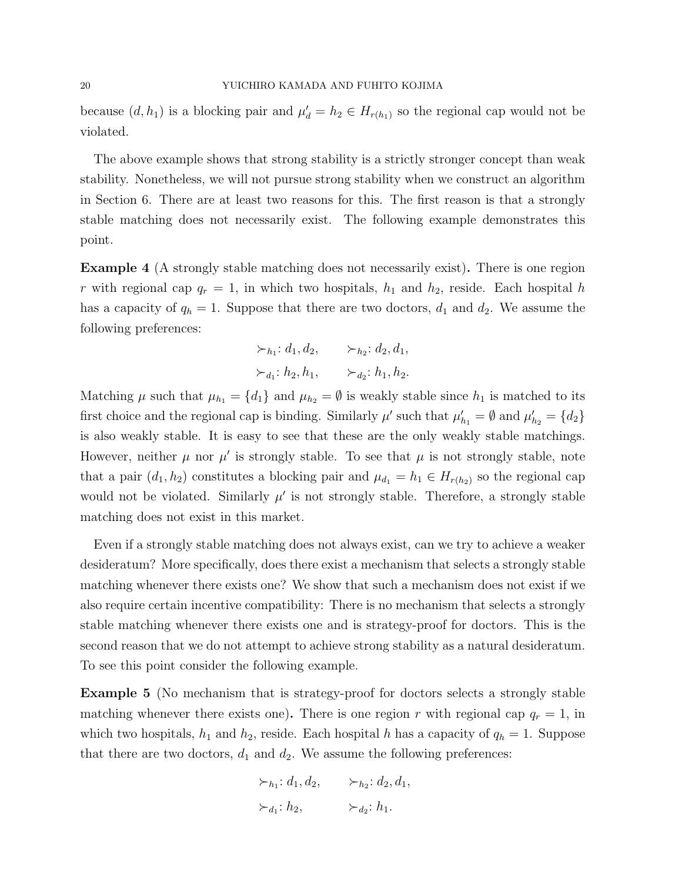because  $(d, h_1)$  is a blocking pair and  $\mu'_d = h_2 \in H_{r(h_1)}$  so the regional cap would not be violated.

The above example shows that strong stability is a strictly stronger concept than weak stability. Nonetheless, we will not pursue strong stability when we construct an algorithm in Section 6. There are at least two reasons for this. The first reason is that a strongly stable matching does not necessarily exist. The following example demonstrates this point.

Example 4 (A strongly stable matching does not necessarily exist). There is one region r with regional cap  $q_r = 1$ , in which two hospitals,  $h_1$  and  $h_2$ , reside. Each hospital h has a capacity of  $q_h = 1$ . Suppose that there are two doctors,  $d_1$  and  $d_2$ . We assume the following preferences:

$$
\succ_{h_1}: d_1, d_2, \qquad \succ_{h_2}: d_2, d_1,
$$
  

$$
\succ_{d_1}: h_2, h_1, \qquad \succ_{d_2}: h_1, h_2.
$$

Matching  $\mu$  such that  $\mu_{h_1} = \{d_1\}$  and  $\mu_{h_2} = \emptyset$  is weakly stable since  $h_1$  is matched to its first choice and the regional cap is binding. Similarly  $\mu'$  such that  $\mu'_{h_1} = \emptyset$  and  $\mu'_{h_2} = \{d_2\}$ is also weakly stable. It is easy to see that these are the only weakly stable matchings. However, neither  $\mu$  nor  $\mu'$  is strongly stable. To see that  $\mu$  is not strongly stable, note that a pair  $(d_1, h_2)$  constitutes a blocking pair and  $\mu_{d_1} = h_1 \in H_{r(h_2)}$  so the regional cap would not be violated. Similarly  $\mu'$  is not strongly stable. Therefore, a strongly stable matching does not exist in this market.

Even if a strongly stable matching does not always exist, can we try to achieve a weaker desideratum? More specifically, does there exist a mechanism that selects a strongly stable matching whenever there exists one? We show that such a mechanism does not exist if we also require certain incentive compatibility: There is no mechanism that selects a strongly stable matching whenever there exists one and is strategy-proof for doctors. This is the second reason that we do not attempt to achieve strong stability as a natural desideratum. To see this point consider the following example.

Example 5 (No mechanism that is strategy-proof for doctors selects a strongly stable matching whenever there exists one). There is one region r with regional cap  $q_r = 1$ , in which two hospitals,  $h_1$  and  $h_2$ , reside. Each hospital h has a capacity of  $q_h = 1$ . Suppose that there are two doctors,  $d_1$  and  $d_2$ . We assume the following preferences:

$$
\succ_{h_1}: d_1, d_2, \qquad \succ_{h_2}: d_2, d_1,
$$
  

$$
\succ_{d_1}: h_2, \qquad \succ_{d_2}: h_1.
$$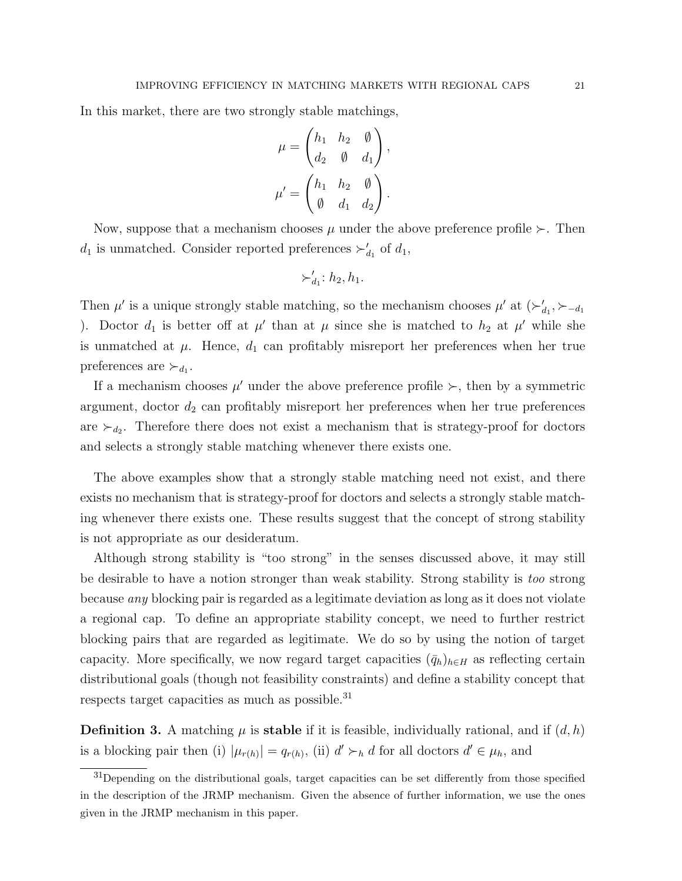In this market, there are two strongly stable matchings,

$$
\mu = \begin{pmatrix} h_1 & h_2 & \emptyset \\ d_2 & \emptyset & d_1 \end{pmatrix},
$$

$$
\mu' = \begin{pmatrix} h_1 & h_2 & \emptyset \\ \emptyset & d_1 & d_2 \end{pmatrix}.
$$

Now, suppose that a mechanism chooses  $\mu$  under the above preference profile  $\succ$ . Then  $d_1$  is unmatched. Consider reported preferences  $\succ'_{d_1}$  of  $d_1$ ,

$$
\succ'_{d_1}: h_2, h_1.
$$

Then  $\mu'$  is a unique strongly stable matching, so the mechanism chooses  $\mu'$  at  $(\succ_{d_1}', \succ_{-d_1})$ ). Doctor  $d_1$  is better off at  $\mu'$  than at  $\mu$  since she is matched to  $h_2$  at  $\mu'$  while she is unmatched at  $\mu$ . Hence,  $d_1$  can profitably misreport her preferences when her true preferences are  $\succ_{d_1}$ .

If a mechanism chooses  $\mu'$  under the above preference profile  $\succ$ , then by a symmetric argument, doctor  $d_2$  can profitably misreport her preferences when her true preferences are  $\succ_{d_2}$ . Therefore there does not exist a mechanism that is strategy-proof for doctors and selects a strongly stable matching whenever there exists one.

The above examples show that a strongly stable matching need not exist, and there exists no mechanism that is strategy-proof for doctors and selects a strongly stable matching whenever there exists one. These results suggest that the concept of strong stability is not appropriate as our desideratum.

Although strong stability is "too strong" in the senses discussed above, it may still be desirable to have a notion stronger than weak stability. Strong stability is too strong because any blocking pair is regarded as a legitimate deviation as long as it does not violate a regional cap. To define an appropriate stability concept, we need to further restrict blocking pairs that are regarded as legitimate. We do so by using the notion of target capacity. More specifically, we now regard target capacities  $(\bar{q}_h)_{h\in H}$  as reflecting certain distributional goals (though not feasibility constraints) and define a stability concept that respects target capacities as much as possible.<sup>31</sup>

**Definition 3.** A matching  $\mu$  is **stable** if it is feasible, individually rational, and if  $(d, h)$ is a blocking pair then (i)  $|\mu_{r(h)}| = q_{r(h)}$ , (ii)  $d' \succ_h d$  for all doctors  $d' \in \mu_h$ , and

<sup>&</sup>lt;sup>31</sup>Depending on the distributional goals, target capacities can be set differently from those specified in the description of the JRMP mechanism. Given the absence of further information, we use the ones given in the JRMP mechanism in this paper.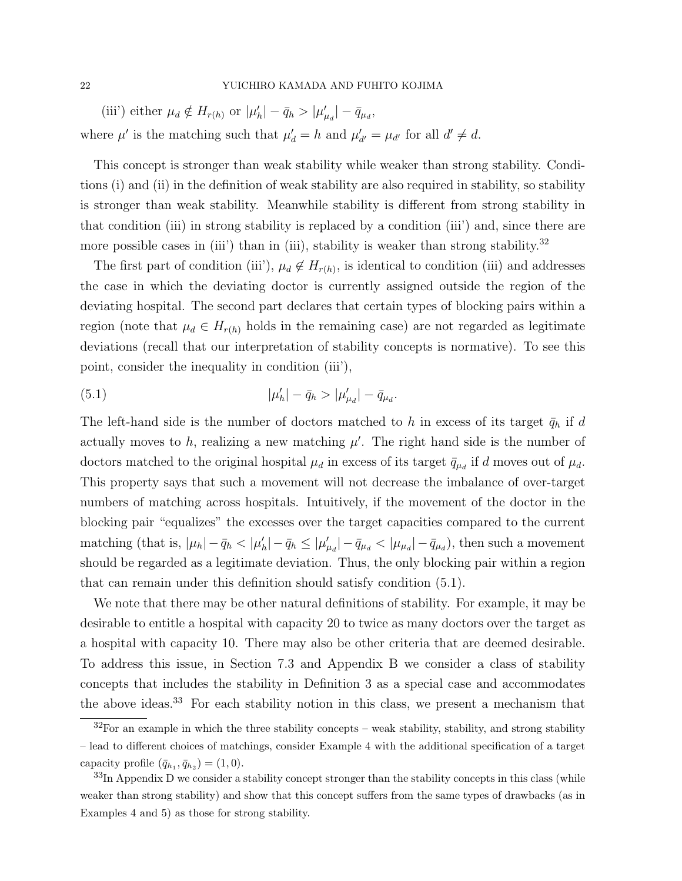(iii') either  $\mu_d \notin H_{r(h)}$  or  $|\mu'_h| - \bar{q}_h > |\mu'_{\mu_d}| - \bar{q}_{\mu_d}$ , where  $\mu'$  is the matching such that  $\mu'_{d} = h$  and  $\mu'_{d'} = \mu_{d'}$  for all  $d' \neq d$ .

This concept is stronger than weak stability while weaker than strong stability. Conditions (i) and (ii) in the definition of weak stability are also required in stability, so stability is stronger than weak stability. Meanwhile stability is different from strong stability in that condition (iii) in strong stability is replaced by a condition (iii') and, since there are more possible cases in (iii') than in (iii), stability is weaker than strong stability.<sup>32</sup>

The first part of condition (iii'),  $\mu_d \notin H_{r(h)}$ , is identical to condition (iii) and addresses the case in which the deviating doctor is currently assigned outside the region of the deviating hospital. The second part declares that certain types of blocking pairs within a region (note that  $\mu_d \in H_{r(h)}$  holds in the remaining case) are not regarded as legitimate deviations (recall that our interpretation of stability concepts is normative). To see this point, consider the inequality in condition (iii'),

(5.1) 
$$
|\mu'_h| - \bar{q}_h > |\mu'_{\mu_d}| - \bar{q}_{\mu_d}.
$$

The left-hand side is the number of doctors matched to h in excess of its target  $\bar{q}_h$  if d actually moves to  $h$ , realizing a new matching  $\mu'$ . The right hand side is the number of doctors matched to the original hospital  $\mu_d$  in excess of its target  $\bar{q}_{\mu_d}$  if d moves out of  $\mu_d$ . This property says that such a movement will not decrease the imbalance of over-target numbers of matching across hospitals. Intuitively, if the movement of the doctor in the blocking pair "equalizes" the excesses over the target capacities compared to the current matching (that is,  $|\mu_h| - \bar{q}_h < |\mu'_h| - \bar{q}_h \le |\mu'_{\mu_d}| - \bar{q}_{\mu_d} < |\mu_{\mu_d}| - \bar{q}_{\mu_d}$ ), then such a movement should be regarded as a legitimate deviation. Thus, the only blocking pair within a region that can remain under this definition should satisfy condition (5.1).

We note that there may be other natural definitions of stability. For example, it may be desirable to entitle a hospital with capacity 20 to twice as many doctors over the target as a hospital with capacity 10. There may also be other criteria that are deemed desirable. To address this issue, in Section 7.3 and Appendix B we consider a class of stability concepts that includes the stability in Definition 3 as a special case and accommodates the above ideas.<sup>33</sup> For each stability notion in this class, we present a mechanism that

 $\frac{32}{100}$  For an example in which the three stability concepts – weak stability, stability, and strong stability – lead to different choices of matchings, consider Example 4 with the additional specification of a target capacity profile  $(\bar{q}_{h_1}, \bar{q}_{h_2}) = (1, 0)$ .

 $33$ In Appendix D we consider a stability concept stronger than the stability concepts in this class (while weaker than strong stability) and show that this concept suffers from the same types of drawbacks (as in Examples 4 and 5) as those for strong stability.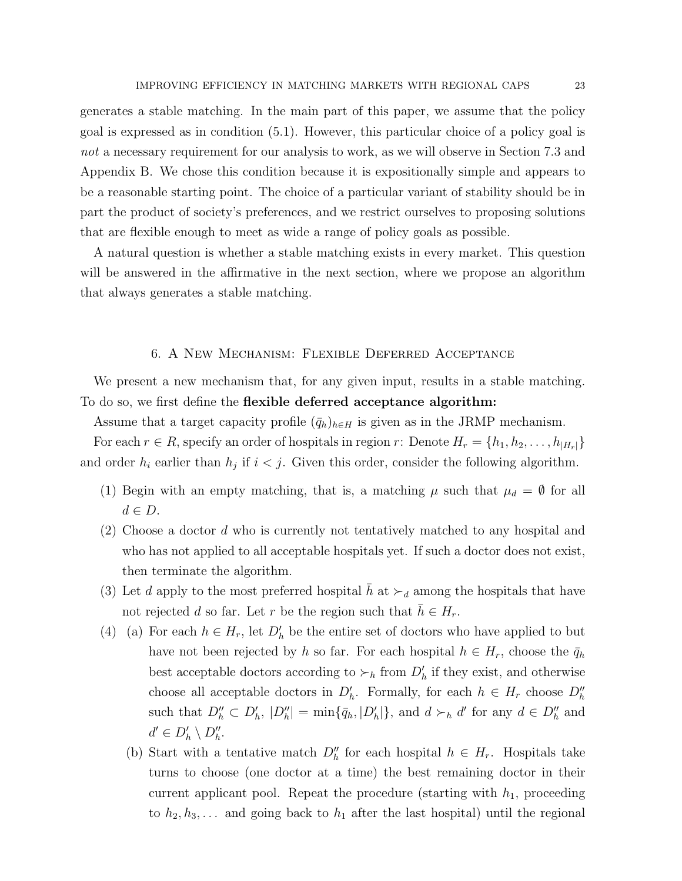generates a stable matching. In the main part of this paper, we assume that the policy goal is expressed as in condition (5.1). However, this particular choice of a policy goal is not a necessary requirement for our analysis to work, as we will observe in Section 7.3 and Appendix B. We chose this condition because it is expositionally simple and appears to be a reasonable starting point. The choice of a particular variant of stability should be in part the product of society's preferences, and we restrict ourselves to proposing solutions that are flexible enough to meet as wide a range of policy goals as possible.

A natural question is whether a stable matching exists in every market. This question will be answered in the affirmative in the next section, where we propose an algorithm that always generates a stable matching.

### 6. A New Mechanism: Flexible Deferred Acceptance

We present a new mechanism that, for any given input, results in a stable matching. To do so, we first define the flexible deferred acceptance algorithm:

Assume that a target capacity profile  $(\bar{q}_h)_{h\in H}$  is given as in the JRMP mechanism.

For each  $r \in R$ , specify an order of hospitals in region r: Denote  $H_r = \{h_1, h_2, \ldots, h_{|H_r|}\}\$ and order  $h_i$  earlier than  $h_j$  if  $i < j$ . Given this order, consider the following algorithm.

- (1) Begin with an empty matching, that is, a matching  $\mu$  such that  $\mu_d = \emptyset$  for all  $d \in D$ .
- (2) Choose a doctor d who is currently not tentatively matched to any hospital and who has not applied to all acceptable hospitals yet. If such a doctor does not exist, then terminate the algorithm.
- (3) Let d apply to the most preferred hospital h at  $\succ_d$  among the hospitals that have not rejected d so far. Let r be the region such that  $h \in H_r$ .
- (4) (a) For each  $h \in H_r$ , let  $D'_h$  be the entire set of doctors who have applied to but have not been rejected by h so far. For each hospital  $h \in H_r$ , choose the  $\bar{q}_h$ best acceptable doctors according to  $\succ_h$  from  $D'_h$  if they exist, and otherwise choose all acceptable doctors in  $D'_h$ . Formally, for each  $h \in H_r$  choose  $D''_h$ such that  $D''_h \subset D'_h$ ,  $|D''_h| = \min{\{\bar{q}_h, |D'_h|\}}$ , and  $d \succ_h d'$  for any  $d \in D''_h$  and  $d' \in D'_h \setminus D''_h.$ 
	- (b) Start with a tentative match  $D_h''$  for each hospital  $h \in H_r$ . Hospitals take turns to choose (one doctor at a time) the best remaining doctor in their current applicant pool. Repeat the procedure (starting with  $h_1$ , proceeding to  $h_2, h_3, \ldots$  and going back to  $h_1$  after the last hospital) until the regional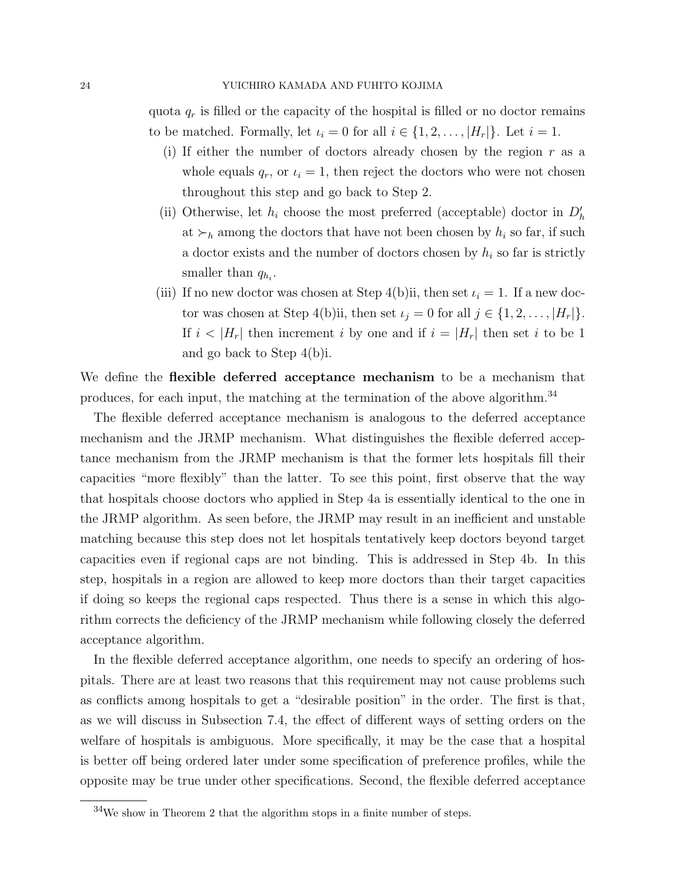quota  $q_r$  is filled or the capacity of the hospital is filled or no doctor remains to be matched. Formally, let  $\iota_i = 0$  for all  $i \in \{1, 2, \ldots, |H_r|\}$ . Let  $i = 1$ .

- (i) If either the number of doctors already chosen by the region  $r$  as a whole equals  $q_r$ , or  $u_i = 1$ , then reject the doctors who were not chosen throughout this step and go back to Step 2.
- (ii) Otherwise, let  $h_i$  choose the most preferred (acceptable) doctor in  $D'_h$ at  $\succ_h$  among the doctors that have not been chosen by  $h_i$  so far, if such a doctor exists and the number of doctors chosen by  $h_i$  so far is strictly smaller than  $q_{h_i}$ .
- (iii) If no new doctor was chosen at Step 4(b)ii, then set  $\iota_i = 1$ . If a new doctor was chosen at Step 4(b)ii, then set  $\iota_j = 0$  for all  $j \in \{1, 2, ..., |H_r|\}.$ If  $i < |H_r|$  then increment i by one and if  $i = |H_r|$  then set i to be 1 and go back to Step 4(b)i.

We define the **flexible deferred acceptance mechanism** to be a mechanism that produces, for each input, the matching at the termination of the above algorithm.<sup>34</sup>

The flexible deferred acceptance mechanism is analogous to the deferred acceptance mechanism and the JRMP mechanism. What distinguishes the flexible deferred acceptance mechanism from the JRMP mechanism is that the former lets hospitals fill their capacities "more flexibly" than the latter. To see this point, first observe that the way that hospitals choose doctors who applied in Step 4a is essentially identical to the one in the JRMP algorithm. As seen before, the JRMP may result in an inefficient and unstable matching because this step does not let hospitals tentatively keep doctors beyond target capacities even if regional caps are not binding. This is addressed in Step 4b. In this step, hospitals in a region are allowed to keep more doctors than their target capacities if doing so keeps the regional caps respected. Thus there is a sense in which this algorithm corrects the deficiency of the JRMP mechanism while following closely the deferred acceptance algorithm.

In the flexible deferred acceptance algorithm, one needs to specify an ordering of hospitals. There are at least two reasons that this requirement may not cause problems such as conflicts among hospitals to get a "desirable position" in the order. The first is that, as we will discuss in Subsection 7.4, the effect of different ways of setting orders on the welfare of hospitals is ambiguous. More specifically, it may be the case that a hospital is better off being ordered later under some specification of preference profiles, while the opposite may be true under other specifications. Second, the flexible deferred acceptance

 $34$ We show in Theorem 2 that the algorithm stops in a finite number of steps.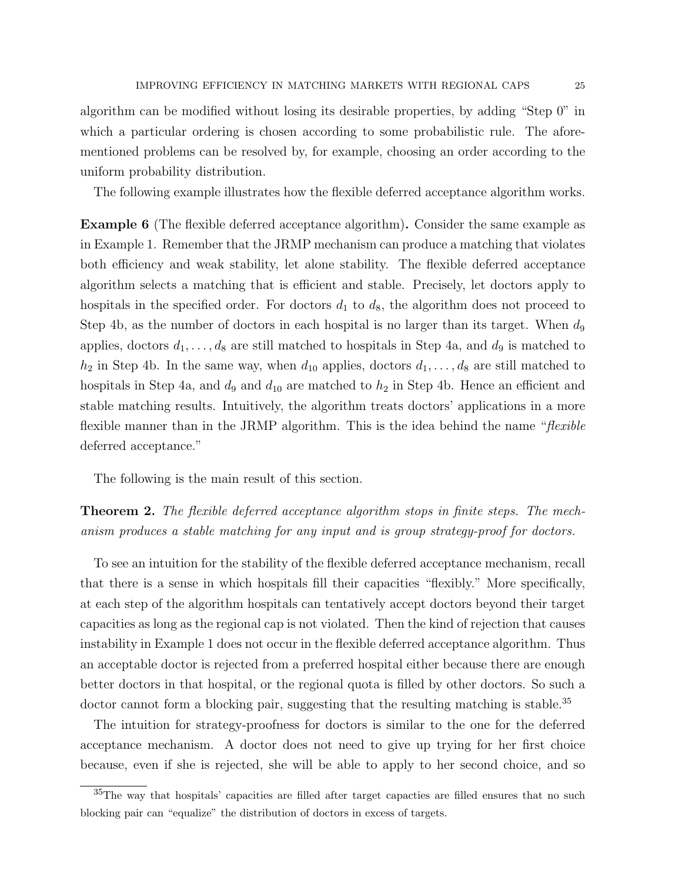algorithm can be modified without losing its desirable properties, by adding "Step 0" in which a particular ordering is chosen according to some probabilistic rule. The aforementioned problems can be resolved by, for example, choosing an order according to the uniform probability distribution.

The following example illustrates how the flexible deferred acceptance algorithm works.

Example 6 (The flexible deferred acceptance algorithm). Consider the same example as in Example 1. Remember that the JRMP mechanism can produce a matching that violates both efficiency and weak stability, let alone stability. The flexible deferred acceptance algorithm selects a matching that is efficient and stable. Precisely, let doctors apply to hospitals in the specified order. For doctors  $d_1$  to  $d_8$ , the algorithm does not proceed to Step 4b, as the number of doctors in each hospital is no larger than its target. When  $d_9$ applies, doctors  $d_1, \ldots, d_8$  are still matched to hospitals in Step 4a, and  $d_9$  is matched to  $h_2$  in Step 4b. In the same way, when  $d_{10}$  applies, doctors  $d_1, \ldots, d_8$  are still matched to hospitals in Step 4a, and  $d_9$  and  $d_{10}$  are matched to  $h_2$  in Step 4b. Hence an efficient and stable matching results. Intuitively, the algorithm treats doctors' applications in a more flexible manner than in the JRMP algorithm. This is the idea behind the name "*flexible* deferred acceptance."

The following is the main result of this section.

**Theorem 2.** The flexible deferred acceptance algorithm stops in finite steps. The mechanism produces a stable matching for any input and is group strategy-proof for doctors.

To see an intuition for the stability of the flexible deferred acceptance mechanism, recall that there is a sense in which hospitals fill their capacities "flexibly." More specifically, at each step of the algorithm hospitals can tentatively accept doctors beyond their target capacities as long as the regional cap is not violated. Then the kind of rejection that causes instability in Example 1 does not occur in the flexible deferred acceptance algorithm. Thus an acceptable doctor is rejected from a preferred hospital either because there are enough better doctors in that hospital, or the regional quota is filled by other doctors. So such a doctor cannot form a blocking pair, suggesting that the resulting matching is stable.<sup>35</sup>

The intuition for strategy-proofness for doctors is similar to the one for the deferred acceptance mechanism. A doctor does not need to give up trying for her first choice because, even if she is rejected, she will be able to apply to her second choice, and so

<sup>35</sup>The way that hospitals' capacities are filled after target capacties are filled ensures that no such blocking pair can "equalize" the distribution of doctors in excess of targets.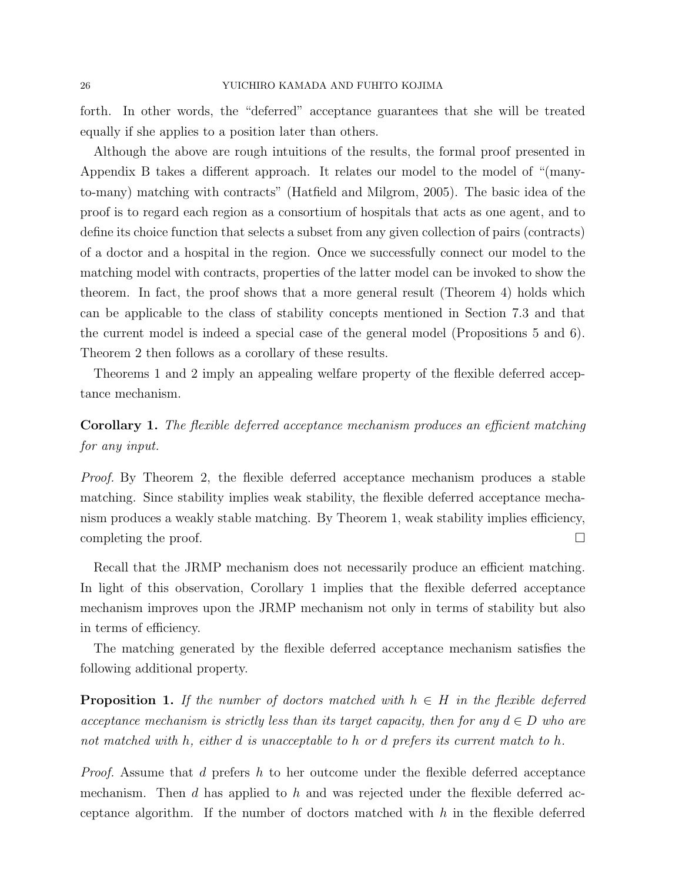forth. In other words, the "deferred" acceptance guarantees that she will be treated equally if she applies to a position later than others.

Although the above are rough intuitions of the results, the formal proof presented in Appendix B takes a different approach. It relates our model to the model of "(manyto-many) matching with contracts" (Hatfield and Milgrom, 2005). The basic idea of the proof is to regard each region as a consortium of hospitals that acts as one agent, and to define its choice function that selects a subset from any given collection of pairs (contracts) of a doctor and a hospital in the region. Once we successfully connect our model to the matching model with contracts, properties of the latter model can be invoked to show the theorem. In fact, the proof shows that a more general result (Theorem 4) holds which can be applicable to the class of stability concepts mentioned in Section 7.3 and that the current model is indeed a special case of the general model (Propositions 5 and 6). Theorem 2 then follows as a corollary of these results.

Theorems 1 and 2 imply an appealing welfare property of the flexible deferred acceptance mechanism.

# Corollary 1. The flexible deferred acceptance mechanism produces an efficient matching for any input.

Proof. By Theorem 2, the flexible deferred acceptance mechanism produces a stable matching. Since stability implies weak stability, the flexible deferred acceptance mechanism produces a weakly stable matching. By Theorem 1, weak stability implies efficiency, completing the proof.  $\Box$ 

Recall that the JRMP mechanism does not necessarily produce an efficient matching. In light of this observation, Corollary 1 implies that the flexible deferred acceptance mechanism improves upon the JRMP mechanism not only in terms of stability but also in terms of efficiency.

The matching generated by the flexible deferred acceptance mechanism satisfies the following additional property.

**Proposition 1.** If the number of doctors matched with  $h \in H$  in the flexible deferred acceptance mechanism is strictly less than its target capacity, then for any  $d \in D$  who are not matched with h, either d is unacceptable to h or d prefers its current match to h.

Proof. Assume that d prefers h to her outcome under the flexible deferred acceptance mechanism. Then d has applied to h and was rejected under the flexible deferred acceptance algorithm. If the number of doctors matched with  $h$  in the flexible deferred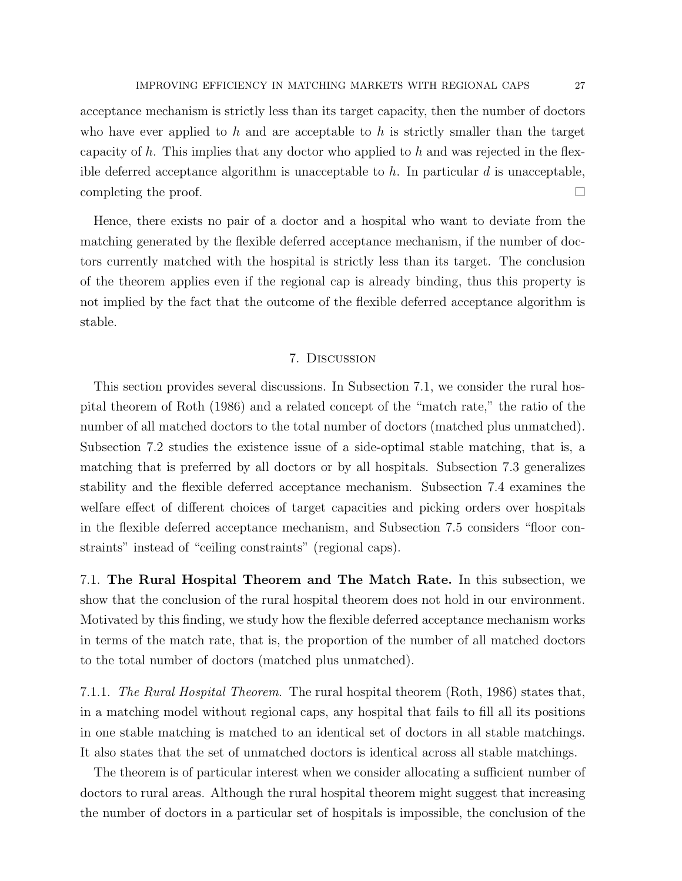acceptance mechanism is strictly less than its target capacity, then the number of doctors who have ever applied to h and are acceptable to h is strictly smaller than the target capacity of  $h$ . This implies that any doctor who applied to  $h$  and was rejected in the flexible deferred acceptance algorithm is unacceptable to h. In particular  $d$  is unacceptable, completing the proof.  $\Box$ 

Hence, there exists no pair of a doctor and a hospital who want to deviate from the matching generated by the flexible deferred acceptance mechanism, if the number of doctors currently matched with the hospital is strictly less than its target. The conclusion of the theorem applies even if the regional cap is already binding, thus this property is not implied by the fact that the outcome of the flexible deferred acceptance algorithm is stable.

### 7. Discussion

This section provides several discussions. In Subsection 7.1, we consider the rural hospital theorem of Roth (1986) and a related concept of the "match rate," the ratio of the number of all matched doctors to the total number of doctors (matched plus unmatched). Subsection 7.2 studies the existence issue of a side-optimal stable matching, that is, a matching that is preferred by all doctors or by all hospitals. Subsection 7.3 generalizes stability and the flexible deferred acceptance mechanism. Subsection 7.4 examines the welfare effect of different choices of target capacities and picking orders over hospitals in the flexible deferred acceptance mechanism, and Subsection 7.5 considers "floor constraints" instead of "ceiling constraints" (regional caps).

7.1. The Rural Hospital Theorem and The Match Rate. In this subsection, we show that the conclusion of the rural hospital theorem does not hold in our environment. Motivated by this finding, we study how the flexible deferred acceptance mechanism works in terms of the match rate, that is, the proportion of the number of all matched doctors to the total number of doctors (matched plus unmatched).

7.1.1. The Rural Hospital Theorem. The rural hospital theorem (Roth, 1986) states that, in a matching model without regional caps, any hospital that fails to fill all its positions in one stable matching is matched to an identical set of doctors in all stable matchings. It also states that the set of unmatched doctors is identical across all stable matchings.

The theorem is of particular interest when we consider allocating a sufficient number of doctors to rural areas. Although the rural hospital theorem might suggest that increasing the number of doctors in a particular set of hospitals is impossible, the conclusion of the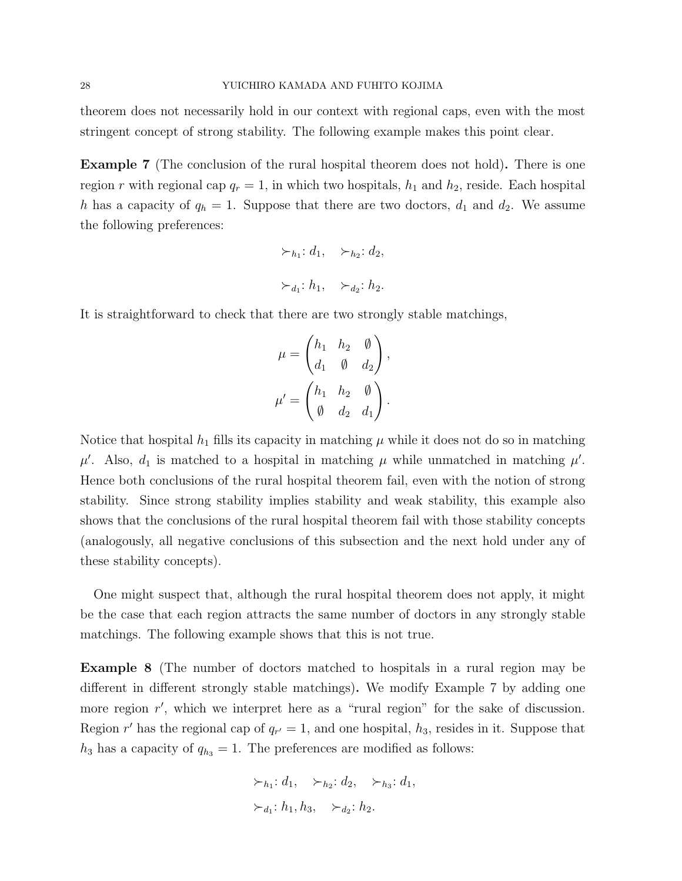theorem does not necessarily hold in our context with regional caps, even with the most stringent concept of strong stability. The following example makes this point clear.

Example 7 (The conclusion of the rural hospital theorem does not hold). There is one region r with regional cap  $q_r = 1$ , in which two hospitals,  $h_1$  and  $h_2$ , reside. Each hospital h has a capacity of  $q_h = 1$ . Suppose that there are two doctors,  $d_1$  and  $d_2$ . We assume the following preferences:

$$
\succ_{h_1}: d_1, \quad \succ_{h_2}: d_2,
$$
  

$$
\succ_{d_1}: h_1, \quad \succ_{d_2}: h_2.
$$

It is straightforward to check that there are two strongly stable matchings,

$$
\mu = \begin{pmatrix} h_1 & h_2 & \emptyset \\ d_1 & \emptyset & d_2 \end{pmatrix},
$$

$$
\mu' = \begin{pmatrix} h_1 & h_2 & \emptyset \\ \emptyset & d_2 & d_1 \end{pmatrix}.
$$

Notice that hospital  $h_1$  fills its capacity in matching  $\mu$  while it does not do so in matching  $\mu'$ . Also,  $d_1$  is matched to a hospital in matching  $\mu$  while unmatched in matching  $\mu'$ . Hence both conclusions of the rural hospital theorem fail, even with the notion of strong stability. Since strong stability implies stability and weak stability, this example also shows that the conclusions of the rural hospital theorem fail with those stability concepts (analogously, all negative conclusions of this subsection and the next hold under any of these stability concepts).

One might suspect that, although the rural hospital theorem does not apply, it might be the case that each region attracts the same number of doctors in any strongly stable matchings. The following example shows that this is not true.

Example 8 (The number of doctors matched to hospitals in a rural region may be different in different strongly stable matchings). We modify Example 7 by adding one more region r', which we interpret here as a "rural region" for the sake of discussion. Region r' has the regional cap of  $q_{r'} = 1$ , and one hospital,  $h_3$ , resides in it. Suppose that  $h_3$  has a capacity of  $q_{h_3} = 1$ . The preferences are modified as follows:

$$
\succ_{h_1}: d_1, \quad \succ_{h_2}: d_2, \quad \succ_{h_3}: d_1,
$$

$$
\succ_{d_1}: h_1, h_3, \quad \succ_{d_2}: h_2.
$$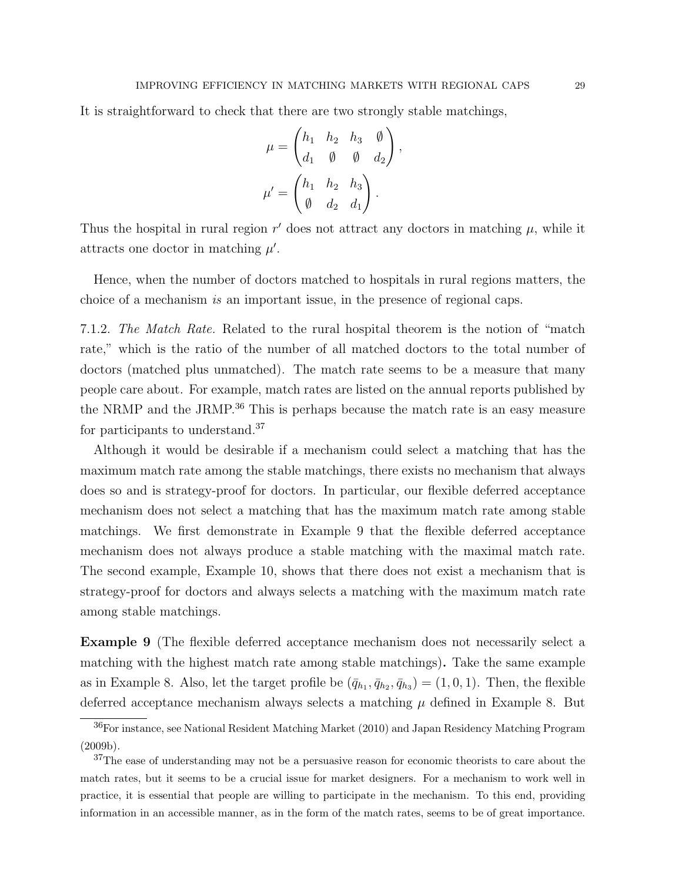It is straightforward to check that there are two strongly stable matchings,

$$
\mu = \begin{pmatrix} h_1 & h_2 & h_3 & \emptyset \\ d_1 & \emptyset & \emptyset & d_2 \end{pmatrix}
$$

$$
\mu' = \begin{pmatrix} h_1 & h_2 & h_3 \\ \emptyset & d_2 & d_1 \end{pmatrix}.
$$

,

Thus the hospital in rural region  $r'$  does not attract any doctors in matching  $\mu$ , while it attracts one doctor in matching  $\mu'$ .

Hence, when the number of doctors matched to hospitals in rural regions matters, the choice of a mechanism is an important issue, in the presence of regional caps.

7.1.2. The Match Rate. Related to the rural hospital theorem is the notion of "match rate," which is the ratio of the number of all matched doctors to the total number of doctors (matched plus unmatched). The match rate seems to be a measure that many people care about. For example, match rates are listed on the annual reports published by the NRMP and the JRMP.<sup>36</sup> This is perhaps because the match rate is an easy measure for participants to understand.<sup>37</sup>

Although it would be desirable if a mechanism could select a matching that has the maximum match rate among the stable matchings, there exists no mechanism that always does so and is strategy-proof for doctors. In particular, our flexible deferred acceptance mechanism does not select a matching that has the maximum match rate among stable matchings. We first demonstrate in Example 9 that the flexible deferred acceptance mechanism does not always produce a stable matching with the maximal match rate. The second example, Example 10, shows that there does not exist a mechanism that is strategy-proof for doctors and always selects a matching with the maximum match rate among stable matchings.

Example 9 (The flexible deferred acceptance mechanism does not necessarily select a matching with the highest match rate among stable matchings). Take the same example as in Example 8. Also, let the target profile be  $(\bar{q}_{h_1}, \bar{q}_{h_2}, \bar{q}_{h_3}) = (1, 0, 1)$ . Then, the flexible deferred acceptance mechanism always selects a matching  $\mu$  defined in Example 8. But

<sup>36</sup>For instance, see National Resident Matching Market (2010) and Japan Residency Matching Program (2009b).

<sup>&</sup>lt;sup>37</sup>The ease of understanding may not be a persuasive reason for economic theorists to care about the match rates, but it seems to be a crucial issue for market designers. For a mechanism to work well in practice, it is essential that people are willing to participate in the mechanism. To this end, providing information in an accessible manner, as in the form of the match rates, seems to be of great importance.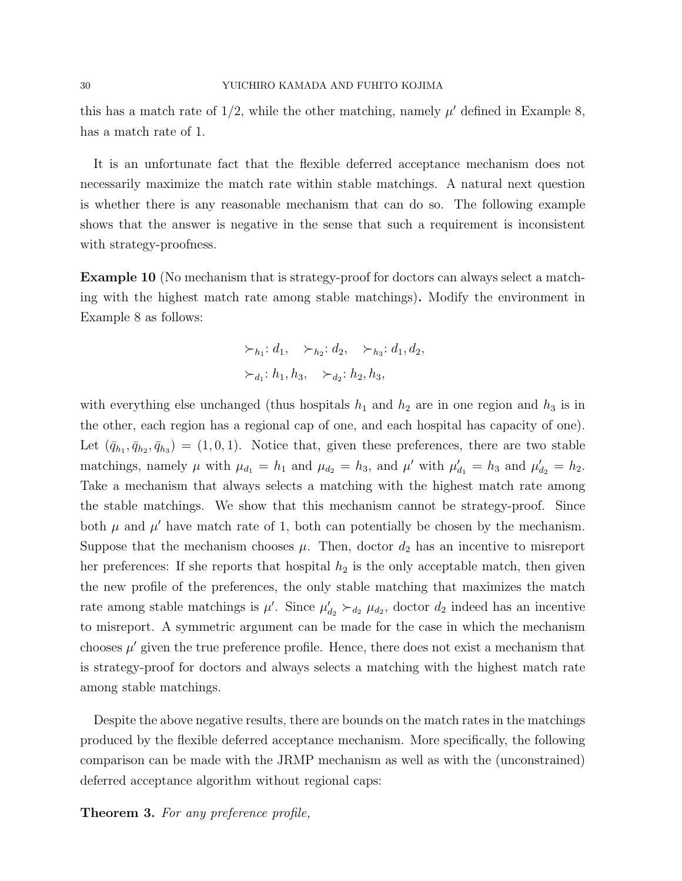this has a match rate of  $1/2$ , while the other matching, namely  $\mu'$  defined in Example 8, has a match rate of 1.

It is an unfortunate fact that the flexible deferred acceptance mechanism does not necessarily maximize the match rate within stable matchings. A natural next question is whether there is any reasonable mechanism that can do so. The following example shows that the answer is negative in the sense that such a requirement is inconsistent with strategy-proofness.

Example 10 (No mechanism that is strategy-proof for doctors can always select a matching with the highest match rate among stable matchings). Modify the environment in Example 8 as follows:

$$
\succ_{h_1}: d_1, \quad \succ_{h_2}: d_2, \quad \succ_{h_3}: d_1, d_2,
$$

$$
\succ_{d_1}: h_1, h_3, \quad \succ_{d_2}: h_2, h_3,
$$

with everything else unchanged (thus hospitals  $h_1$  and  $h_2$  are in one region and  $h_3$  is in the other, each region has a regional cap of one, and each hospital has capacity of one). Let  $(\bar{q}_{h_1}, \bar{q}_{h_2}, \bar{q}_{h_3}) = (1, 0, 1)$ . Notice that, given these preferences, there are two stable matchings, namely  $\mu$  with  $\mu_{d_1} = h_1$  and  $\mu_{d_2} = h_3$ , and  $\mu'$  with  $\mu'_{d_1} = h_3$  and  $\mu'_{d_2} = h_2$ . Take a mechanism that always selects a matching with the highest match rate among the stable matchings. We show that this mechanism cannot be strategy-proof. Since both  $\mu$  and  $\mu'$  have match rate of 1, both can potentially be chosen by the mechanism. Suppose that the mechanism chooses  $\mu$ . Then, doctor  $d_2$  has an incentive to misreport her preferences: If she reports that hospital  $h_2$  is the only acceptable match, then given the new profile of the preferences, the only stable matching that maximizes the match rate among stable matchings is  $\mu'$ . Since  $\mu'_{d_2} \succ_{d_2} \mu_{d_2}$ , doctor  $d_2$  indeed has an incentive to misreport. A symmetric argument can be made for the case in which the mechanism chooses  $\mu'$  given the true preference profile. Hence, there does not exist a mechanism that is strategy-proof for doctors and always selects a matching with the highest match rate among stable matchings.

Despite the above negative results, there are bounds on the match rates in the matchings produced by the flexible deferred acceptance mechanism. More specifically, the following comparison can be made with the JRMP mechanism as well as with the (unconstrained) deferred acceptance algorithm without regional caps:

Theorem 3. For any preference profile,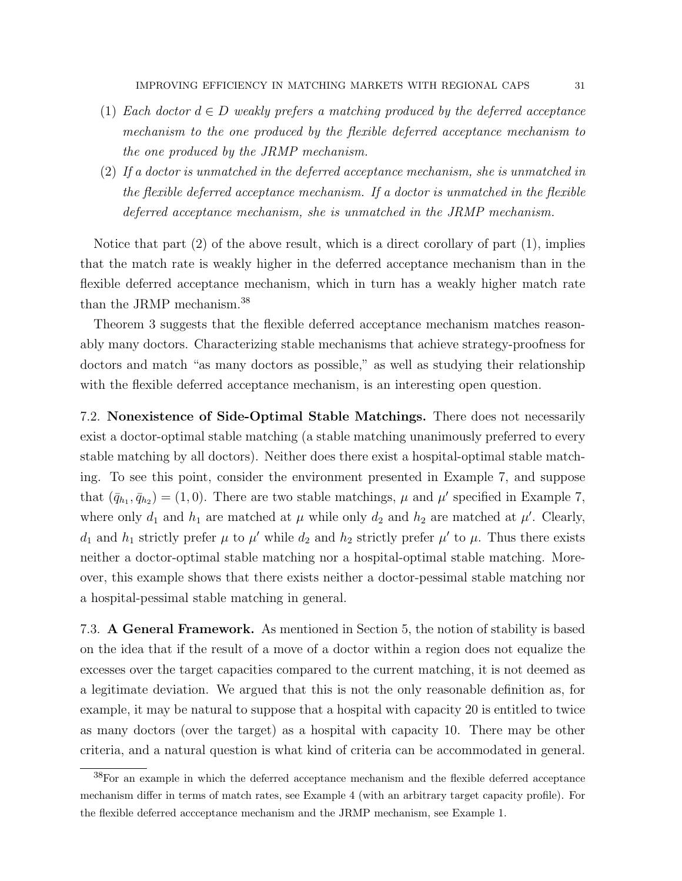- (1) Each doctor  $d \in D$  weakly prefers a matching produced by the deferred acceptance mechanism to the one produced by the flexible deferred acceptance mechanism to the one produced by the JRMP mechanism.
- (2) If a doctor is unmatched in the deferred acceptance mechanism, she is unmatched in the flexible deferred acceptance mechanism. If a doctor is unmatched in the flexible deferred acceptance mechanism, she is unmatched in the JRMP mechanism.

Notice that part  $(2)$  of the above result, which is a direct corollary of part  $(1)$ , implies that the match rate is weakly higher in the deferred acceptance mechanism than in the flexible deferred acceptance mechanism, which in turn has a weakly higher match rate than the JRMP mechanism.<sup>38</sup>

Theorem 3 suggests that the flexible deferred acceptance mechanism matches reasonably many doctors. Characterizing stable mechanisms that achieve strategy-proofness for doctors and match "as many doctors as possible," as well as studying their relationship with the flexible deferred acceptance mechanism, is an interesting open question.

7.2. Nonexistence of Side-Optimal Stable Matchings. There does not necessarily exist a doctor-optimal stable matching (a stable matching unanimously preferred to every stable matching by all doctors). Neither does there exist a hospital-optimal stable matching. To see this point, consider the environment presented in Example 7, and suppose that  $(\bar{q}_{h_1}, \bar{q}_{h_2}) = (1, 0)$ . There are two stable matchings,  $\mu$  and  $\mu'$  specified in Example 7, where only  $d_1$  and  $h_1$  are matched at  $\mu$  while only  $d_2$  and  $h_2$  are matched at  $\mu'$ . Clearly,  $d_1$  and  $h_1$  strictly prefer  $\mu$  to  $\mu'$  while  $d_2$  and  $h_2$  strictly prefer  $\mu'$  to  $\mu$ . Thus there exists neither a doctor-optimal stable matching nor a hospital-optimal stable matching. Moreover, this example shows that there exists neither a doctor-pessimal stable matching nor a hospital-pessimal stable matching in general.

7.3. A General Framework. As mentioned in Section 5, the notion of stability is based on the idea that if the result of a move of a doctor within a region does not equalize the excesses over the target capacities compared to the current matching, it is not deemed as a legitimate deviation. We argued that this is not the only reasonable definition as, for example, it may be natural to suppose that a hospital with capacity 20 is entitled to twice as many doctors (over the target) as a hospital with capacity 10. There may be other criteria, and a natural question is what kind of criteria can be accommodated in general.

<sup>38</sup>For an example in which the deferred acceptance mechanism and the flexible deferred acceptance mechanism differ in terms of match rates, see Example 4 (with an arbitrary target capacity profile). For the flexible deferred accceptance mechanism and the JRMP mechanism, see Example 1.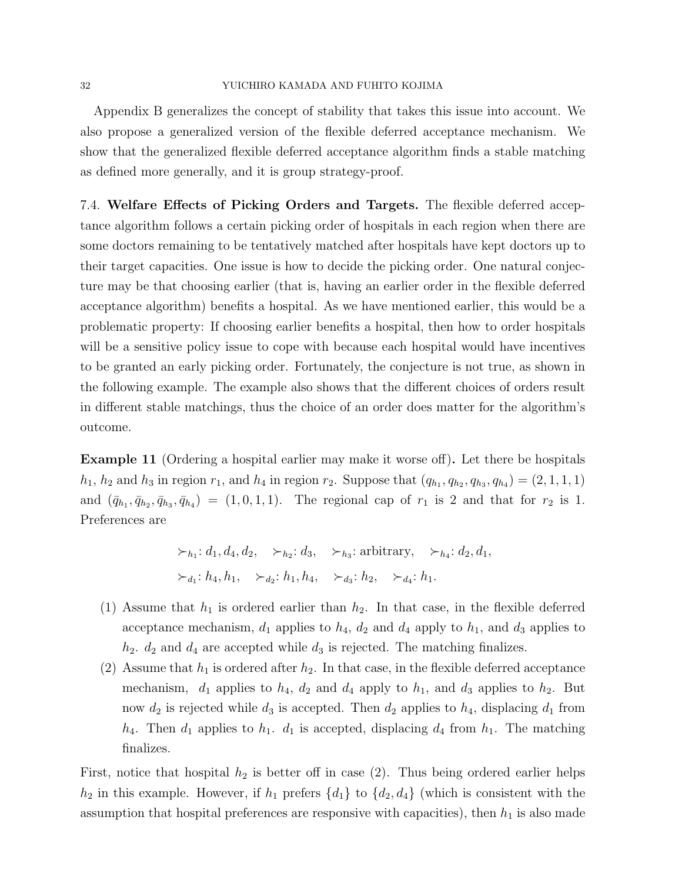### 32 YUICHIRO KAMADA AND FUHITO KOJIMA

Appendix B generalizes the concept of stability that takes this issue into account. We also propose a generalized version of the flexible deferred acceptance mechanism. We show that the generalized flexible deferred acceptance algorithm finds a stable matching as defined more generally, and it is group strategy-proof.

7.4. Welfare Effects of Picking Orders and Targets. The flexible deferred acceptance algorithm follows a certain picking order of hospitals in each region when there are some doctors remaining to be tentatively matched after hospitals have kept doctors up to their target capacities. One issue is how to decide the picking order. One natural conjecture may be that choosing earlier (that is, having an earlier order in the flexible deferred acceptance algorithm) benefits a hospital. As we have mentioned earlier, this would be a problematic property: If choosing earlier benefits a hospital, then how to order hospitals will be a sensitive policy issue to cope with because each hospital would have incentives to be granted an early picking order. Fortunately, the conjecture is not true, as shown in the following example. The example also shows that the different choices of orders result in different stable matchings, thus the choice of an order does matter for the algorithm's outcome.

Example 11 (Ordering a hospital earlier may make it worse off). Let there be hospitals  $h_1, h_2$  and  $h_3$  in region  $r_1$ , and  $h_4$  in region  $r_2$ . Suppose that  $(q_{h_1}, q_{h_2}, q_{h_3}, q_{h_4}) = (2, 1, 1, 1)$ and  $(\bar{q}_{h_1}, \bar{q}_{h_2}, \bar{q}_{h_3}, \bar{q}_{h_4}) = (1, 0, 1, 1)$ . The regional cap of  $r_1$  is 2 and that for  $r_2$  is 1. Preferences are

> $\succ_{h_1}: d_1, d_4, d_2, \longrightarrow_{h_2}: d_3, \longrightarrow_{h_3}:$  arbitrary,  $\succ_{h_4}: d_2, d_1,$  $\succ_{d_1}: h_4, h_1, \quad \succ_{d_2}: h_1, h_4, \quad \succ_{d_3}: h_2, \quad \succ_{d_4}: h_1.$

- (1) Assume that  $h_1$  is ordered earlier than  $h_2$ . In that case, in the flexible deferred acceptance mechanism,  $d_1$  applies to  $h_4$ ,  $d_2$  and  $d_4$  apply to  $h_1$ , and  $d_3$  applies to  $h_2$ .  $d_2$  and  $d_4$  are accepted while  $d_3$  is rejected. The matching finalizes.
- (2) Assume that  $h_1$  is ordered after  $h_2$ . In that case, in the flexible deferred acceptance mechanism,  $d_1$  applies to  $h_4$ ,  $d_2$  and  $d_4$  apply to  $h_1$ , and  $d_3$  applies to  $h_2$ . But now  $d_2$  is rejected while  $d_3$  is accepted. Then  $d_2$  applies to  $h_4$ , displacing  $d_1$  from  $h_4$ . Then  $d_1$  applies to  $h_1$ .  $d_1$  is accepted, displacing  $d_4$  from  $h_1$ . The matching finalizes.

First, notice that hospital  $h_2$  is better off in case (2). Thus being ordered earlier helps  $h_2$  in this example. However, if  $h_1$  prefers  $\{d_1\}$  to  $\{d_2, d_4\}$  (which is consistent with the assumption that hospital preferences are responsive with capacities), then  $h_1$  is also made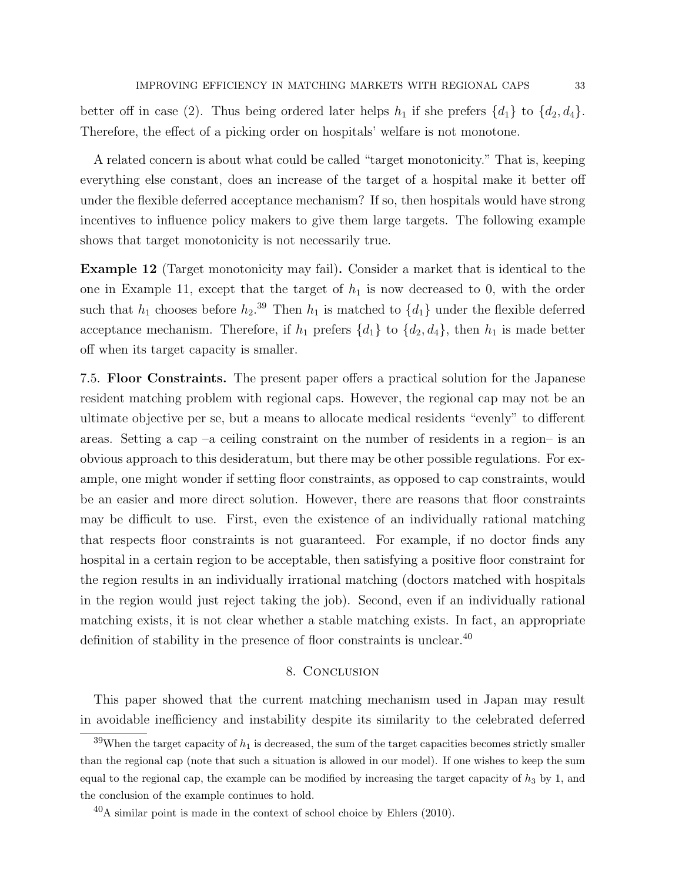better off in case (2). Thus being ordered later helps  $h_1$  if she prefers  $\{d_1\}$  to  $\{d_2, d_4\}$ . Therefore, the effect of a picking order on hospitals' welfare is not monotone.

A related concern is about what could be called "target monotonicity." That is, keeping everything else constant, does an increase of the target of a hospital make it better off under the flexible deferred acceptance mechanism? If so, then hospitals would have strong incentives to influence policy makers to give them large targets. The following example shows that target monotonicity is not necessarily true.

Example 12 (Target monotonicity may fail). Consider a market that is identical to the one in Example 11, except that the target of  $h_1$  is now decreased to 0, with the order such that  $h_1$  chooses before  $h_2$ .<sup>39</sup> Then  $h_1$  is matched to  $\{d_1\}$  under the flexible deferred acceptance mechanism. Therefore, if  $h_1$  prefers  $\{d_1\}$  to  $\{d_2, d_4\}$ , then  $h_1$  is made better off when its target capacity is smaller.

7.5. Floor Constraints. The present paper offers a practical solution for the Japanese resident matching problem with regional caps. However, the regional cap may not be an ultimate objective per se, but a means to allocate medical residents "evenly" to different areas. Setting a cap –a ceiling constraint on the number of residents in a region– is an obvious approach to this desideratum, but there may be other possible regulations. For example, one might wonder if setting floor constraints, as opposed to cap constraints, would be an easier and more direct solution. However, there are reasons that floor constraints may be difficult to use. First, even the existence of an individually rational matching that respects floor constraints is not guaranteed. For example, if no doctor finds any hospital in a certain region to be acceptable, then satisfying a positive floor constraint for the region results in an individually irrational matching (doctors matched with hospitals in the region would just reject taking the job). Second, even if an individually rational matching exists, it is not clear whether a stable matching exists. In fact, an appropriate definition of stability in the presence of floor constraints is unclear.<sup>40</sup>

### 8. Conclusion

This paper showed that the current matching mechanism used in Japan may result in avoidable inefficiency and instability despite its similarity to the celebrated deferred

<sup>&</sup>lt;sup>39</sup>When the target capacity of  $h_1$  is decreased, the sum of the target capacities becomes strictly smaller than the regional cap (note that such a situation is allowed in our model). If one wishes to keep the sum equal to the regional cap, the example can be modified by increasing the target capacity of  $h_3$  by 1, and the conclusion of the example continues to hold.

 $^{40}$ A similar point is made in the context of school choice by Ehlers (2010).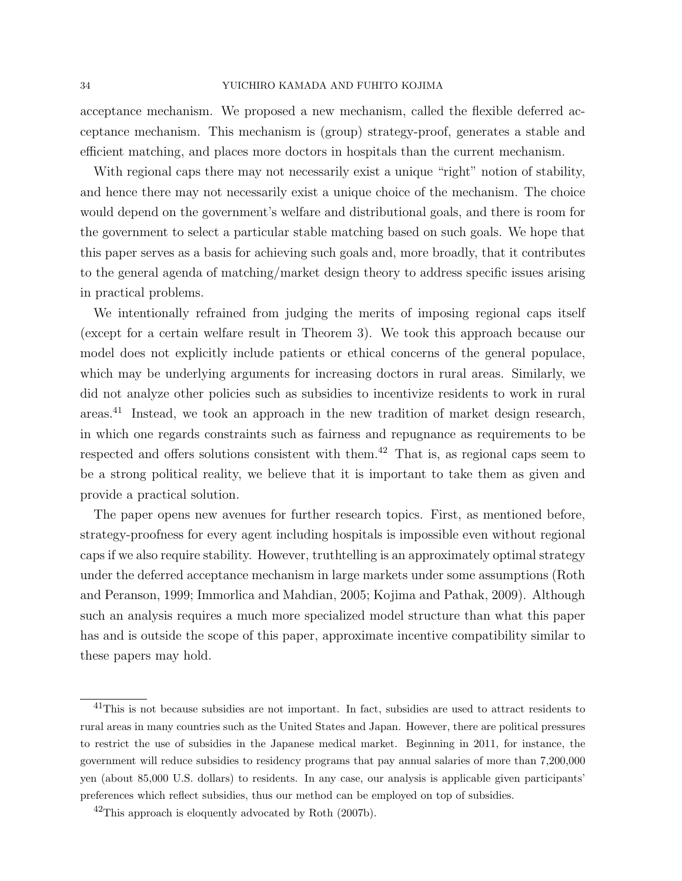### 34 YUICHIRO KAMADA AND FUHITO KOJIMA

acceptance mechanism. We proposed a new mechanism, called the flexible deferred acceptance mechanism. This mechanism is (group) strategy-proof, generates a stable and efficient matching, and places more doctors in hospitals than the current mechanism.

With regional caps there may not necessarily exist a unique "right" notion of stability, and hence there may not necessarily exist a unique choice of the mechanism. The choice would depend on the government's welfare and distributional goals, and there is room for the government to select a particular stable matching based on such goals. We hope that this paper serves as a basis for achieving such goals and, more broadly, that it contributes to the general agenda of matching/market design theory to address specific issues arising in practical problems.

We intentionally refrained from judging the merits of imposing regional caps itself (except for a certain welfare result in Theorem 3). We took this approach because our model does not explicitly include patients or ethical concerns of the general populace, which may be underlying arguments for increasing doctors in rural areas. Similarly, we did not analyze other policies such as subsidies to incentivize residents to work in rural areas.<sup>41</sup> Instead, we took an approach in the new tradition of market design research, in which one regards constraints such as fairness and repugnance as requirements to be respected and offers solutions consistent with them.<sup>42</sup> That is, as regional caps seem to be a strong political reality, we believe that it is important to take them as given and provide a practical solution.

The paper opens new avenues for further research topics. First, as mentioned before, strategy-proofness for every agent including hospitals is impossible even without regional caps if we also require stability. However, truthtelling is an approximately optimal strategy under the deferred acceptance mechanism in large markets under some assumptions (Roth and Peranson, 1999; Immorlica and Mahdian, 2005; Kojima and Pathak, 2009). Although such an analysis requires a much more specialized model structure than what this paper has and is outside the scope of this paper, approximate incentive compatibility similar to these papers may hold.

<sup>&</sup>lt;sup>41</sup>This is not because subsidies are not important. In fact, subsidies are used to attract residents to rural areas in many countries such as the United States and Japan. However, there are political pressures to restrict the use of subsidies in the Japanese medical market. Beginning in 2011, for instance, the government will reduce subsidies to residency programs that pay annual salaries of more than 7,200,000 yen (about 85,000 U.S. dollars) to residents. In any case, our analysis is applicable given participants' preferences which reflect subsidies, thus our method can be employed on top of subsidies.

 $^{42}$ This approach is eloquently advocated by Roth (2007b).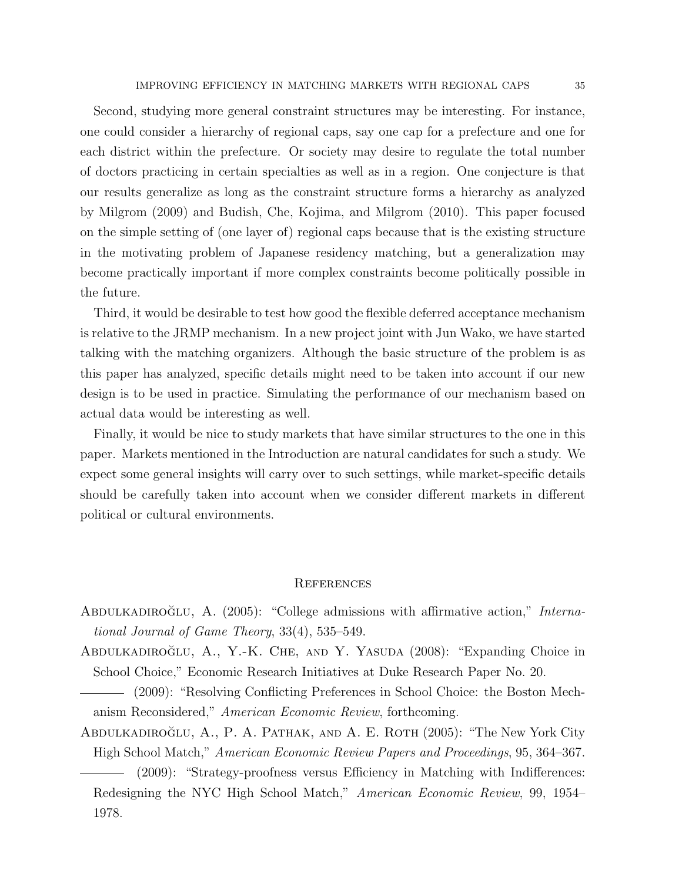Second, studying more general constraint structures may be interesting. For instance, one could consider a hierarchy of regional caps, say one cap for a prefecture and one for each district within the prefecture. Or society may desire to regulate the total number of doctors practicing in certain specialties as well as in a region. One conjecture is that our results generalize as long as the constraint structure forms a hierarchy as analyzed by Milgrom (2009) and Budish, Che, Kojima, and Milgrom (2010). This paper focused on the simple setting of (one layer of) regional caps because that is the existing structure in the motivating problem of Japanese residency matching, but a generalization may become practically important if more complex constraints become politically possible in the future.

Third, it would be desirable to test how good the flexible deferred acceptance mechanism is relative to the JRMP mechanism. In a new project joint with Jun Wako, we have started talking with the matching organizers. Although the basic structure of the problem is as this paper has analyzed, specific details might need to be taken into account if our new design is to be used in practice. Simulating the performance of our mechanism based on actual data would be interesting as well.

Finally, it would be nice to study markets that have similar structures to the one in this paper. Markets mentioned in the Introduction are natural candidates for such a study. We expect some general insights will carry over to such settings, while market-specific details should be carefully taken into account when we consider different markets in different political or cultural environments.

### **REFERENCES**

- ABDULKADIROGLU, A.  $(2005)$ : "College admissions with affirmative action," International Journal of Game Theory, 33(4), 535–549.
- ABDULKADIROĞLU, A., Y.-K. CHE, AND Y. YASUDA  $(2008)$ : "Expanding Choice in School Choice," Economic Research Initiatives at Duke Research Paper No. 20.
- (2009): "Resolving Conflicting Preferences in School Choice: the Boston Mechanism Reconsidered," American Economic Review, forthcoming.
- ABDULKADIROĞLU, A., P. A. PATHAK, AND A. E. ROTH (2005): "The New York City High School Match," American Economic Review Papers and Proceedings, 95, 364–367.
- (2009): "Strategy-proofness versus Efficiency in Matching with Indifferences: Redesigning the NYC High School Match," American Economic Review, 99, 1954– 1978.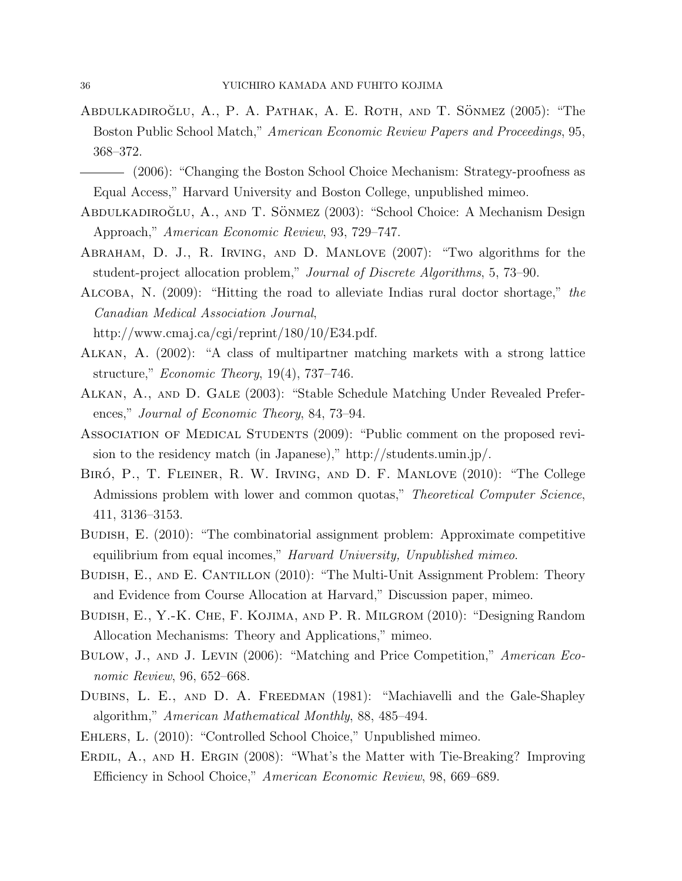- ABDULKADIROĞLU, A., P. A. PATHAK, A. E. ROTH, AND T. SÖNMEZ (2005): "The Boston Public School Match," American Economic Review Papers and Proceedings, 95, 368–372.
- (2006): "Changing the Boston School Choice Mechanism: Strategy-proofness as Equal Access," Harvard University and Boston College, unpublished mimeo.
- ABDULKADIROĞLU, A., AND T. SÖNMEZ (2003): "School Choice: A Mechanism Design Approach," American Economic Review, 93, 729–747.
- Abraham, D. J., R. Irving, and D. Manlove (2007): "Two algorithms for the student-project allocation problem," Journal of Discrete Algorithms, 5, 73–90.
- Alcoba, N. (2009): "Hitting the road to alleviate Indias rural doctor shortage," the Canadian Medical Association Journal,
	- http://www.cmaj.ca/cgi/reprint/180/10/E34.pdf.
- Alkan, A. (2002): "A class of multipartner matching markets with a strong lattice structure," *Economic Theory*,  $19(4)$ ,  $737-746$ .
- Alkan, A., and D. Gale (2003): "Stable Schedule Matching Under Revealed Preferences," Journal of Economic Theory, 84, 73–94.
- ASSOCIATION OF MEDICAL STUDENTS (2009): "Public comment on the proposed revision to the residency match (in Japanese)," http://students.umin.jp/.
- BIRÓ, P., T. FLEINER, R. W. IRVING, AND D. F. MANLOVE (2010): "The College Admissions problem with lower and common quotas," Theoretical Computer Science, 411, 3136–3153.
- Budish, E. (2010): "The combinatorial assignment problem: Approximate competitive equilibrium from equal incomes," *Harvard University*, *Unpublished mimeo.*
- BUDISH, E., AND E. CANTILLON (2010): "The Multi-Unit Assignment Problem: Theory and Evidence from Course Allocation at Harvard," Discussion paper, mimeo.
- Budish, E., Y.-K. Che, F. Kojima, and P. R. Milgrom (2010): "Designing Random Allocation Mechanisms: Theory and Applications," mimeo.
- Bulow, J., and J. Levin (2006): "Matching and Price Competition," American Economic Review, 96, 652–668.
- DUBINS, L. E., AND D. A. FREEDMAN (1981): "Machiavelli and the Gale-Shapley algorithm," American Mathematical Monthly, 88, 485–494.
- Ehlers, L. (2010): "Controlled School Choice," Unpublished mimeo.
- ERDIL, A., AND H. ERGIN (2008): "What's the Matter with Tie-Breaking? Improving Efficiency in School Choice," American Economic Review, 98, 669–689.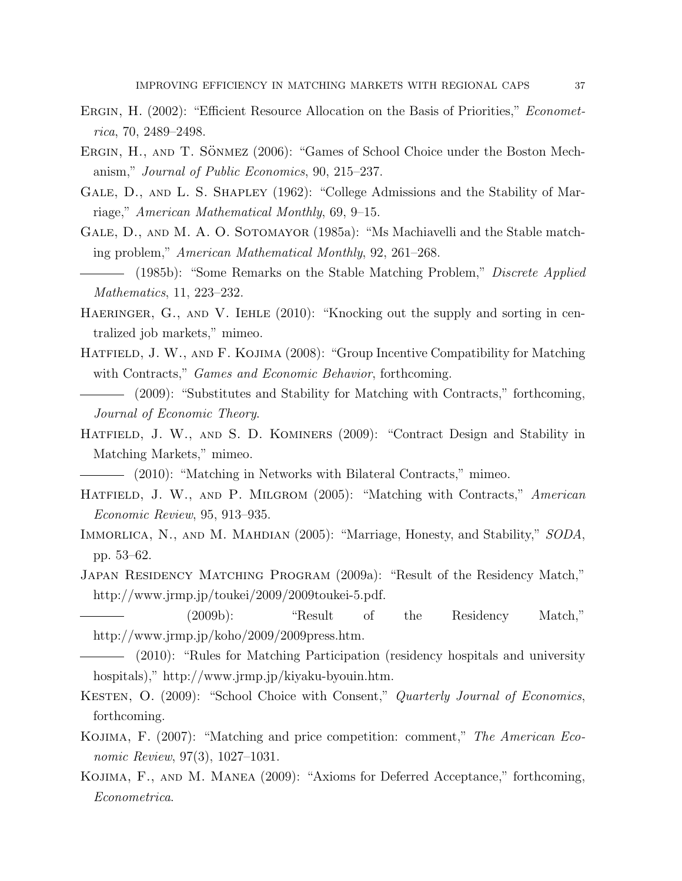- ERGIN, H. (2002): "Efficient Resource Allocation on the Basis of Priorities," *Economet*rica, 70, 2489–2498.
- ERGIN, H., AND T. SÖNMEZ (2006): "Games of School Choice under the Boston Mechanism," Journal of Public Economics, 90, 215–237.
- GALE, D., AND L. S. SHAPLEY (1962): "College Admissions and the Stability of Marriage," American Mathematical Monthly, 69, 9–15.
- GALE, D., AND M. A. O. SOTOMAYOR (1985a): "Ms Machiavelli and the Stable matching problem," American Mathematical Monthly, 92, 261–268.
- (1985b): "Some Remarks on the Stable Matching Problem," *Discrete Applied* Mathematics, 11, 223–232.
- HAERINGER, G., AND V. IEHLE (2010): "Knocking out the supply and sorting in centralized job markets," mimeo.
- HATFIELD, J. W., AND F. KOJIMA (2008): "Group Incentive Compatibility for Matching with Contracts," *Games and Economic Behavior*, forthcoming.
- (2009): "Substitutes and Stability for Matching with Contracts," forthcoming, Journal of Economic Theory.
- HATFIELD, J. W., AND S. D. KOMINERS (2009): "Contract Design and Stability in Matching Markets," mimeo.
- (2010): "Matching in Networks with Bilateral Contracts," mimeo.
- HATFIELD, J. W., AND P. MILGROM (2005): "Matching with Contracts," American Economic Review, 95, 913–935.
- IMMORLICA, N., AND M. MAHDIAN (2005): "Marriage, Honesty, and Stability," SODA, pp. 53–62.
- Japan Residency Matching Program (2009a): "Result of the Residency Match," http://www.jrmp.jp/toukei/2009/2009toukei-5.pdf.
	- (2009b): "Result of the Residency Match," http://www.jrmp.jp/koho/2009/2009press.htm.
	- (2010): "Rules for Matching Participation (residency hospitals and university hospitals)," http://www.jrmp.jp/kiyaku-byouin.htm.
- KESTEN, O. (2009): "School Choice with Consent," Quarterly Journal of Economics, forthcoming.
- KOJIMA, F. (2007): "Matching and price competition: comment," The American Economic Review, 97(3), 1027–1031.
- Kojima, F., and M. Manea (2009): "Axioms for Deferred Acceptance," forthcoming, Econometrica.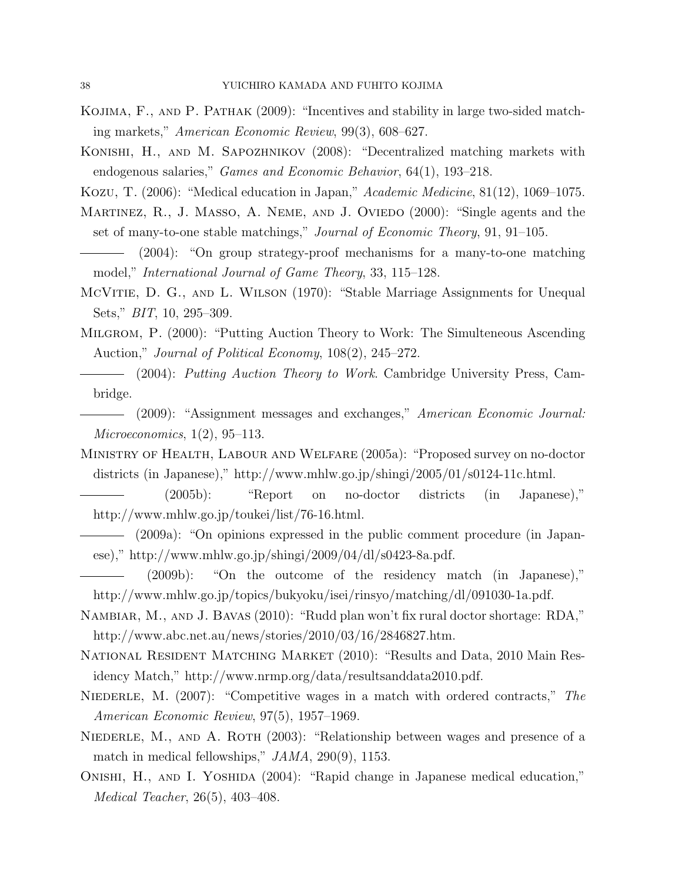- Kojima, F., and P. Pathak (2009): "Incentives and stability in large two-sided matching markets," American Economic Review, 99(3), 608–627.
- Konishi, H., and M. Sapozhnikov (2008): "Decentralized matching markets with endogenous salaries," Games and Economic Behavior, 64(1), 193–218.
- Kozu, T. (2006): "Medical education in Japan," Academic Medicine, 81(12), 1069–1075.
- MARTINEZ, R., J. MASSO, A. NEME, AND J. OVIEDO (2000): "Single agents and the set of many-to-one stable matchings," *Journal of Economic Theory*, 91, 91–105.
- (2004): "On group strategy-proof mechanisms for a many-to-one matching model," International Journal of Game Theory, 33, 115–128.
- McVitie, D. G., and L. Wilson (1970): "Stable Marriage Assignments for Unequal Sets," BIT, 10, 295–309.
- Milgrom, P. (2000): "Putting Auction Theory to Work: The Simulteneous Ascending Auction," Journal of Political Economy, 108(2), 245–272.
	- (2004): Putting Auction Theory to Work. Cambridge University Press, Cambridge.
	- (2009): "Assignment messages and exchanges," American Economic Journal: Microeconomics, 1(2), 95–113.
- Ministry of Health, Labour and Welfare (2005a): "Proposed survey on no-doctor districts (in Japanese)," http://www.mhlw.go.jp/shingi/2005/01/s0124-11c.html.
- (2005b): "Report on no-doctor districts (in Japanese)," http://www.mhlw.go.jp/toukei/list/76-16.html.
- (2009a): "On opinions expressed in the public comment procedure (in Japanese)," http://www.mhlw.go.jp/shingi/2009/04/dl/s0423-8a.pdf.
- (2009b): "On the outcome of the residency match (in Japanese)," http://www.mhlw.go.jp/topics/bukyoku/isei/rinsyo/matching/dl/091030-1a.pdf.
- Nambiar, M., and J. Bavas (2010): "Rudd plan won't fix rural doctor shortage: RDA," http://www.abc.net.au/news/stories/2010/03/16/2846827.htm.
- National Resident Matching Market (2010): "Results and Data, 2010 Main Residency Match," http://www.nrmp.org/data/resultsanddata2010.pdf.
- NIEDERLE, M. (2007): "Competitive wages in a match with ordered contracts," The American Economic Review, 97(5), 1957–1969.
- NIEDERLE, M., AND A. ROTH (2003): "Relationship between wages and presence of a match in medical fellowships," JAMA, 290(9), 1153.
- ONISHI, H., AND I. YOSHIDA (2004): "Rapid change in Japanese medical education," Medical Teacher, 26(5), 403–408.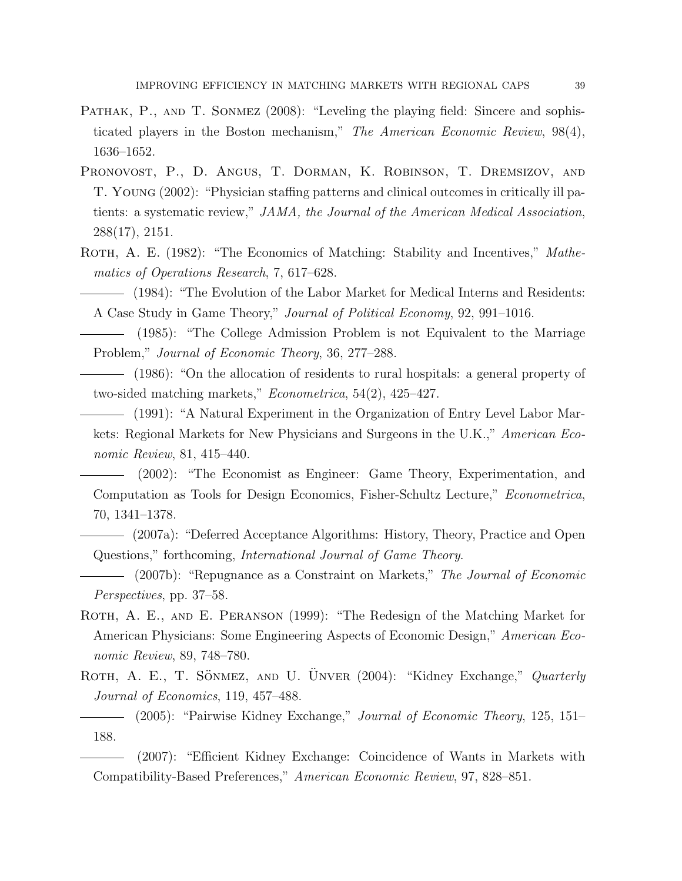- PATHAK, P., AND T. SONMEZ (2008): "Leveling the playing field: Sincere and sophisticated players in the Boston mechanism," The American Economic Review, 98(4), 1636–1652.
- Pronovost, P., D. Angus, T. Dorman, K. Robinson, T. Dremsizov, and T. Young (2002): "Physician staffing patterns and clinical outcomes in critically ill patients: a systematic review," JAMA, the Journal of the American Medical Association, 288(17), 2151.
- ROTH, A. E. (1982): "The Economics of Matching: Stability and Incentives," Mathematics of Operations Research, 7, 617–628.
	- (1984): "The Evolution of the Labor Market for Medical Interns and Residents: A Case Study in Game Theory," Journal of Political Economy, 92, 991–1016.
- (1985): "The College Admission Problem is not Equivalent to the Marriage Problem," Journal of Economic Theory, 36, 277–288.
	- (1986): "On the allocation of residents to rural hospitals: a general property of two-sided matching markets," Econometrica, 54(2), 425–427.
	- (1991): "A Natural Experiment in the Organization of Entry Level Labor Markets: Regional Markets for New Physicians and Surgeons in the U.K.," American Economic Review, 81, 415–440.
	- (2002): "The Economist as Engineer: Game Theory, Experimentation, and Computation as Tools for Design Economics, Fisher-Schultz Lecture," Econometrica, 70, 1341–1378.
	- (2007a): "Deferred Acceptance Algorithms: History, Theory, Practice and Open Questions," forthcoming, International Journal of Game Theory.
	- (2007b): "Repugnance as a Constraint on Markets," The Journal of Economic Perspectives, pp. 37–58.
- ROTH, A. E., AND E. PERANSON (1999): "The Redesign of the Matching Market for American Physicians: Some Engineering Aspects of Economic Design," American Economic Review, 89, 748–780.
- ROTH, A. E., T. SÖNMEZ, AND U. ÜNVER (2004): "Kidney Exchange," Quarterly Journal of Economics, 119, 457–488.

# (2005): "Pairwise Kidney Exchange," Journal of Economic Theory, 125, 151– 188.

(2007): "Efficient Kidney Exchange: Coincidence of Wants in Markets with Compatibility-Based Preferences," American Economic Review, 97, 828–851.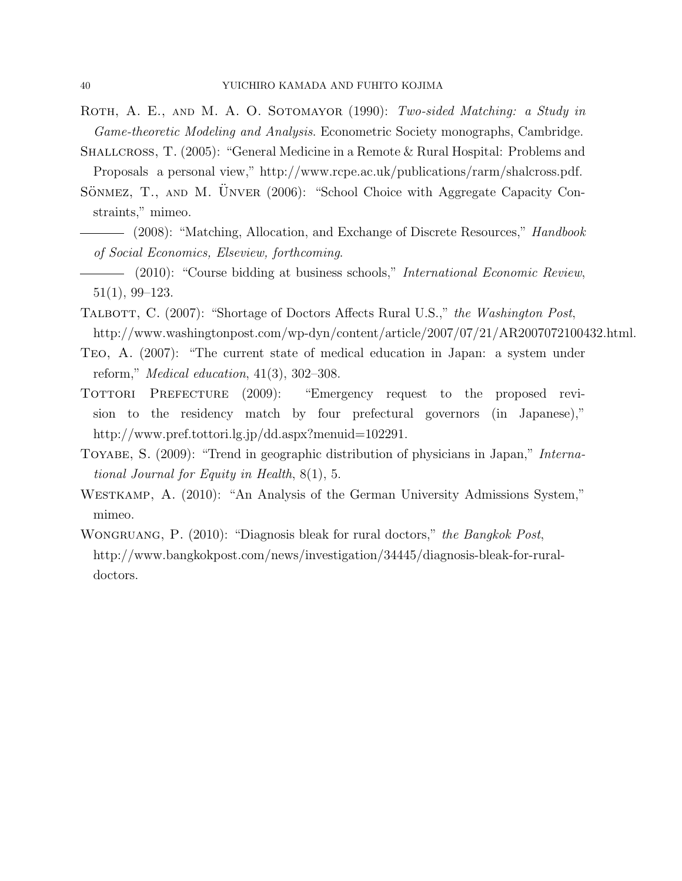- ROTH, A. E., AND M. A. O. SOTOMAYOR (1990): Two-sided Matching: a Study in Game-theoretic Modeling and Analysis. Econometric Society monographs, Cambridge.
- SHALLCROSS, T. (2005): "General Medicine in a Remote & Rural Hospital: Problems and Proposals a personal view," http://www.rcpe.ac.uk/publications/rarm/shalcross.pdf.
- SÖNMEZ, T., AND M. UNVER (2006): "School Choice with Aggregate Capacity Constraints," mimeo.
- $-$  (2008): "Matching, Allocation, and Exchange of Discrete Resources," *Handbook* of Social Economics, Elseview, forthcoming.
- (2010): "Course bidding at business schools," *International Economic Review*, 51(1), 99–123.
- TALBOTT, C. (2007): "Shortage of Doctors Affects Rural U.S.," the Washington Post, http://www.washingtonpost.com/wp-dyn/content/article/2007/07/21/AR2007072100432.html.
- Teo, A. (2007): "The current state of medical education in Japan: a system under reform," Medical education, 41(3), 302–308.
- TOTTORI PREFECTURE (2009): "Emergency request to the proposed revision to the residency match by four prefectural governors (in Japanese)," http://www.pref.tottori.lg.jp/dd.aspx?menuid=102291.
- TOYABE, S. (2009): "Trend in geographic distribution of physicians in Japan," *Interna*tional Journal for Equity in Health, 8(1), 5.
- WESTKAMP, A. (2010): "An Analysis of the German University Admissions System," mimeo.
- WONGRUANG, P. (2010): "Diagnosis bleak for rural doctors," the Bangkok Post, http://www.bangkokpost.com/news/investigation/34445/diagnosis-bleak-for-ruraldoctors.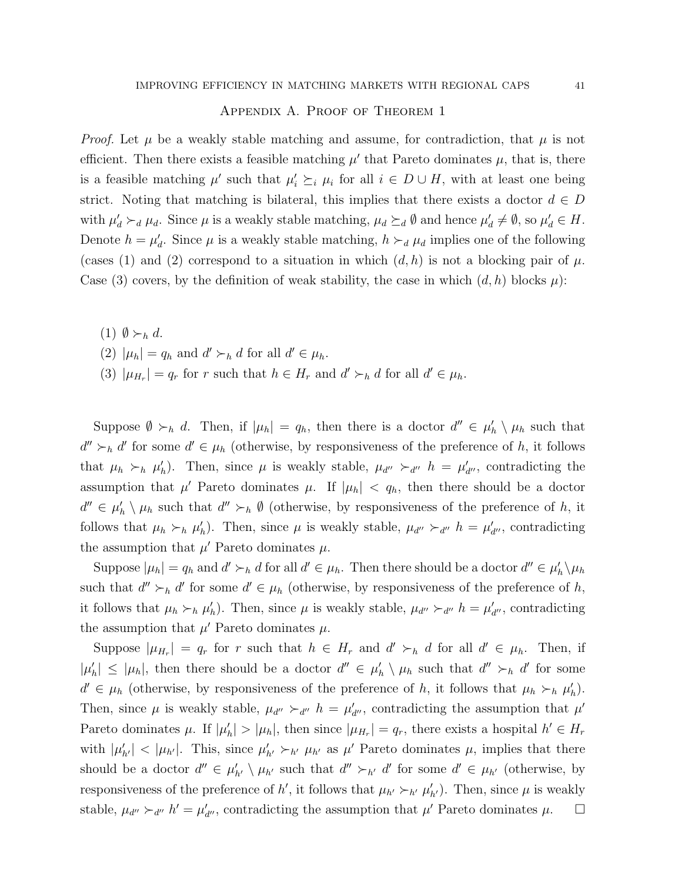### Appendix A. Proof of Theorem 1

*Proof.* Let  $\mu$  be a weakly stable matching and assume, for contradiction, that  $\mu$  is not efficient. Then there exists a feasible matching  $\mu'$  that Pareto dominates  $\mu$ , that is, there is a feasible matching  $\mu'$  such that  $\mu'_i \succeq_i \mu_i$  for all  $i \in D \cup H$ , with at least one being strict. Noting that matching is bilateral, this implies that there exists a doctor  $d \in D$ with  $\mu'_d \succ_d \mu_d$ . Since  $\mu$  is a weakly stable matching,  $\mu_d \succeq_d \emptyset$  and hence  $\mu'_d \neq \emptyset$ , so  $\mu'_d \in H$ . Denote  $h = \mu'_d$ . Since  $\mu$  is a weakly stable matching,  $h \succ_d \mu_d$  implies one of the following (cases (1) and (2) correspond to a situation in which  $(d, h)$  is not a blocking pair of  $\mu$ . Case (3) covers, by the definition of weak stability, the case in which  $(d, h)$  blocks  $\mu$ ):

- (1)  $\emptyset \succ_h d$ .
- (2)  $|\mu_h| = q_h$  and  $d' \succ_h d$  for all  $d' \in \mu_h$ .
- (3)  $|\mu_{H_r}| = q_r$  for r such that  $h \in H_r$  and  $d' \succ_h d$  for all  $d' \in \mu_h$ .

Suppose  $\emptyset \succ_h d$ . Then, if  $|\mu_h| = q_h$ , then there is a doctor  $d'' \in \mu'_h \setminus \mu_h$  such that  $d'' \succ_h d'$  for some  $d' \in \mu_h$  (otherwise, by responsiveness of the preference of h, it follows that  $\mu_h \succ_h \mu'_h$ ). Then, since  $\mu$  is weakly stable,  $\mu_{d''} \succ_{d''} h = \mu'_{d''}$ , contradicting the assumption that  $\mu'$  Pareto dominates  $\mu$ . If  $|\mu_h| < q_h$ , then there should be a doctor  $d'' \in \mu'_h \setminus \mu_h$  such that  $d'' \succ_h \emptyset$  (otherwise, by responsiveness of the preference of h, it follows that  $\mu_h \succ_h \mu'_h$ ). Then, since  $\mu$  is weakly stable,  $\mu_{d''} \succ_{d''} h = \mu'_{d''}$ , contradicting the assumption that  $\mu'$  Pareto dominates  $\mu$ .

Suppose  $|\mu_h| = q_h$  and  $d' \succ_h d$  for all  $d' \in \mu_h$ . Then there should be a doctor  $d'' \in \mu'_h \setminus \mu_h$ such that  $d'' \succ_h d'$  for some  $d' \in \mu_h$  (otherwise, by responsiveness of the preference of h, it follows that  $\mu_h \succ_h \mu'_h$ ). Then, since  $\mu$  is weakly stable,  $\mu_{d''} \succ_{d''} h = \mu'_{d''}$ , contradicting the assumption that  $\mu'$  Pareto dominates  $\mu$ .

Suppose  $|\mu_{H_r}| = q_r$  for r such that  $h \in H_r$  and  $d' \succ_h d$  for all  $d' \in \mu_h$ . Then, if  $|\mu'_h| \leq |\mu_h|$ , then there should be a doctor  $d'' \in \mu'_h \setminus \mu_h$  such that  $d'' \succ_h d'$  for some  $d' \in \mu_h$  (otherwise, by responsiveness of the preference of h, it follows that  $\mu_h \succ_h \mu'_h$ ). Then, since  $\mu$  is weakly stable,  $\mu_{d''} \succ_{d''} h = \mu'_{d''}$ , contradicting the assumption that  $\mu'$ Pareto dominates  $\mu$ . If  $|\mu'_h| > |\mu_h|$ , then since  $|\mu_{H_r}| = q_r$ , there exists a hospital  $h' \in H_r$ with  $|\mu'_{h'}| < |\mu_{h'}|$ . This, since  $\mu'_{h'} \succ_{h'} \mu_{h'}$  as  $\mu'$  Pareto dominates  $\mu$ , implies that there should be a doctor  $d'' \in \mu'_{h'} \setminus \mu_{h'}$  such that  $d'' \succ_{h'} d'$  for some  $d' \in \mu_{h'}$  (otherwise, by responsiveness of the preference of h', it follows that  $\mu_{h'} \succ_{h'} \mu'_{h'}$ ). Then, since  $\mu$  is weakly stable,  $\mu_{d''} \succ_{d''} h' = \mu'_{d''}$ , contradicting the assumption that  $\mu'$  Pareto dominates  $\mu$ .  $\Box$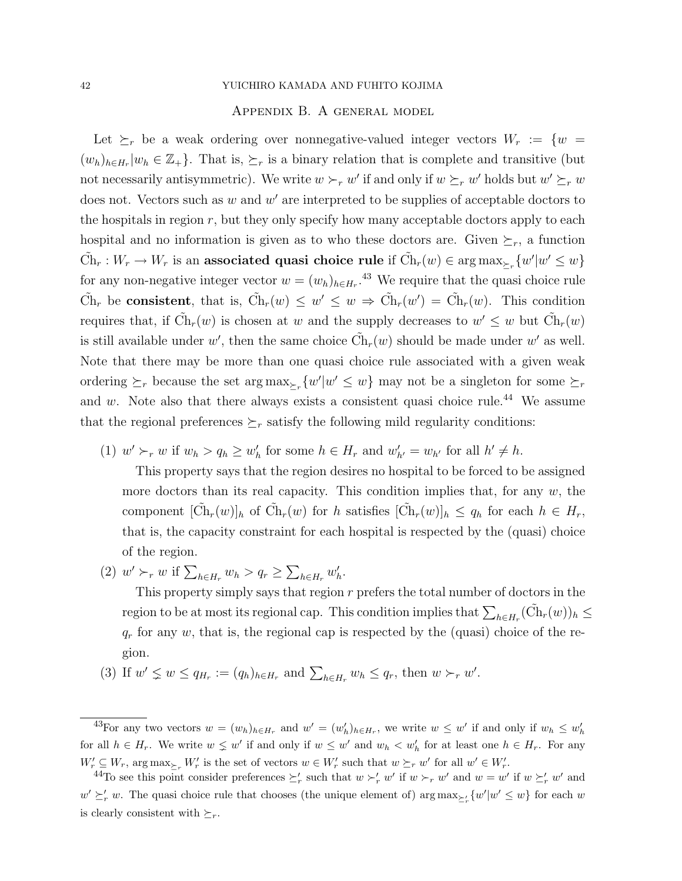### Appendix B. A general model

Let  $\succeq_r$  be a weak ordering over nonnegative-valued integer vectors  $W_r := \{w =$  $(w_h)_{h\in H_r}|w_h\in \mathbb{Z}_+$ . That is,  $\succeq_r$  is a binary relation that is complete and transitive (but not necessarily antisymmetric). We write  $w \succ_r w'$  if and only if  $w \succeq_r w'$  holds but  $w' \succeq_r w$ does not. Vectors such as  $w$  and  $w'$  are interpreted to be supplies of acceptable doctors to the hospitals in region  $r$ , but they only specify how many acceptable doctors apply to each hospital and no information is given as to who these doctors are. Given  $\succeq_r$ , a function  $\tilde{\mathrm{Ch}}_r : W_r \to W_r$  is an associated quasi choice rule if  $\tilde{\mathrm{Ch}}_r(w) \in \arg\max_{\succeq_r} \{w'|w' \leq w\}$ for any non-negative integer vector  $w = (w_h)_{h \in H_r}$ .<sup>43</sup> We require that the quasi choice rule  $\tilde{\mathrm{Ch}}_r$  be consistent, that is,  $\tilde{\mathrm{Ch}}_r(w) \leq w' \leq w \Rightarrow \tilde{\mathrm{Ch}}_r(w') = \tilde{\mathrm{Ch}}_r(w)$ . This condition requires that, if  $\tilde{Ch}_r(w)$  is chosen at w and the supply decreases to  $w' \leq w$  but  $\tilde{Ch}_r(w)$ is still available under w', then the same choice  $\tilde{\text{Ch}}_r(w)$  should be made under w' as well. Note that there may be more than one quasi choice rule associated with a given weak ordering  $\succeq_r$  because the set  $\arg \max_{\succeq_r} \{w'|w' \leq w\}$  may not be a singleton for some  $\succeq_r$ and w. Note also that there always exists a consistent quasi choice rule.<sup>44</sup> We assume that the regional preferences  $\succeq_r$  satisfy the following mild regularity conditions:

(1)  $w' \succ_r w$  if  $w_h > q_h \geq w'_h$  for some  $h \in H_r$  and  $w'_{h'} = w_{h'}$  for all  $h' \neq h$ .

This property says that the region desires no hospital to be forced to be assigned more doctors than its real capacity. This condition implies that, for any  $w$ , the component  $[\tilde{Ch}_r(w)]_h$  of  $\tilde{Ch}_r(w)$  for h satisfies  $[\tilde{Ch}_r(w)]_h \leq q_h$  for each  $h \in H_r$ , that is, the capacity constraint for each hospital is respected by the (quasi) choice of the region.

(2)  $w' \succ_r w$  if  $\sum_{h \in H_r} w_h > q_r \ge \sum_{h \in H_r} w'_h$ .

This property simply says that region  $r$  prefers the total number of doctors in the region to be at most its regional cap. This condition implies that  $\sum_{h\in H_r} (\tilde{\mathrm{Ch}}_r(w))_h \leq$  $q_r$  for any w, that is, the regional cap is respected by the (quasi) choice of the region.

(3) If  $w' \nleq w \leq q_{H_r} := (q_h)_{h \in H_r}$  and  $\sum_{h \in H_r} w_h \leq q_r$ , then  $w \succ_r w'$ .

<sup>&</sup>lt;sup>43</sup>For any two vectors  $w = (w_h)_{h \in H_r}$  and  $w' = (w'_h)_{h \in H_r}$ , we write  $w \leq w'$  if and only if  $w_h \leq w'_h$ for all  $h \in H_r$ . We write  $w \leq w'$  if and only if  $w \leq w'$  and  $w_h \lt w'_h$  for at least one  $h \in H_r$ . For any  $W'_r \subseteq W_r$ ,  $\arg \max_{\Sigma_r} W'_r$  is the set of vectors  $w \in W'_r$  such that  $w \succeq_r w'$  for all  $w' \in W'_r$ .

<sup>&</sup>lt;sup>44</sup>To see this point consider preferences  $\geq'_r$  such that  $w \succ'_r w'$  if  $w \succ_r w'$  and  $w = w'$  if  $w \succeq'_r w'$  and  $w' \succeq'_r w$ . The quasi choice rule that chooses (the unique element of) arg  $\max_{\succeq'_r} \{w'|w' \leq w\}$  for each w is clearly consistent with  $\succeq_r$ .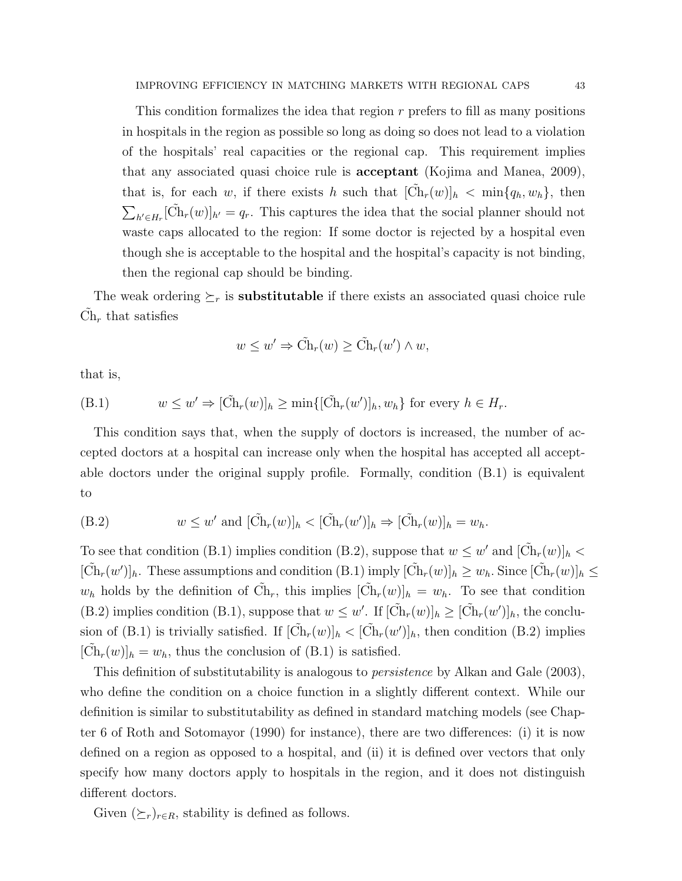This condition formalizes the idea that region r prefers to fill as many positions in hospitals in the region as possible so long as doing so does not lead to a violation of the hospitals' real capacities or the regional cap. This requirement implies that any associated quasi choice rule is acceptant (Kojima and Manea, 2009), that is, for each w, if there exists h such that  $[\tilde{Ch}_r(w)]_h < \min\{q_h, w_h\}$ , then  $\sum_{h' \in H_r} [\tilde{Ch}_r(w)]_{h'} = q_r$ . This captures the idea that the social planner should not waste caps allocated to the region: If some doctor is rejected by a hospital even though she is acceptable to the hospital and the hospital's capacity is not binding, then the regional cap should be binding.

The weak ordering  $\geq_r$  is **substitutable** if there exists an associated quasi choice rule  $\tilde{\mathrm{Ch}}_r$  that satisfies

$$
w \leq w' \Rightarrow \tilde{Ch}_r(w) \geq \tilde{Ch}_r(w') \wedge w,
$$

that is,

(B.1) 
$$
w \leq w' \Rightarrow [\tilde{Ch}_r(w)]_h \geq \min\{[\tilde{Ch}_r(w')]_h, w_h\} \text{ for every } h \in H_r.
$$

This condition says that, when the supply of doctors is increased, the number of accepted doctors at a hospital can increase only when the hospital has accepted all acceptable doctors under the original supply profile. Formally, condition (B.1) is equivalent to

(B.2) 
$$
w \leq w' \text{ and } [\tilde{\mathrm{Ch}}_r(w)]_h < [\tilde{\mathrm{Ch}}_r(w')]_h \Rightarrow [\tilde{\mathrm{Ch}}_r(w)]_h = w_h.
$$

To see that condition (B.1) implies condition (B.2), suppose that  $w \leq w'$  and  $[\tilde{Ch}_r(w)]_h$  $[\tilde{Ch}_r(w')]_h$ . These assumptions and condition (B.1) imply  $[\tilde{Ch}_r(w)]_h \geq w_h$ . Since  $[\tilde{Ch}_r(w)]_h \leq$  $w_h$  holds by the definition of  $\tilde{Ch}_r$ , this implies  $[\tilde{Ch}_r(w)]_h = w_h$ . To see that condition (B.2) implies condition (B.1), suppose that  $w \leq w'$ . If  $[\tilde{Ch}_r(w)]_h \geq [\tilde{Ch}_r(w')]_h$ , the conclusion of (B.1) is trivially satisfied. If  $[\tilde{Ch}_r(w)]_h < [\tilde{Ch}_r(w')]_h$ , then condition (B.2) implies  $[\tilde{Ch}_r(w)]_h = w_h$ , thus the conclusion of (B.1) is satisfied.

This definition of substitutability is analogous to persistence by Alkan and Gale (2003), who define the condition on a choice function in a slightly different context. While our definition is similar to substitutability as defined in standard matching models (see Chapter 6 of Roth and Sotomayor (1990) for instance), there are two differences: (i) it is now defined on a region as opposed to a hospital, and (ii) it is defined over vectors that only specify how many doctors apply to hospitals in the region, and it does not distinguish different doctors.

Given  $(\succeq_r)_{r \in R}$ , stability is defined as follows.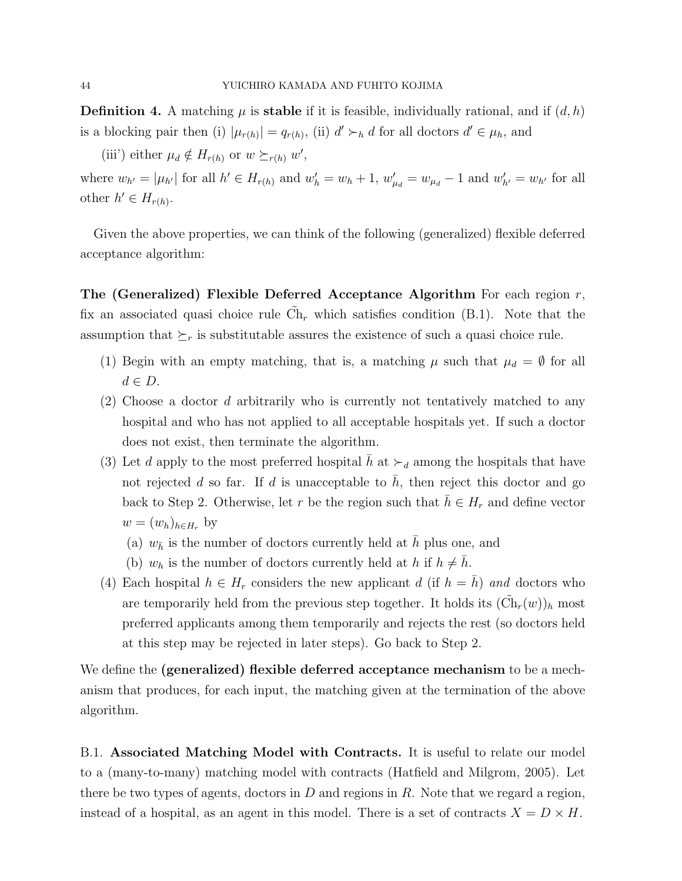**Definition 4.** A matching  $\mu$  is **stable** if it is feasible, individually rational, and if  $(d, h)$ is a blocking pair then (i)  $|\mu_{r(h)}| = q_{r(h)}$ , (ii)  $d' \succ_h d$  for all doctors  $d' \in \mu_h$ , and

(iii') either  $\mu_d \notin H_{r(h)}$  or  $w \succeq_{r(h)} w'$ ,

where  $w_{h'} = |\mu_{h'}|$  for all  $h' \in H_{r(h)}$  and  $w'_{h} = w_h + 1$ ,  $w'_{\mu_d} = w_{\mu_d} - 1$  and  $w'_{h'} = w_{h'}$  for all other  $h' \in H_{r(h)}$ .

Given the above properties, we can think of the following (generalized) flexible deferred acceptance algorithm:

The (Generalized) Flexible Deferred Acceptance Algorithm For each region  $r$ , fix an associated quasi choice rule  $\tilde{C}_{h_r}$  which satisfies condition (B.1). Note that the assumption that  $\succeq_r$  is substitutable assures the existence of such a quasi choice rule.

- (1) Begin with an empty matching, that is, a matching  $\mu$  such that  $\mu_d = \emptyset$  for all  $d \in D$ .
- (2) Choose a doctor d arbitrarily who is currently not tentatively matched to any hospital and who has not applied to all acceptable hospitals yet. If such a doctor does not exist, then terminate the algorithm.
- (3) Let d apply to the most preferred hospital h at  $\succ_d$  among the hospitals that have not rejected d so far. If d is unacceptable to  $\bar{h}$ , then reject this doctor and go back to Step 2. Otherwise, let r be the region such that  $\bar{h} \in H_r$  and define vector  $w = (w_h)_{h \in H_r}$  by
	- (a)  $w_{\bar{h}}$  is the number of doctors currently held at h plus one, and
	- (b)  $w_h$  is the number of doctors currently held at h if  $h \neq \bar{h}$ .
- (4) Each hospital  $h \in H_r$  considers the new applicant d (if  $h = h$ ) and doctors who are temporarily held from the previous step together. It holds its  $(\tilde{Ch}_r(w))_h$  most preferred applicants among them temporarily and rejects the rest (so doctors held at this step may be rejected in later steps). Go back to Step 2.

We define the (generalized) flexible deferred acceptance mechanism to be a mechanism that produces, for each input, the matching given at the termination of the above algorithm.

B.1. Associated Matching Model with Contracts. It is useful to relate our model to a (many-to-many) matching model with contracts (Hatfield and Milgrom, 2005). Let there be two types of agents, doctors in  $D$  and regions in  $R$ . Note that we regard a region, instead of a hospital, as an agent in this model. There is a set of contracts  $X = D \times H$ .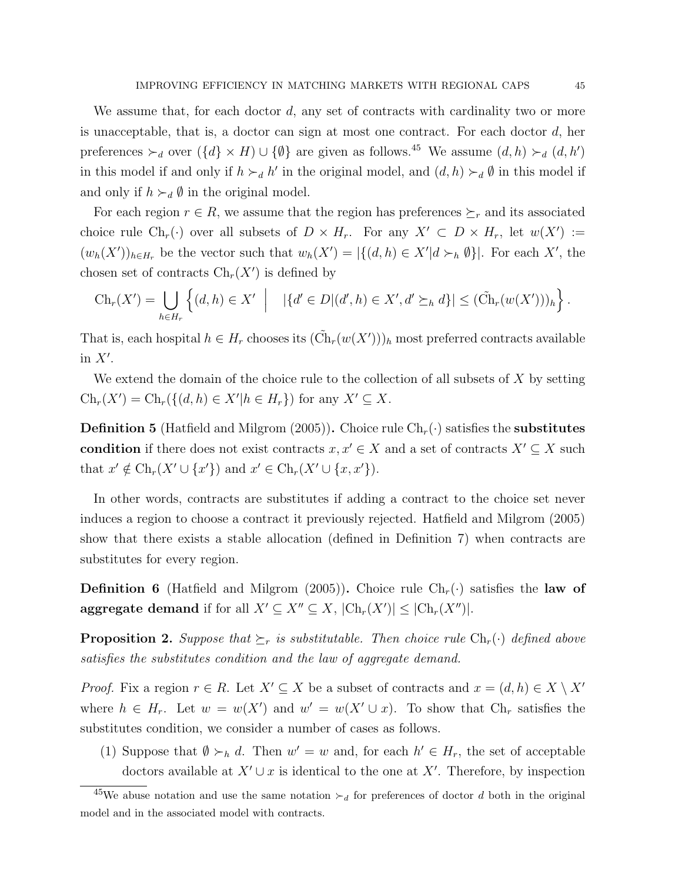We assume that, for each doctor  $d$ , any set of contracts with cardinality two or more is unacceptable, that is, a doctor can sign at most one contract. For each doctor  $d$ , her preferences  $\succ_d$  over  $({d} \times H) \cup {\emptyset}$  are given as follows.<sup>45</sup> We assume  $(d, h) \succ_d (d, h')$ in this model if and only if  $h \succ_d h'$  in the original model, and  $(d, h) \succ_d \emptyset$  in this model if and only if  $h \succ_d \emptyset$  in the original model.

For each region  $r \in R$ , we assume that the region has preferences  $\succeq_r$  and its associated choice rule  $Ch_r(\cdot)$  over all subsets of  $D \times H_r$ . For any  $X' \subset D \times H_r$ , let  $w(X') :=$  $(w_h(X'))_{h\in H_r}$  be the vector such that  $w_h(X') = |\{(d, h) \in X'| d \succ_h \emptyset\}|$ . For each X', the chosen set of contracts  $\text{Ch}_r(X')$  is defined by

$$
Ch_r(X') = \bigcup_{h \in H_r} \left\{ (d, h) \in X' \mid |\{d' \in D | (d', h) \in X', d' \succeq_h d\}| \leq (\tilde{Ch}_r(w(X')))_h \right\}.
$$

That is, each hospital  $h \in H_r$  chooses its  $(\tilde{Ch}_r(w(X'))_h)$  most preferred contracts available in  $X'$ .

We extend the domain of the choice rule to the collection of all subsets of  $X$  by setting  $\text{Ch}_r(X') = \text{Ch}_r(\{(d, h) \in X' | h \in H_r\})$  for any  $X' \subseteq X$ .

**Definition 5** (Hatfield and Milgrom (2005)). Choice rule  $\text{Ch}_r(\cdot)$  satisfies the **substitutes** condition if there does not exist contracts  $x, x' \in X$  and a set of contracts  $X' \subseteq X$  such that  $x' \notin \text{Ch}_r(X' \cup \{x'\})$  and  $x' \in \text{Ch}_r(X' \cup \{x,x'\})$ .

In other words, contracts are substitutes if adding a contract to the choice set never induces a region to choose a contract it previously rejected. Hatfield and Milgrom (2005) show that there exists a stable allocation (defined in Definition 7) when contracts are substitutes for every region.

**Definition 6** (Hatfield and Milgrom (2005)). Choice rule  $Ch_r(\cdot)$  satisfies the law of aggregate demand if for all  $X' \subseteq X'' \subseteq X$ ,  $|\text{Ch}_r(X')| \leq |\text{Ch}_r(X'')|$ .

**Proposition 2.** Suppose that  $\succeq_r$  is substitutable. Then choice rule  $Ch_r(\cdot)$  defined above satisfies the substitutes condition and the law of aggregate demand.

*Proof.* Fix a region  $r \in R$ . Let  $X' \subseteq X$  be a subset of contracts and  $x = (d, h) \in X \setminus X'$ where  $h \in H_r$ . Let  $w = w(X')$  and  $w' = w(X' \cup x)$ . To show that  $Ch_r$  satisfies the substitutes condition, we consider a number of cases as follows.

(1) Suppose that  $\emptyset \succ_h d$ . Then  $w' = w$  and, for each  $h' \in H_r$ , the set of acceptable doctors available at  $X' \cup x$  is identical to the one at X'. Therefore, by inspection

<sup>&</sup>lt;sup>45</sup>We abuse notation and use the same notation  $\succ_d$  for preferences of doctor d both in the original model and in the associated model with contracts.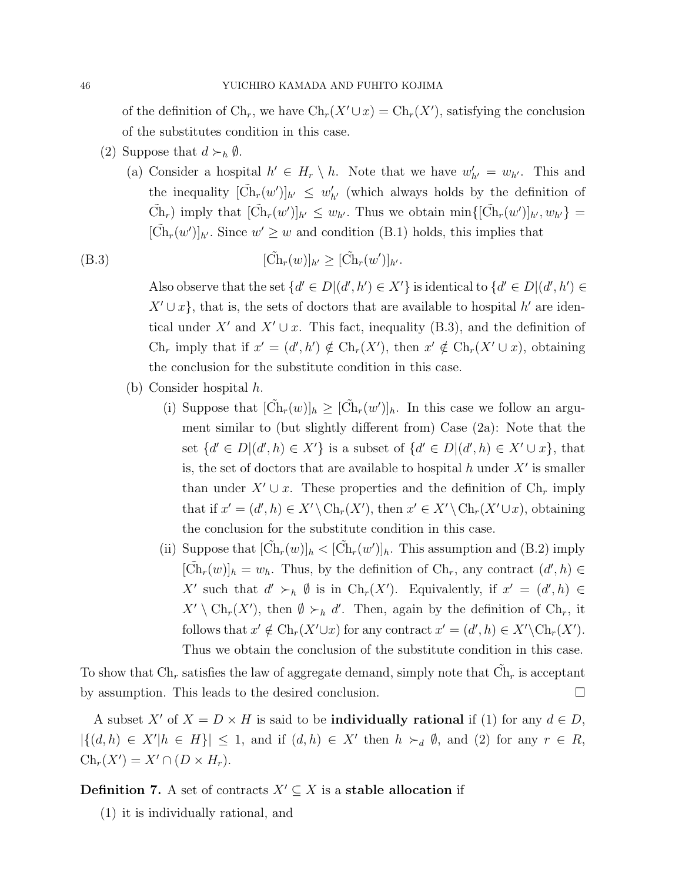of the definition of  $\text{Ch}_r$ , we have  $\text{Ch}_r(X' \cup x) = \text{Ch}_r(X')$ , satisfying the conclusion of the substitutes condition in this case.

- (2) Suppose that  $d \succ_h \emptyset$ .
	- (a) Consider a hospital  $h' \in H_r \setminus h$ . Note that we have  $w'_{h'} = w_{h'}$ . This and the inequality  $[\tilde{Ch}_r(w')]_{h'} \leq w'_{h'}$  (which always holds by the definition of  $\tilde{\mathrm{Ch}}_r$ ) imply that  $[\tilde{\mathrm{Ch}}_r(w')]_{h'} \leq w_{h'}$ . Thus we obtain min $\{[\tilde{\mathrm{Ch}}_r(w')]_{h'}, w_{h'}\}$  $[\tilde{Ch}_r(w')]_{h'}$ . Since  $w' \geq w$  and condition (B.1) holds, this implies that

$$
(\text{B.3}) \qquad [\tilde{\text{Ch}}_r(w)]_{h'} \ge [\tilde{\text{Ch}}_r(w')]_{h'}.
$$

Also observe that the set  $\{d' \in D | (d', h') \in X'\}$  is identical to  $\{d' \in D | (d', h') \in X'\}$  $X' \cup x$ , that is, the sets of doctors that are available to hospital h' are identical under X' and  $X' \cup x$ . This fact, inequality (B.3), and the definition of  $\text{Ch}_r$  imply that if  $x' = (d', h') \notin \text{Ch}_r(X')$ , then  $x' \notin \text{Ch}_r(X' \cup x)$ , obtaining the conclusion for the substitute condition in this case.

- (b) Consider hospital h.
	- (i) Suppose that  $[\tilde{Ch}_r(w)]_h \geq [\tilde{Ch}_r(w')]_h$ . In this case we follow an argument similar to (but slightly different from) Case (2a): Note that the set  $\{d' \in D | (d', h) \in X'\}$  is a subset of  $\{d' \in D | (d', h) \in X' \cup x\}$ , that is, the set of doctors that are available to hospital  $h$  under  $X'$  is smaller than under  $X' \cup x$ . These properties and the definition of  $\text{Ch}_r$  imply that if  $x' = (d', h) \in X' \backslash \mathrm{Ch}_r(X')$ , then  $x' \in X' \backslash \mathrm{Ch}_r(X' \cup x)$ , obtaining the conclusion for the substitute condition in this case.
	- (ii) Suppose that  $[\tilde{Ch}_r(w)]_h < [\tilde{Ch}_r(w')]_h$ . This assumption and (B.2) imply  $[\tilde{Ch}_r(w)]_h = w_h$ . Thus, by the definition of  $Ch_r$ , any contract  $(d', h) \in$ X' such that  $d' \succ_h \emptyset$  is in  $\text{Ch}_r(X')$ . Equivalently, if  $x' = (d', h) \in$  $X' \setminus \text{Ch}_r(X')$ , then  $\emptyset \succ_h d'$ . Then, again by the definition of Ch<sub>r</sub>, it follows that  $x' \notin \text{Ch}_r(X' \cup x)$  for any contract  $x' = (d', h) \in X' \backslash \text{Ch}_r(X')$ . Thus we obtain the conclusion of the substitute condition in this case.

To show that  $\mathrm{Ch}_r$  satisfies the law of aggregate demand, simply note that  $\tilde{\mathrm{Ch}}_r$  is acceptant by assumption. This leads to the desired conclusion.

A subset X' of  $X = D \times H$  is said to be **individually rational** if (1) for any  $d \in D$ ,  $|\{(d,h) \in X'| h \in H\}| \leq 1$ , and if  $(d,h) \in X'$  then  $h \succ_d \emptyset$ , and (2) for any  $r \in R$ ,  $\mathrm{Ch}_r(X') = X' \cap (D \times H_r).$ 

**Definition 7.** A set of contracts  $X' \subseteq X$  is a stable allocation if

(1) it is individually rational, and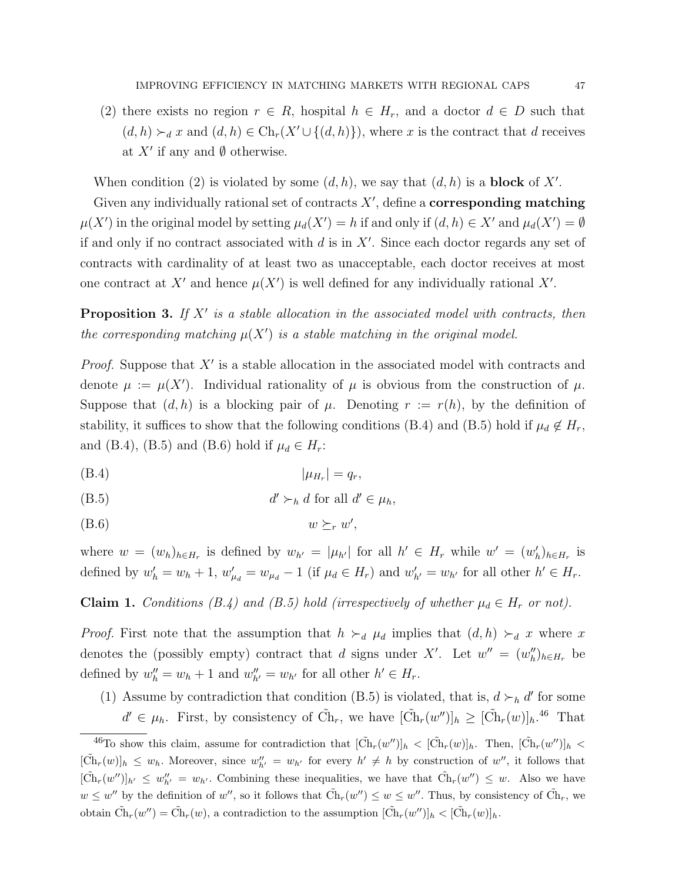(2) there exists no region  $r \in R$ , hospital  $h \in H_r$ , and a doctor  $d \in D$  such that  $(d, h) \succ_d x$  and  $(d, h) \in \text{Ch}_r(X' \cup \{(d, h)\})$ , where x is the contract that d receives at  $X'$  if any and  $\emptyset$  otherwise.

When condition (2) is violated by some  $(d, h)$ , we say that  $(d, h)$  is a **block** of X'.

Given any individually rational set of contracts  $X'$ , define a **corresponding matching**  $\mu(X')$  in the original model by setting  $\mu_d(X') = h$  if and only if  $(d, h) \in X'$  and  $\mu_d(X') = \emptyset$ if and only if no contract associated with  $d$  is in  $X'$ . Since each doctor regards any set of contracts with cardinality of at least two as unacceptable, each doctor receives at most one contract at X' and hence  $\mu(X')$  is well defined for any individually rational X'.

**Proposition 3.** If  $X'$  is a stable allocation in the associated model with contracts, then the corresponding matching  $\mu(X')$  is a stable matching in the original model.

*Proof.* Suppose that  $X'$  is a stable allocation in the associated model with contracts and denote  $\mu := \mu(X')$ . Individual rationality of  $\mu$  is obvious from the construction of  $\mu$ . Suppose that  $(d, h)$  is a blocking pair of  $\mu$ . Denoting  $r := r(h)$ , by the definition of stability, it suffices to show that the following conditions (B.4) and (B.5) hold if  $\mu_d \notin H_r$ , and (B.4), (B.5) and (B.6) hold if  $\mu_d \in H_r$ :

$$
(B.4) \t\t |\mu_{H_r}| = q_r,
$$

$$
(B.5) \t d' \succ_h d \text{ for all } d' \in \mu_h,
$$

(B.6)  $w \succeq_r w'$ ,

where  $w = (w_h)_{h \in H_r}$  is defined by  $w_{h'} = |\mu_{h'}|$  for all  $h' \in H_r$  while  $w' = (w'_h)_{h \in H_r}$  is defined by  $w'_h = w_h + 1$ ,  $w'_{\mu_d} = w_{\mu_d} - 1$  (if  $\mu_d \in H_r$ ) and  $w'_{h'} = w_{h'}$  for all other  $h' \in H_r$ .

## **Claim 1.** Conditions (B.4) and (B.5) hold (irrespectively of whether  $\mu_d \in H_r$  or not).

*Proof.* First note that the assumption that  $h \succ_d \mu_d$  implies that  $(d, h) \succ_d x$  where x denotes the (possibly empty) contract that d signs under X'. Let  $w'' = (w''_h)_{h \in H_r}$  be defined by  $w''_h = w_h + 1$  and  $w''_{h'} = w_{h'}$  for all other  $h' \in H_r$ .

(1) Assume by contradiction that condition (B.5) is violated, that is,  $d \succ_h d'$  for some  $d' \in \mu_h$ . First, by consistency of  $\tilde{Ch}_r$ , we have  $[\tilde{Ch}_r(w')]_h \geq [\tilde{Ch}_r(w)]_h$ .<sup>46</sup> That

<sup>&</sup>lt;sup>46</sup>To show this claim, assume for contradiction that  $[\tilde{Ch}_r(w')]_h < [\tilde{Ch}_r(w)]_h$ . Then,  $[\tilde{Ch}_r(w')]_h <$  $[\tilde{Ch}_r(w)]_h \leq w_h$ . Moreover, since  $w''_{h'} = w_{h'}$  for every  $h' \neq h$  by construction of  $w''$ , it follows that  $[\tilde{Ch}_r(w'')]_{h'} \leq w''_{h'} = w_{h'}$ . Combining these inequalities, we have that  $\tilde{Ch}_r(w'') \leq w$ . Also we have  $w \leq w''$  by the definition of w'', so it follows that  $\tilde{Ch}_r(w'') \leq w \leq w''$ . Thus, by consistency of  $\tilde{Ch}_r$ , we obtain  $\tilde{Ch}_r(w'') = \tilde{Ch}_r(w)$ , a contradiction to the assumption  $[\tilde{Ch}_r(w'')]_h < [\tilde{Ch}_r(w)]_h$ .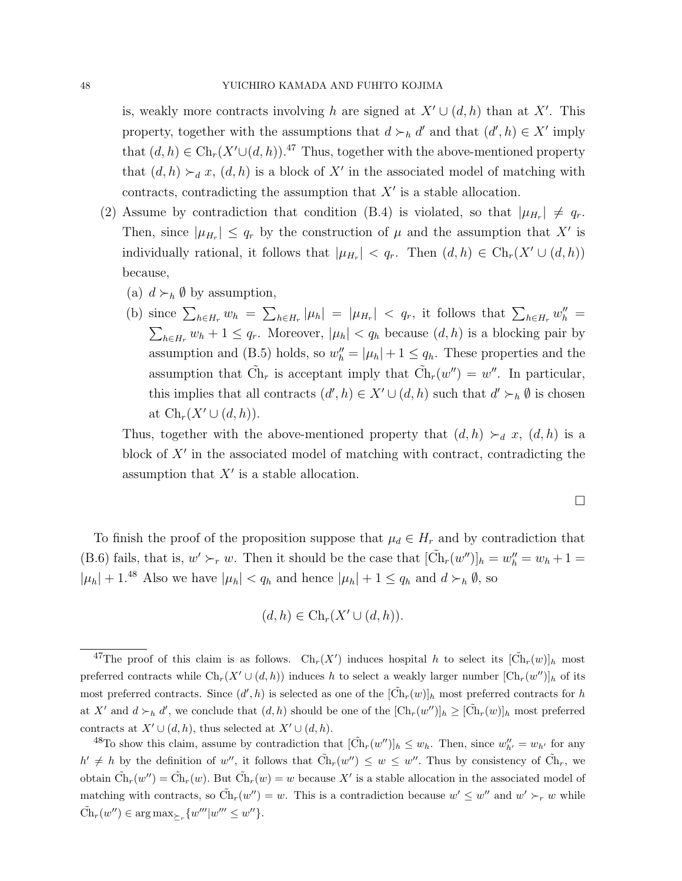is, weakly more contracts involving h are signed at  $X' \cup (d, h)$  than at X'. This property, together with the assumptions that  $d \succ_h d'$  and that  $(d', h) \in X'$  imply that  $(d, h) \in \text{Ch}_r(X' \cup (d, h))$ .<sup>47</sup> Thus, together with the above-mentioned property that  $(d, h) \succ_d x$ ,  $(d, h)$  is a block of X' in the associated model of matching with contracts, contradicting the assumption that  $X'$  is a stable allocation.

- (2) Assume by contradiction that condition (B.4) is violated, so that  $|\mu_{H_r}| \neq q_r$ . Then, since  $|\mu_{H_r}| \leq q_r$  by the construction of  $\mu$  and the assumption that X' is individually rational, it follows that  $|\mu_{H_r}| < q_r$ . Then  $(d, h) \in \text{Ch}_r(X' \cup (d, h))$ because,
	- (a)  $d \succ_h \emptyset$  by assumption,
	- (b) since  $\sum_{h\in H_r} w_h = \sum_{h\in H_r} |\mu_h| = |\mu_{H_r}| < q_r$ , it follows that  $\sum_{h\in H_r} w_h'' =$  $\sum_{h\in H_r} w_h + 1 \leq q_r$ . Moreover,  $|\mu_h| < q_h$  because  $(d, h)$  is a blocking pair by assumption and (B.5) holds, so  $w''_h = |\mu_h| + 1 \le q_h$ . These properties and the assumption that  $\tilde{Ch}_r$  is acceptant imply that  $\tilde{Ch}_r(w'') = w''$ . In particular, this implies that all contracts  $(d', h) \in X' \cup (d, h)$  such that  $d' \succ_h \emptyset$  is chosen at  $\mathrm{Ch}_r(X' \cup (d, h)).$

Thus, together with the above-mentioned property that  $(d, h) \succ_d x$ ,  $(d, h)$  is a block of  $X'$  in the associated model of matching with contract, contradicting the assumption that  $X'$  is a stable allocation.

$$
\Box
$$

To finish the proof of the proposition suppose that  $\mu_d \in H_r$  and by contradiction that (B.6) fails, that is,  $w' \succ_r w$ . Then it should be the case that  $[\tilde{Ch}_r(w'')]_h = w''_h = w_h + 1 =$  $|\mu_h| + 1.^{48}$  Also we have  $|\mu_h| < q_h$  and hence  $|\mu_h| + 1 \le q_h$  and  $d \succ_h \emptyset$ , so

$$
(d,h)\in \operatorname{Ch}_r(X'\cup (d,h)).
$$

<sup>&</sup>lt;sup>47</sup>The proof of this claim is as follows. Ch<sub>r</sub>(X') induces hospital h to select its  $[\tilde{Ch}_r(w)]_h$  most preferred contracts while  $\text{Ch}_r(X' \cup (d, h))$  induces h to select a weakly larger number  $[\text{Ch}_r(w'')]_h$  of its most preferred contracts. Since  $(d', h)$  is selected as one of the  $[\tilde{Ch}_r(w)]_h$  most preferred contracts for h at X' and  $d \succ_h d'$ , we conclude that  $(d, h)$  should be one of the  $[\text{Ch}_r(w')]_h \geq [\tilde{\text{Ch}}_r(w)]_h$  most preferred contracts at  $X' \cup (d, h)$ , thus selected at  $X' \cup (d, h)$ .

<sup>&</sup>lt;sup>48</sup>To show this claim, assume by contradiction that  $[\tilde{Ch}_r(w'')]_h \leq w_h$ . Then, since  $w''_{h'} = w_{h'}$  for any  $h' \neq h$  by the definition of w'', it follows that  $\tilde{Ch}_r(w'') \leq w \leq w''$ . Thus by consistency of  $\tilde{Ch}_r$ , we obtain  $\tilde{Ch}_r(w'') = \tilde{Ch}_r(w)$ . But  $\tilde{Ch}_r(w) = w$  because X' is a stable allocation in the associated model of matching with contracts, so  $\tilde{Ch}_r(w'') = w$ . This is a contradiction because  $w' \leq w''$  and  $w' \succ_r w$  while  $\tilde{\mathrm{Ch}}_r(w'') \in \arg \max_{\succeq_r} \{w'''|w''' \leq w''\}.$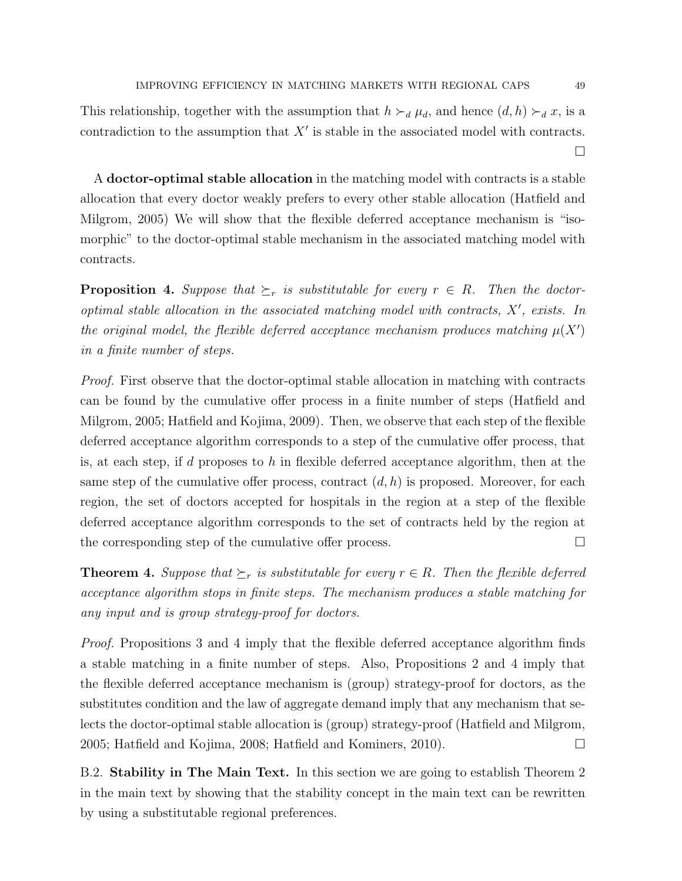This relationship, together with the assumption that  $h \succ_d \mu_d$ , and hence  $(d, h) \succ_d x$ , is a contradiction to the assumption that  $X'$  is stable in the associated model with contracts.  $\Box$ 

A doctor-optimal stable allocation in the matching model with contracts is a stable allocation that every doctor weakly prefers to every other stable allocation (Hatfield and Milgrom, 2005) We will show that the flexible deferred acceptance mechanism is "isomorphic" to the doctor-optimal stable mechanism in the associated matching model with contracts.

**Proposition 4.** Suppose that  $\geq_r$  is substitutable for every  $r \in R$ . Then the doctoroptimal stable allocation in the associated matching model with contracts,  $X'$ , exists. In the original model, the flexible deferred acceptance mechanism produces matching  $\mu(X')$ in a finite number of steps.

Proof. First observe that the doctor-optimal stable allocation in matching with contracts can be found by the cumulative offer process in a finite number of steps (Hatfield and Milgrom, 2005; Hatfield and Kojima, 2009). Then, we observe that each step of the flexible deferred acceptance algorithm corresponds to a step of the cumulative offer process, that is, at each step, if d proposes to h in flexible deferred acceptance algorithm, then at the same step of the cumulative offer process, contract  $(d, h)$  is proposed. Moreover, for each region, the set of doctors accepted for hospitals in the region at a step of the flexible deferred acceptance algorithm corresponds to the set of contracts held by the region at the corresponding step of the cumulative offer process.  $\Box$ 

**Theorem 4.** Suppose that  $\succeq_r$  is substitutable for every  $r \in R$ . Then the flexible deferred acceptance algorithm stops in finite steps. The mechanism produces a stable matching for any input and is group strategy-proof for doctors.

Proof. Propositions 3 and 4 imply that the flexible deferred acceptance algorithm finds a stable matching in a finite number of steps. Also, Propositions 2 and 4 imply that the flexible deferred acceptance mechanism is (group) strategy-proof for doctors, as the substitutes condition and the law of aggregate demand imply that any mechanism that selects the doctor-optimal stable allocation is (group) strategy-proof (Hatfield and Milgrom, 2005; Hatfield and Kojima, 2008; Hatfield and Kominers, 2010).

B.2. Stability in The Main Text. In this section we are going to establish Theorem 2 in the main text by showing that the stability concept in the main text can be rewritten by using a substitutable regional preferences.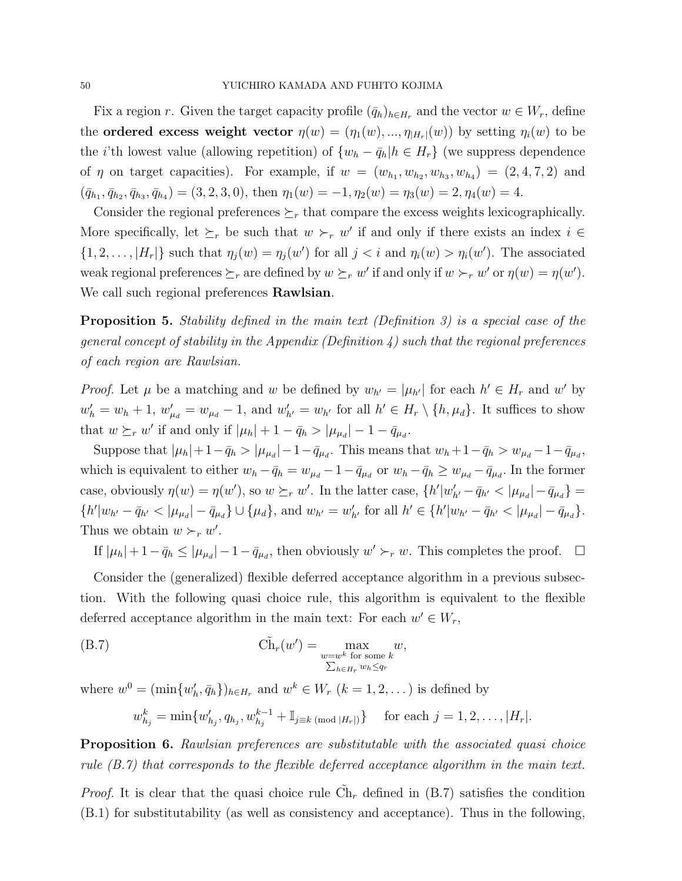Fix a region r. Given the target capacity profile  $(\bar{q}_h)_{h\in H_r}$  and the vector  $w \in W_r$ , define the **ordered excess weight vector**  $\eta(w) = (\eta_1(w), ..., \eta_{|H_r|}(w))$  by setting  $\eta_i(w)$  to be the *i*'th lowest value (allowing repetition) of  $\{w_h - \bar{q}_h | h \in H_r\}$  (we suppress dependence of  $\eta$  on target capacities). For example, if  $w = (w_{h_1}, w_{h_2}, w_{h_3}, w_{h_4}) = (2, 4, 7, 2)$  and  $(\bar{q}_{h_1}, \bar{q}_{h_2}, \bar{q}_{h_3}, \bar{q}_{h_4}) = (3, 2, 3, 0), \text{ then } \eta_1(w) = -1, \eta_2(w) = \eta_3(w) = 2, \eta_4(w) = 4.$ 

Consider the regional preferences  $\succeq_r$  that compare the excess weights lexicographically. More specifically, let  $\succeq_r$  be such that  $w \succ_r w'$  if and only if there exists an index  $i \in$  $\{1, 2, \ldots, |H_r|\}$  such that  $\eta_j(w) = \eta_j(w')$  for all  $j < i$  and  $\eta_i(w) > \eta_i(w')$ . The associated weak regional preferences  $\succeq_r$  are defined by  $w \succeq_r w'$  if and only if  $w \succ_r w'$  or  $\eta(w) = \eta(w')$ . We call such regional preferences **Rawlsian**.

Proposition 5. Stability defined in the main text (Definition 3) is a special case of the general concept of stability in the Appendix (Definition  $\lambda$ ) such that the regional preferences of each region are Rawlsian.

*Proof.* Let  $\mu$  be a matching and w be defined by  $w_{h'} = |\mu_{h'}|$  for each  $h' \in H_r$  and w' by  $w'_h = w_h + 1$ ,  $w'_{\mu_d} = w_{\mu_d} - 1$ , and  $w'_{h'} = w_{h'}$  for all  $h' \in H_r \setminus \{h, \mu_d\}$ . It suffices to show that  $w \succeq_r w'$  if and only if  $|\mu_h| + 1 - \bar{q}_h > |\mu_{\mu_d}| - 1 - \bar{q}_{\mu_d}$ .

Suppose that  $|\mu_h| + 1 - \bar{q}_h > |\mu_{\mu_d}| - 1 - \bar{q}_{\mu_d}$ . This means that  $w_h + 1 - \bar{q}_h > w_{\mu_d} - 1 - \bar{q}_{\mu_d}$ , which is equivalent to either  $w_h - \bar{q}_h = w_{\mu_d} - 1 - \bar{q}_{\mu_d}$  or  $w_h - \bar{q}_h \ge w_{\mu_d} - \bar{q}_{\mu_d}$ . In the former case, obviously  $\eta(w) = \eta(w')$ , so  $w \succeq_r w'$ . In the latter case,  $\{h'|w'_{h'} - \bar{q}_{h'} < |\mu_{\mu_d}| - \bar{q}_{\mu_d}\} =$  $\{h'|w_{h'} - \bar{q}_{h'}| < |\mu_{\mu_d}| - \bar{q}_{\mu_d}\} \cup \{\mu_d\}$ , and  $w_{h'} = w'_{h'}$  for all  $h' \in \{h'|w_{h'} - \bar{q}_{h'}| < |\mu_{\mu_d}| - \bar{q}_{\mu_d}\}.$ Thus we obtain  $w \succ_r w'$ .

If  $|\mu_h| + 1 - \bar{q}_h \leq |\mu_{\mu_d}| - 1 - \bar{q}_{\mu_d}$ , then obviously  $w' \succ_r w$ . This completes the proof.  $\Box$ 

Consider the (generalized) flexible deferred acceptance algorithm in a previous subsection. With the following quasi choice rule, this algorithm is equivalent to the flexible deferred acceptance algorithm in the main text: For each  $w' \in W_r$ ,

(B.7) 
$$
\widetilde{\textrm{Ch}}_r(w') = \max_{\substack{w=w^k \text{ for some } k \\ \sum_{h \in H_r} w_h \le q_r}} w,
$$

where  $w^0 = (\min\{w'_h, \bar{q}_h\})_{h \in H_r}$  and  $w^k \in W_r$   $(k = 1, 2, ...)$  is defined by

$$
w_{h_j}^k = \min\{w_{h_j}', q_{h_j}, w_{h_j}^{k-1} + \mathbb{I}_{j\equiv k \pmod{|H_r|}}\} \text{ for each } j = 1, 2, \dots, |H_r|.
$$

**Proposition 6.** Rawlsian preferences are substitutable with the associated quasi choice rule (B.7) that corresponds to the flexible deferred acceptance algorithm in the main text.

*Proof.* It is clear that the quasi choice rule  $\tilde{Ch}_r$  defined in (B.7) satisfies the condition (B.1) for substitutability (as well as consistency and acceptance). Thus in the following,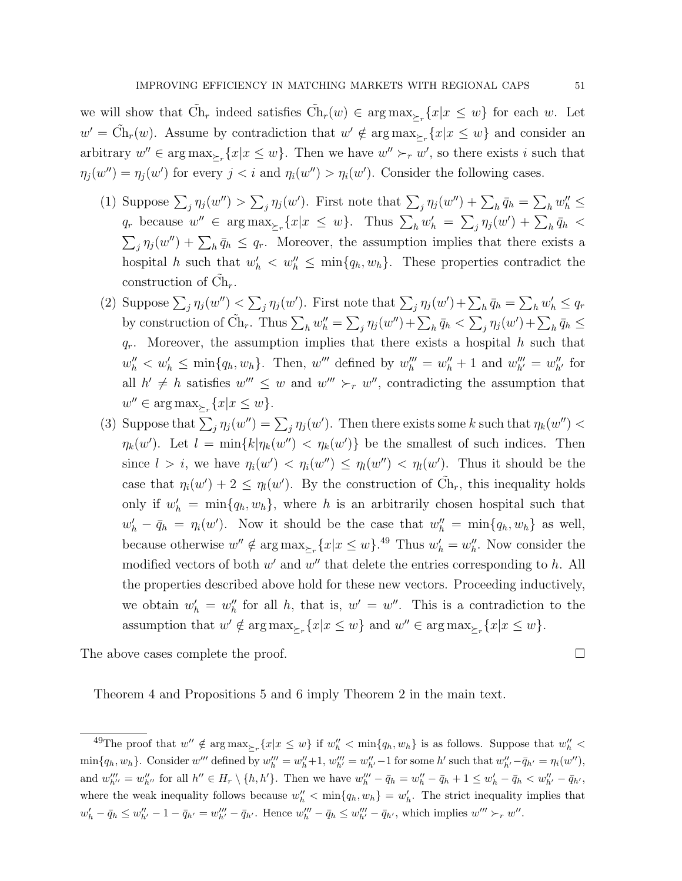we will show that  $\tilde{Ch}_r$  indeed satisfies  $\tilde{Ch}_r(w) \in \arg \max_{\geq r} \{x | x \leq w\}$  for each w. Let  $w' = \tilde{\text{Ch}}_r(w)$ . Assume by contradiction that  $w' \notin \arg \max_{\Sigma_r} \{x | x \leq w\}$  and consider an arbitrary  $w'' \in \arg \max_{\Sigma_r} \{x | x \leq w\}$ . Then we have  $w'' \succ_r w'$ , so there exists i such that  $\eta_j(w'') = \eta_j(w')$  for every  $j < i$  and  $\eta_i(w'') > \eta_i(w')$ . Consider the following cases.

- (1) Suppose  $\sum_j \eta_j(w'') > \sum_j \eta_j(w')$ . First note that  $\sum_j \eta_j(w'') + \sum_h \bar{q}_h = \sum_h w''_h \leq$  $q_r$  because  $w'' \in \arg \max_{\Sigma_r} \{x | x \leq w\}$ . Thus  $\sum_h w'_h = \sum_j \eta_j(w') + \sum_h \bar{q}_h$  $\sum_j \eta_j(w'') + \sum_h \bar{q}_h \leq q_r$ . Moreover, the assumption implies that there exists a hospital h such that  $w'_h < w''_h \leq \min\{q_h, w_h\}$ . These properties contradict the construction of  $\tilde{\mathrm{Ch}}_r$ .
- (2) Suppose  $\sum_j \eta_j(w'') < \sum_j \eta_j(w')$ . First note that  $\sum_j \eta_j(w') + \sum_h \bar{q}_h = \sum_h w'_h \le q_r$ by construction of  $\tilde{C}h_r$ . Thus  $\sum_h w_h'' = \sum_j \eta_j(w'') + \sum_h \bar{q}_h < \sum_j \eta_j(w') + \sum_h \bar{q}_h \leq$  $q_r$ . Moreover, the assumption implies that there exists a hospital h such that  $w''_h < w'_h \le \min\{q_h, w_h\}.$  Then,  $w'''$  defined by  $w'''_h = w''_h + 1$  and  $w'''_{h'} = w''_{h'}$  for all  $h' \neq h$  satisfies  $w''' \leq w$  and  $w''' \succ_r w''$ , contradicting the assumption that  $w'' \in \arg \max_{\Sigma_r} \{x | x \leq w\}.$
- (3) Suppose that  $\sum_j \eta_j(w'') = \sum_j \eta_j(w')$ . Then there exists some k such that  $\eta_k(w'')$  $\eta_k(w')$ . Let  $l = \min\{k | \eta_k(w'') \langle \eta_k(w')\}$  be the smallest of such indices. Then since  $l > i$ , we have  $\eta_i(w') < \eta_i(w'') \leq \eta_l(w'') < \eta_l(w')$ . Thus it should be the case that  $\eta_i(w') + 2 \leq \eta_i(w')$ . By the construction of  $\tilde{Ch}_r$ , this inequality holds only if  $w'_h = \min\{q_h, w_h\}$ , where h is an arbitrarily chosen hospital such that  $w'_h - \bar{q}_h = \eta_i(w')$ . Now it should be the case that  $w''_h = \min\{q_h, w_h\}$  as well, because otherwise  $w'' \notin \arg \max_{\Sigma_r} \{x | x \leq w\}$ .<sup>49</sup> Thus  $w'_h = w''_h$ . Now consider the modified vectors of both  $w'$  and  $w''$  that delete the entries corresponding to  $h$ . All the properties described above hold for these new vectors. Proceeding inductively, we obtain  $w'_h = w''_h$  for all h, that is,  $w' = w''$ . This is a contradiction to the assumption that  $w' \notin \arg \max_{\Sigma_r} \{x | x \leq w\}$  and  $w'' \in \arg \max_{\Sigma_r} \{x | x \leq w\}.$

The above cases complete the proof.

Theorem 4 and Propositions 5 and 6 imply Theorem 2 in the main text.

<sup>&</sup>lt;sup>49</sup>The proof that  $w'' \notin \arg \max_{\geq r} \{x | x \leq w\}$  if  $w''_h < \min\{q_h, w_h\}$  is as follows. Suppose that  $w''_h <$  $\min\{q_h, w_h\}$ . Consider w''' defined by  $w_h''' = w_h'' + 1$ ,  $w_{h'}''' = w_{h'}'' - 1$  for some h' such that  $w_{h'}'' - \bar{q}_{h'} = \eta_i(w'')$ , and  $w_{h''}''' = w_{h''}''$  for all  $h'' \in H_r \setminus \{h, h'\}$ . Then we have  $w_h''' - \bar{q}_h = w_h'' - \bar{q}_h + 1 \le w_h' - \bar{q}_h < w_{h'}'' - \bar{q}_{h'}$ , where the weak inequality follows because  $w''_h < \min\{q_h, w_h\} = w'_h$ . The strict inequality implies that  $w'_{h} - \bar{q}_{h} \leq w''_{h'} - 1 - \bar{q}_{h'} = w'''_{h'} - \bar{q}_{h'}$ . Hence  $w'''_{h} - \bar{q}_{h} \leq w'''_{h'} - \bar{q}_{h'}$ , which implies  $w''' \succ_r w''$ .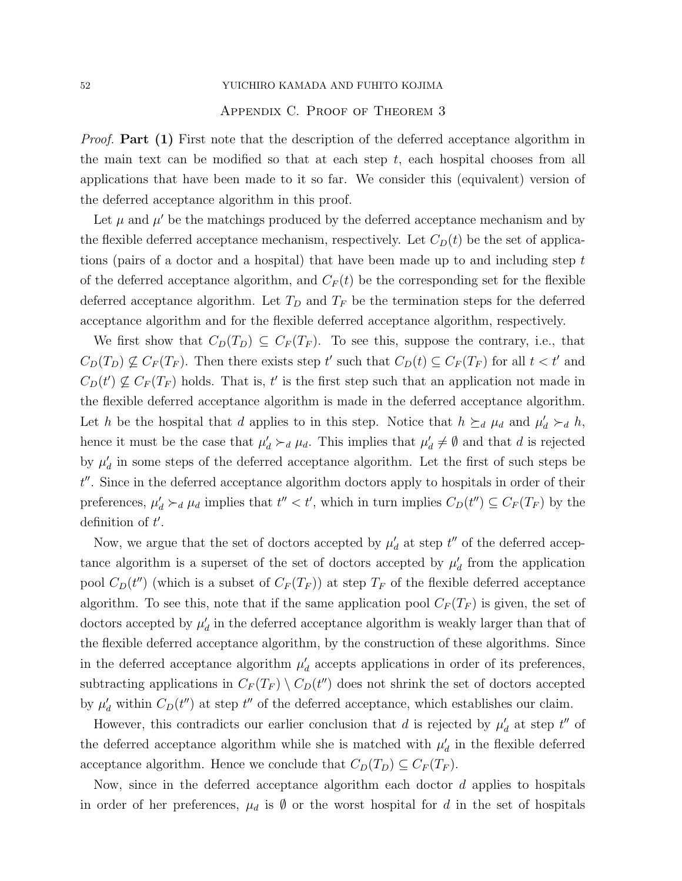### 52 YUICHIRO KAMADA AND FUHITO KOJIMA

### Appendix C. Proof of Theorem 3

*Proof.* Part (1) First note that the description of the deferred acceptance algorithm in the main text can be modified so that at each step  $t$ , each hospital chooses from all applications that have been made to it so far. We consider this (equivalent) version of the deferred acceptance algorithm in this proof.

Let  $\mu$  and  $\mu'$  be the matchings produced by the deferred acceptance mechanism and by the flexible deferred acceptance mechanism, respectively. Let  $C<sub>D</sub>(t)$  be the set of applications (pairs of a doctor and a hospital) that have been made up to and including step t of the deferred acceptance algorithm, and  $C_F(t)$  be the corresponding set for the flexible deferred acceptance algorithm. Let  $T_D$  and  $T_F$  be the termination steps for the deferred acceptance algorithm and for the flexible deferred acceptance algorithm, respectively.

We first show that  $C_D(T_D) \subseteq C_F(T_F)$ . To see this, suppose the contrary, i.e., that  $C_D(T_D) \nsubseteq C_F(T_F)$ . Then there exists step t' such that  $C_D(t) \subseteq C_F(T_F)$  for all  $t < t'$  and  $C_D(t') \nsubseteq C_F(T_F)$  holds. That is, t' is the first step such that an application not made in the flexible deferred acceptance algorithm is made in the deferred acceptance algorithm. Let h be the hospital that d applies to in this step. Notice that  $h \succeq_d \mu_d$  and  $\mu'_d \succ_d h$ , hence it must be the case that  $\mu'_d \succ_d \mu_d$ . This implies that  $\mu'_d \neq \emptyset$  and that d is rejected by  $\mu_d$  in some steps of the deferred acceptance algorithm. Let the first of such steps be t''. Since in the deferred acceptance algorithm doctors apply to hospitals in order of their preferences,  $\mu'_d \succ_d \mu_d$  implies that  $t'' < t'$ , which in turn implies  $C_D(t'') \subseteq C_F(T_F)$  by the definition of  $t'$ .

Now, we argue that the set of doctors accepted by  $\mu_d$  at step  $t''$  of the deferred acceptance algorithm is a superset of the set of doctors accepted by  $\mu_d$  from the application pool  $C_D(t'')$  (which is a subset of  $C_F(T_F)$ ) at step  $T_F$  of the flexible deferred acceptance algorithm. To see this, note that if the same application pool  $C_F(T_F)$  is given, the set of doctors accepted by  $\mu_d'$  in the deferred acceptance algorithm is weakly larger than that of the flexible deferred acceptance algorithm, by the construction of these algorithms. Since in the deferred acceptance algorithm  $\mu_d$  accepts applications in order of its preferences, subtracting applications in  $C_F(T_F) \setminus C_D(t'')$  does not shrink the set of doctors accepted by  $\mu'_d$  within  $C_D(t'')$  at step  $t''$  of the deferred acceptance, which establishes our claim.

However, this contradicts our earlier conclusion that d is rejected by  $\mu_d$  at step  $t''$  of the deferred acceptance algorithm while she is matched with  $\mu'_{d}$  in the flexible deferred acceptance algorithm. Hence we conclude that  $C_D(T_D) \subseteq C_F(T_F)$ .

Now, since in the deferred acceptance algorithm each doctor d applies to hospitals in order of her preferences,  $\mu_d$  is  $\emptyset$  or the worst hospital for d in the set of hospitals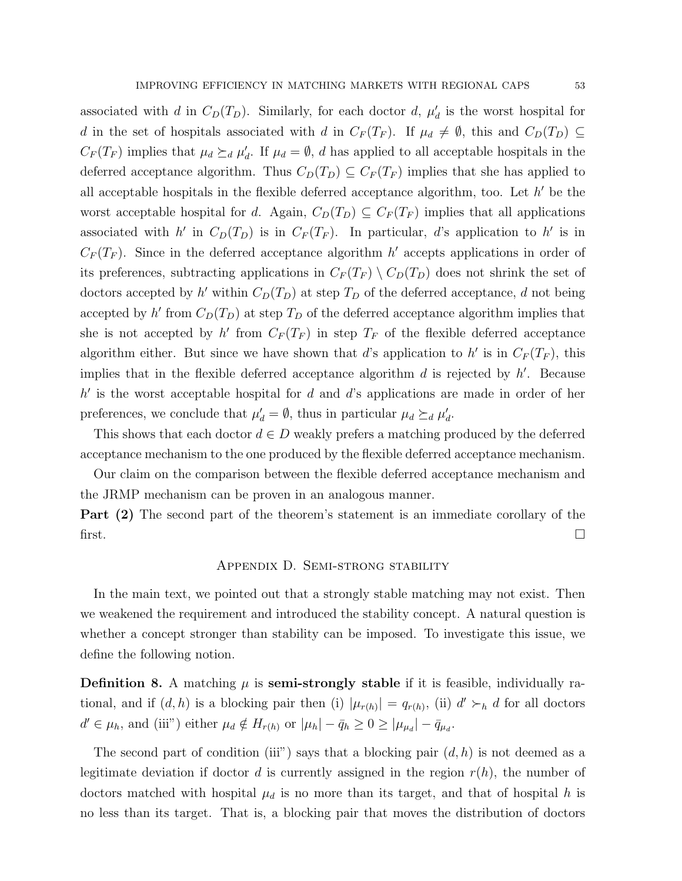associated with d in  $C_D(T_D)$ . Similarly, for each doctor d,  $\mu'_d$  is the worst hospital for d in the set of hospitals associated with d in  $C_F(T_F)$ . If  $\mu_d \neq \emptyset$ , this and  $C_D(T_D) \subseteq$  $C_F(T_F)$  implies that  $\mu_d \succeq_d \mu'_d$ . If  $\mu_d = \emptyset$ , d has applied to all acceptable hospitals in the deferred acceptance algorithm. Thus  $C_D(T_D) \subseteq C_F(T_F)$  implies that she has applied to all acceptable hospitals in the flexible deferred acceptance algorithm, too. Let  $h'$  be the worst acceptable hospital for d. Again,  $C_D(T_D) \subseteq C_F(T_F)$  implies that all applications associated with h' in  $C_D(T_D)$  is in  $C_F(T_F)$ . In particular, d's application to h' is in  $C_F(T_F)$ . Since in the deferred acceptance algorithm h' accepts applications in order of its preferences, subtracting applications in  $C_F(T_F) \setminus C_D(T_D)$  does not shrink the set of doctors accepted by h' within  $C_D(T_D)$  at step  $T_D$  of the deferred acceptance, d not being accepted by h' from  $C_D(T_D)$  at step  $T_D$  of the deferred acceptance algorithm implies that she is not accepted by h' from  $C_F(T_F)$  in step  $T_F$  of the flexible deferred acceptance algorithm either. But since we have shown that d's application to h' is in  $C_F(T_F)$ , this implies that in the flexible deferred acceptance algorithm  $d$  is rejected by  $h'$ . Because  $h'$  is the worst acceptable hospital for  $d$  and  $d$ 's applications are made in order of her preferences, we conclude that  $\mu_d' = \emptyset$ , thus in particular  $\mu_d \succeq_d \mu_d'$ .

This shows that each doctor  $d \in D$  weakly prefers a matching produced by the deferred acceptance mechanism to the one produced by the flexible deferred acceptance mechanism.

Our claim on the comparison between the flexible deferred acceptance mechanism and the JRMP mechanism can be proven in an analogous manner.

Part (2) The second part of the theorem's statement is an immediate corollary of the first.

### Appendix D. Semi-strong stability

In the main text, we pointed out that a strongly stable matching may not exist. Then we weakened the requirement and introduced the stability concept. A natural question is whether a concept stronger than stability can be imposed. To investigate this issue, we define the following notion.

**Definition 8.** A matching  $\mu$  is **semi-strongly stable** if it is feasible, individually rational, and if  $(d, h)$  is a blocking pair then (i)  $|\mu_{r(h)}| = q_{r(h)}$ , (ii)  $d' \succ_h d$  for all doctors  $d' \in \mu_h$ , and (iii") either  $\mu_d \notin H_{r(h)}$  or  $|\mu_h| - \bar{q}_h \ge 0 \ge |\mu_{\mu_d}| - \bar{q}_{\mu_d}$ .

The second part of condition (iii") says that a blocking pair  $(d, h)$  is not deemed as a legitimate deviation if doctor d is currently assigned in the region  $r(h)$ , the number of doctors matched with hospital  $\mu_d$  is no more than its target, and that of hospital h is no less than its target. That is, a blocking pair that moves the distribution of doctors